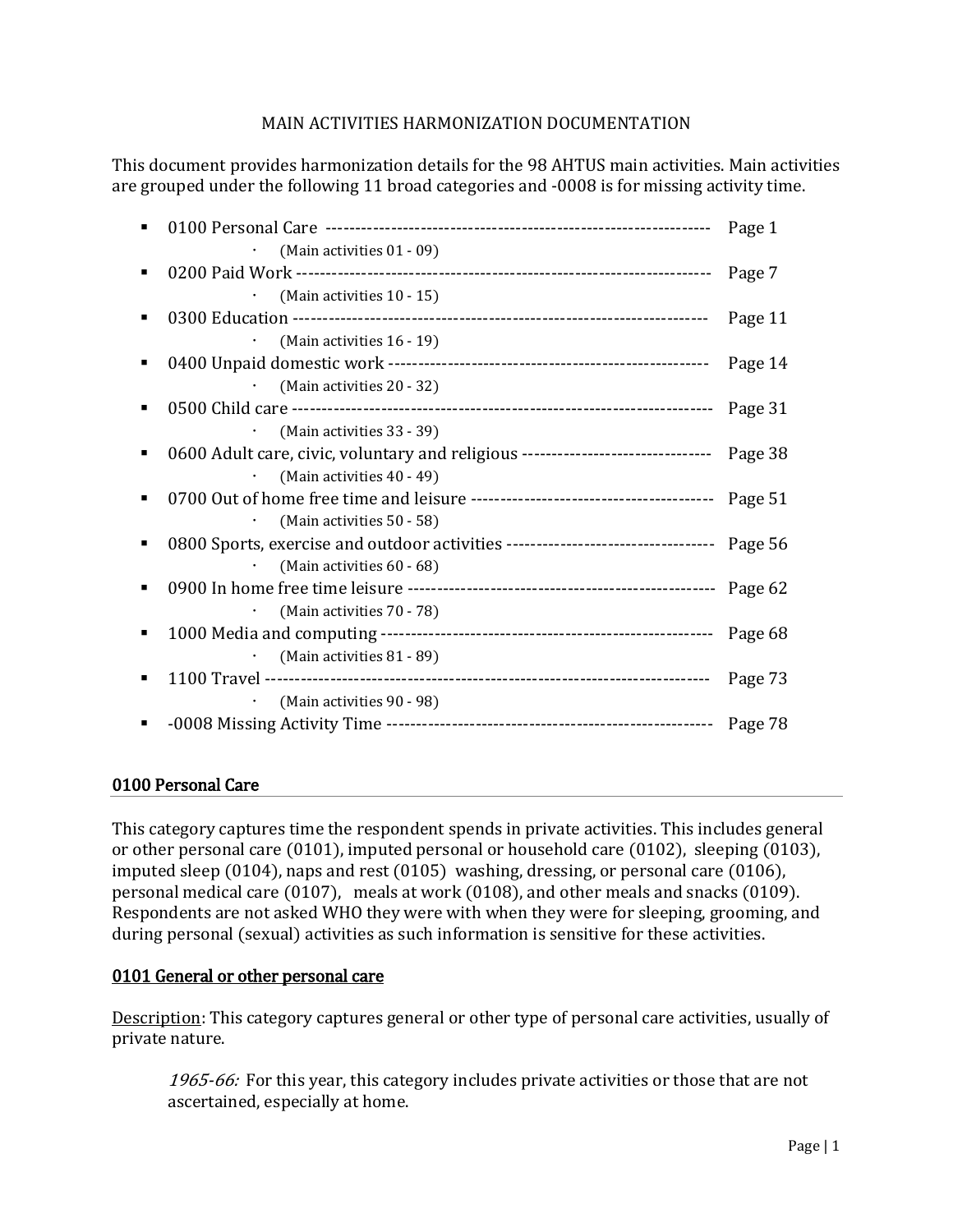# MAIN ACTIVITIES HARMONIZATION DOCUMENTATION

This document provides harmonization details for the 98 AHTUS main activities. Main activities are grouped under the following 11 broad categories and -0008 is for missing activity time.

| (Main activities 01 - 09)                                                                |         |
|------------------------------------------------------------------------------------------|---------|
|                                                                                          |         |
| (Main activities 10 - 15)                                                                |         |
|                                                                                          | Page 11 |
| (Main activities 16 - 19)                                                                |         |
|                                                                                          | Page 14 |
| (Main activities 20 - 32)                                                                |         |
|                                                                                          |         |
| (Main activities 33 - 39)                                                                |         |
| 0600 Adult care, civic, voluntary and religious -------------------------------- Page 38 |         |
| (Main activities 40 - 49)                                                                |         |
|                                                                                          |         |
| (Main activities 50 - 58)                                                                |         |
| 0800 Sports, exercise and outdoor activities ---------------------------------- Page 56  |         |
| (Main activities 60 - 68)                                                                |         |
|                                                                                          |         |
| (Main activities 70 - 78)<br>$\bullet$                                                   |         |
|                                                                                          |         |
| (Main activities 81 - 89)                                                                |         |
|                                                                                          |         |
| (Main activities 90 - 98)                                                                |         |
|                                                                                          |         |

# 0100 Personal Care

This category captures time the respondent spends in private activities. This includes general or other personal care (0101), imputed personal or household care (0102), sleeping (0103), imputed sleep (0104), naps and rest (0105) washing, dressing, or personal care (0106), personal medical care (0107), meals at work (0108), and other meals and snacks (0109). Respondents are not asked WHO they were with when they were for sleeping, grooming, and during personal (sexual) activities as such information is sensitive for these activities.

### 0101 General or other personal care

Description: This category captures general or other type of personal care activities, usually of private nature.

1965-66: For this year, this category includes private activities or those that are not ascertained, especially at home.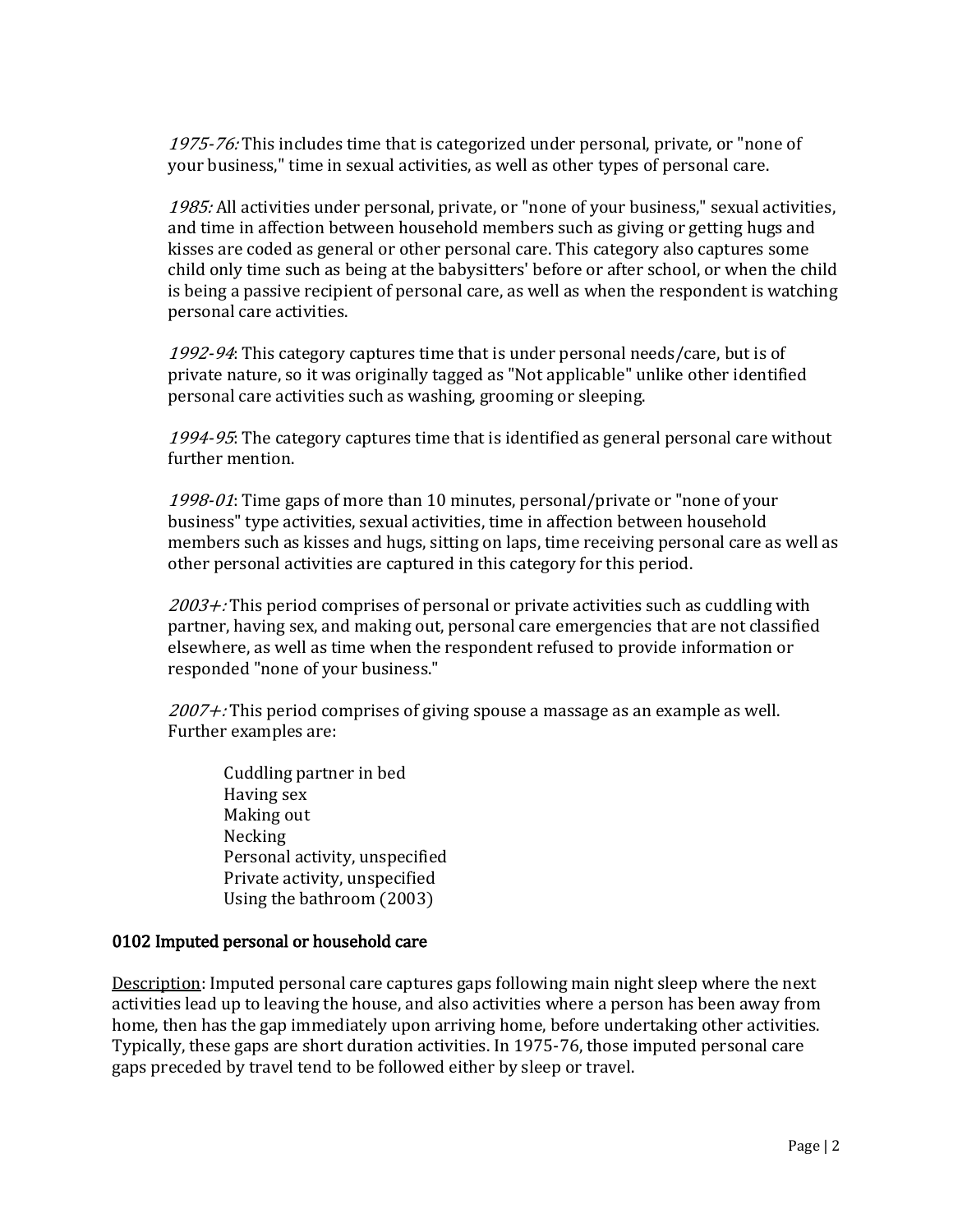1975-76: This includes time that is categorized under personal, private, or "none of your business," time in sexual activities, as well as other types of personal care.

1985: All activities under personal, private, or "none of your business," sexual activities, and time in affection between household members such as giving or getting hugs and kisses are coded as general or other personal care. This category also captures some child only time such as being at the babysitters' before or after school, or when the child is being a passive recipient of personal care, as well as when the respondent is watching personal care activities.

1992-94: This category captures time that is under personal needs/care, but is of private nature, so it was originally tagged as "Not applicable" unlike other identified personal care activities such as washing, grooming or sleeping.

1994-95: The category captures time that is identified as general personal care without further mention.

1998-01: Time gaps of more than 10 minutes, personal/private or "none of your business" type activities, sexual activities, time in affection between household members such as kisses and hugs, sitting on laps, time receiving personal care as well as other personal activities are captured in this category for this period.

 $2003 +$ : This period comprises of personal or private activities such as cuddling with partner, having sex, and making out, personal care emergencies that are not classified elsewhere, as well as time when the respondent refused to provide information or responded "none of your business."

 $2007 +$ : This period comprises of giving spouse a massage as an example as well. Further examples are:

Cuddling partner in bed Having sex Making out Necking Personal activity, unspecified Private activity, unspecified Using the bathroom (2003)

# 0102 Imputed personal or household care

Description: Imputed personal care captures gaps following main night sleep where the next activities lead up to leaving the house, and also activities where a person has been away from home, then has the gap immediately upon arriving home, before undertaking other activities. Typically, these gaps are short duration activities. In 1975-76, those imputed personal care gaps preceded by travel tend to be followed either by sleep or travel.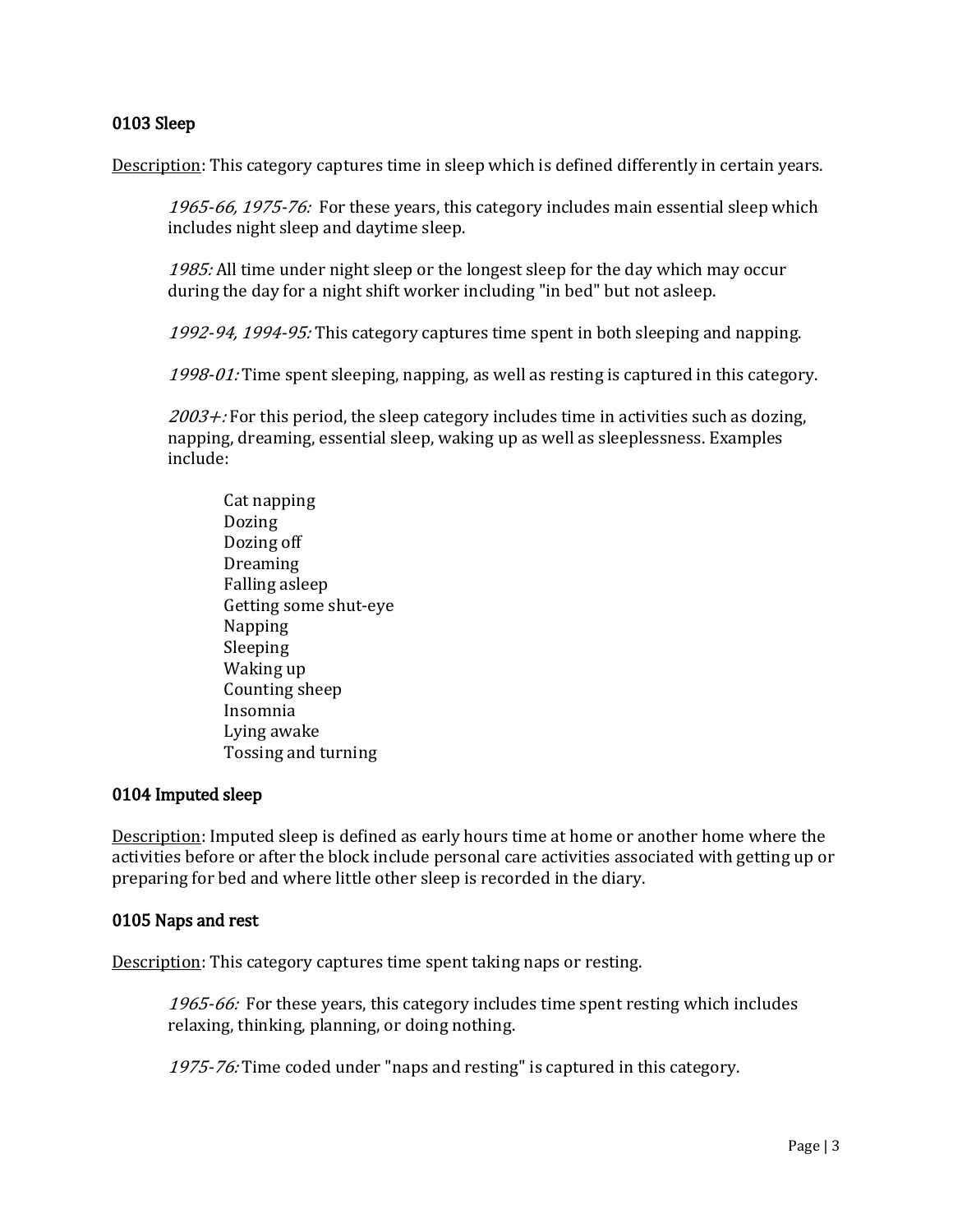## 0103 Sleep

Description: This category captures time in sleep which is defined differently in certain years.

1965-66, 1975-76: For these years, this category includes main essential sleep which includes night sleep and daytime sleep.

1985: All time under night sleep or the longest sleep for the day which may occur during the day for a night shift worker including "in bed" but not asleep.

1992-94, 1994-95: This category captures time spent in both sleeping and napping.

1998-01: Time spent sleeping, napping, as well as resting is captured in this category.

 $2003 +$ : For this period, the sleep category includes time in activities such as dozing, napping, dreaming, essential sleep, waking up as well as sleeplessness. Examples include:

Cat napping Dozing Dozing off **Dreaming** Falling asleep Getting some shut-eye Napping Sleeping Waking up Counting sheep Insomnia Lying awake Tossing and turning

# 0104 Imputed sleep

Description: Imputed sleep is defined as early hours time at home or another home where the activities before or after the block include personal care activities associated with getting up or preparing for bed and where little other sleep is recorded in the diary.

### 0105 Naps and rest

Description: This category captures time spent taking naps or resting.

1965-66: For these years, this category includes time spent resting which includes relaxing, thinking, planning, or doing nothing.

1975-76: Time coded under "naps and resting" is captured in this category.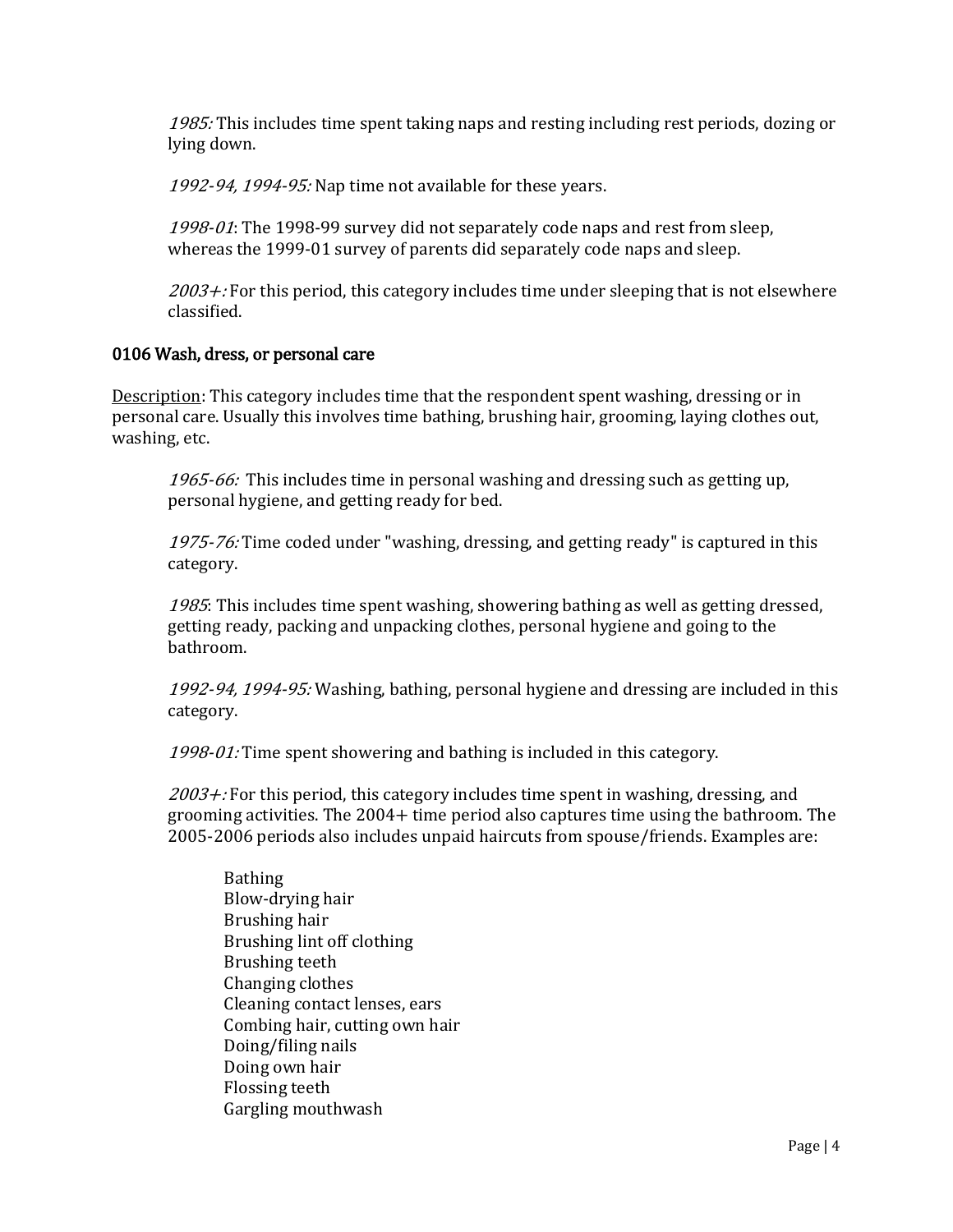1985: This includes time spent taking naps and resting including rest periods, dozing or lying down.

1992-94, 1994-95: Nap time not available for these years.

1998-01: The 1998-99 survey did not separately code naps and rest from sleep, whereas the 1999-01 survey of parents did separately code naps and sleep.

 $2003 +$ : For this period, this category includes time under sleeping that is not elsewhere classified.

#### 0106 Wash, dress, or personal care

Description: This category includes time that the respondent spent washing, dressing or in personal care. Usually this involves time bathing, brushing hair, grooming, laying clothes out, washing, etc.

1965-66: This includes time in personal washing and dressing such as getting up, personal hygiene, and getting ready for bed.

1975-76: Time coded under "washing, dressing, and getting ready" is captured in this category.

1985: This includes time spent washing, showering bathing as well as getting dressed, getting ready, packing and unpacking clothes, personal hygiene and going to the bathroom.

1992-94, 1994-95: Washing, bathing, personal hygiene and dressing are included in this category.

1998-01: Time spent showering and bathing is included in this category.

 $2003 +$ : For this period, this category includes time spent in washing, dressing, and grooming activities. The 2004+ time period also captures time using the bathroom. The 2005-2006 periods also includes unpaid haircuts from spouse/friends. Examples are:

Bathing Blow-drying hair Brushing hair Brushing lint off clothing Brushing teeth Changing clothes Cleaning contact lenses, ears Combing hair, cutting own hair Doing/filing nails Doing own hair Flossing teeth Gargling mouthwash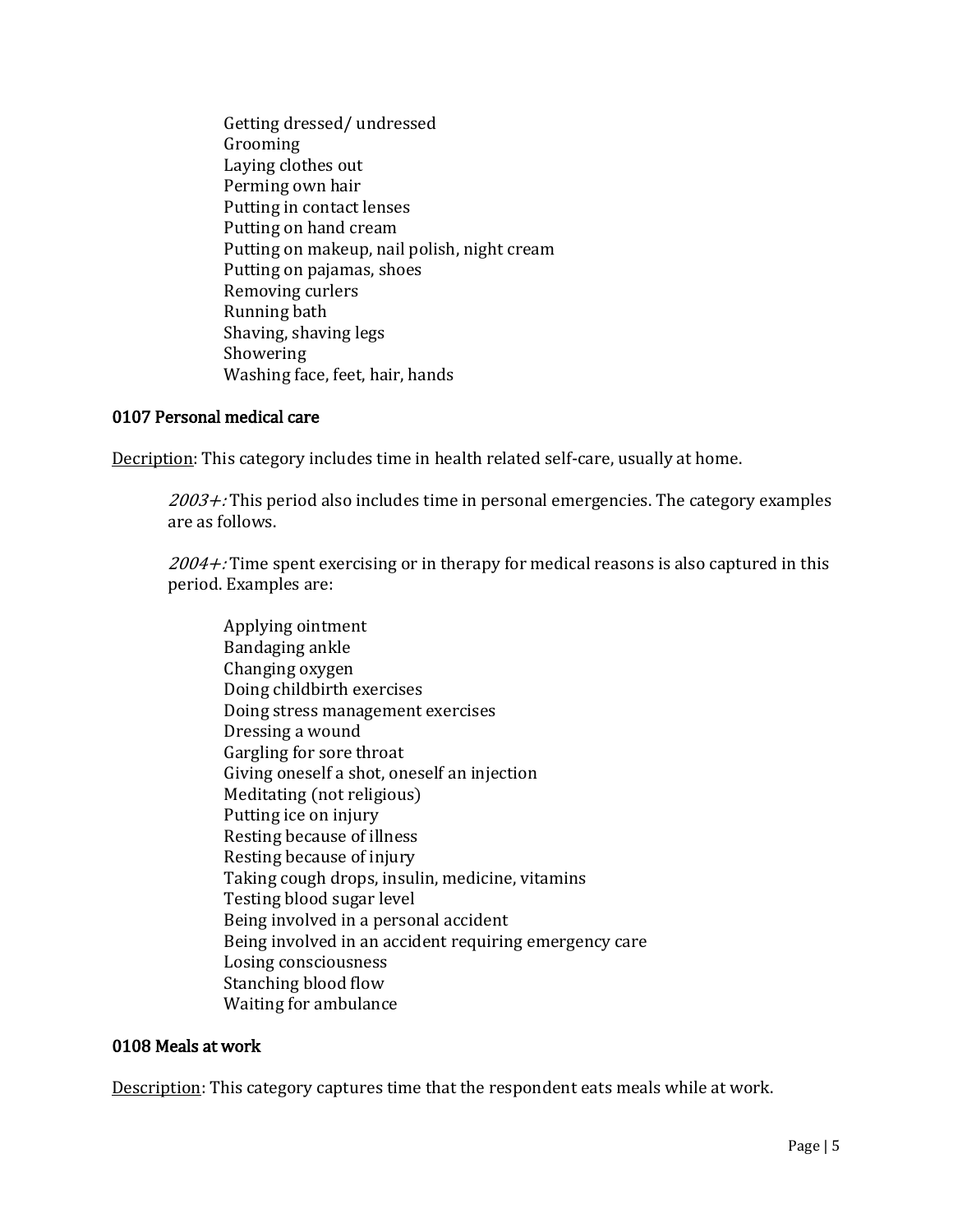Getting dressed/ undressed Grooming Laying clothes out Perming own hair Putting in contact lenses Putting on hand cream Putting on makeup, nail polish, night cream Putting on pajamas, shoes Removing curlers Running bath Shaving, shaving legs Showering Washing face, feet, hair, hands

## 0107 Personal medical care

Decription: This category includes time in health related self-care, usually at home.

 $2003 +$ : This period also includes time in personal emergencies. The category examples are as follows.

 $2004 +$ : Time spent exercising or in therapy for medical reasons is also captured in this period. Examples are:

Applying ointment Bandaging ankle Changing oxygen Doing childbirth exercises Doing stress management exercises Dressing a wound Gargling for sore throat Giving oneself a shot, oneself an injection Meditating (not religious) Putting ice on injury Resting because of illness Resting because of injury Taking cough drops, insulin, medicine, vitamins Testing blood sugar level Being involved in a personal accident Being involved in an accident requiring emergency care Losing consciousness Stanching blood flow Waiting for ambulance

### 0108 Meals at work

Description: This category captures time that the respondent eats meals while at work.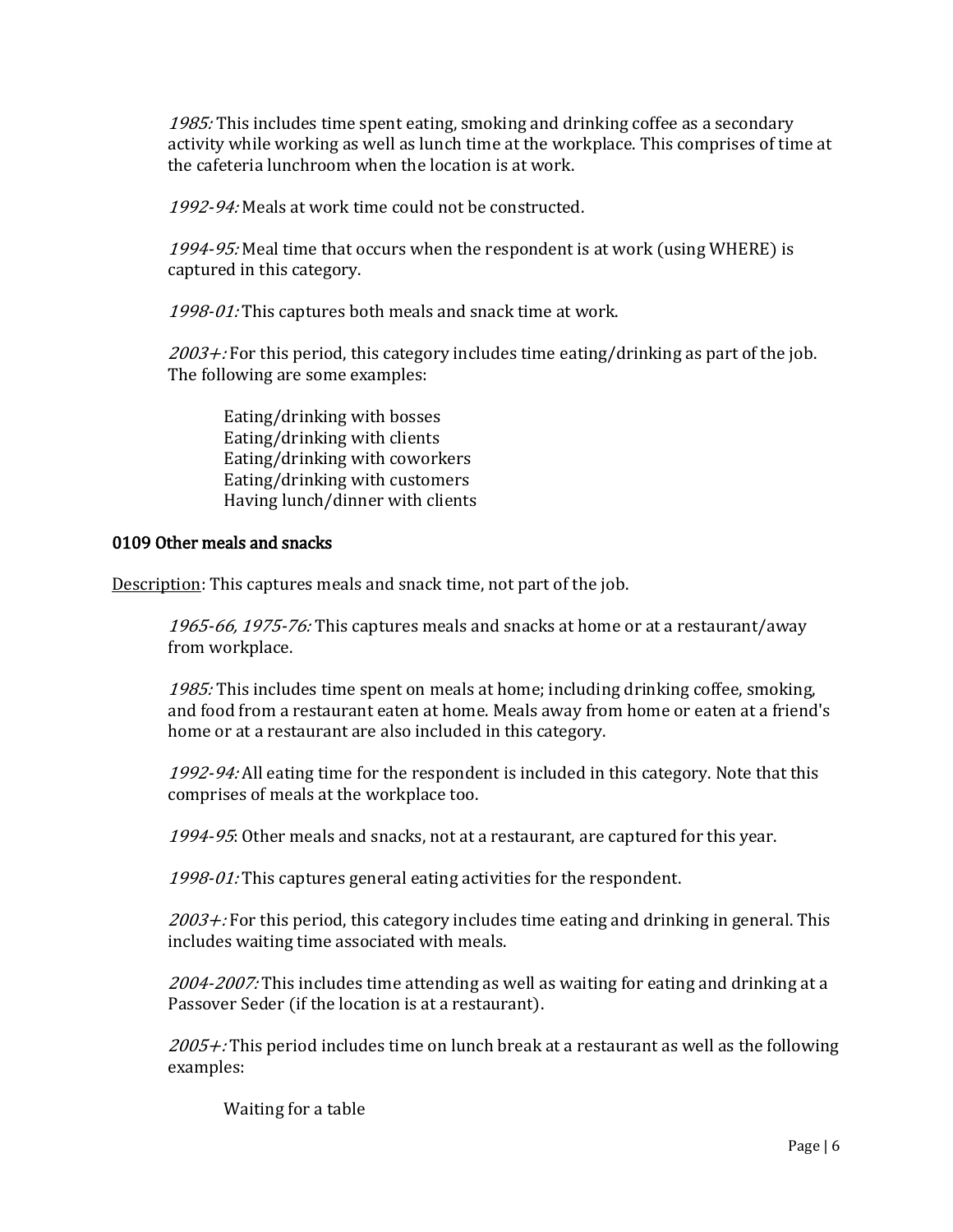1985: This includes time spent eating, smoking and drinking coffee as a secondary activity while working as well as lunch time at the workplace. This comprises of time at the cafeteria lunchroom when the location is at work.

1992-94: Meals at work time could not be constructed.

1994-95: Meal time that occurs when the respondent is at work (using WHERE) is captured in this category.

1998-01: This captures both meals and snack time at work.

 $2003 +$ : For this period, this category includes time eating/drinking as part of the job. The following are some examples:

Eating/drinking with bosses Eating/drinking with clients Eating/drinking with coworkers Eating/drinking with customers Having lunch/dinner with clients

## 0109 Other meals and snacks

Description: This captures meals and snack time, not part of the job.

1965-66, 1975-76: This captures meals and snacks at home or at a restaurant/away from workplace.

1985: This includes time spent on meals at home; including drinking coffee, smoking, and food from a restaurant eaten at home. Meals away from home or eaten at a friend's home or at a restaurant are also included in this category.

1992-94: All eating time for the respondent is included in this category. Note that this comprises of meals at the workplace too.

1994-95: Other meals and snacks, not at a restaurant, are captured for this year.

1998-01: This captures general eating activities for the respondent.

 $2003 +$ : For this period, this category includes time eating and drinking in general. This includes waiting time associated with meals.

2004-2007: This includes time attending as well as waiting for eating and drinking at a Passover Seder (if the location is at a restaurant).

 $2005 +$ : This period includes time on lunch break at a restaurant as well as the following examples:

Waiting for a table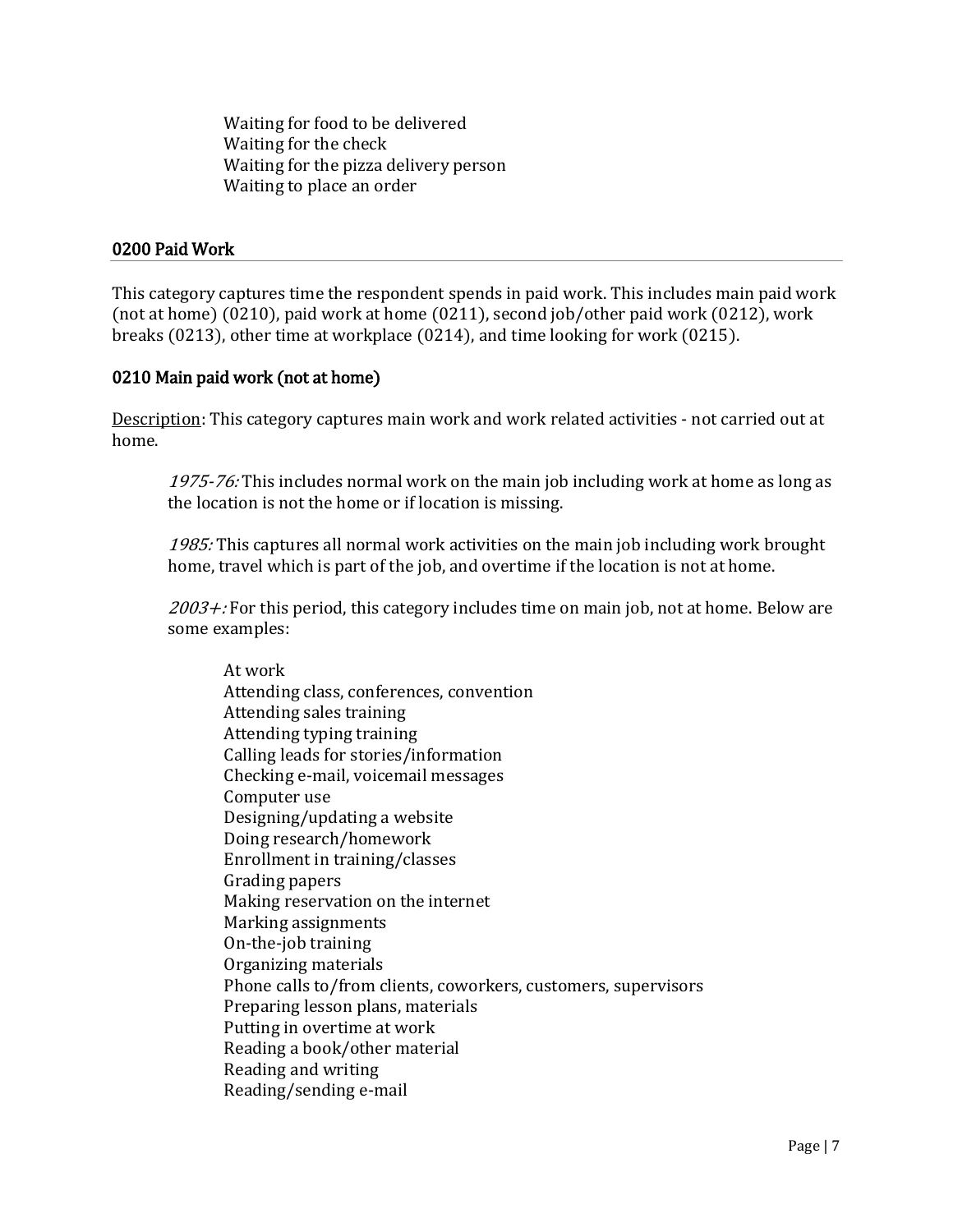Waiting for food to be delivered Waiting for the check Waiting for the pizza delivery person Waiting to place an order

## 0200 Paid Work

This category captures time the respondent spends in paid work. This includes main paid work (not at home) (0210), paid work at home (0211), second job/other paid work (0212), work breaks (0213), other time at workplace (0214), and time looking for work (0215).

# 0210 Main paid work (not at home)

Description: This category captures main work and work related activities - not carried out at home.

1975-76: This includes normal work on the main job including work at home as long as the location is not the home or if location is missing.

1985: This captures all normal work activities on the main job including work brought home, travel which is part of the job, and overtime if the location is not at home.

 $2003 +$ : For this period, this category includes time on main job, not at home. Below are some examples:

At work Attending class, conferences, convention Attending sales training Attending typing training Calling leads for stories/information Checking e-mail, voicemail messages Computer use Designing/updating a website Doing research/homework Enrollment in training/classes Grading papers Making reservation on the internet Marking assignments On-the-job training Organizing materials Phone calls to/from clients, coworkers, customers, supervisors Preparing lesson plans, materials Putting in overtime at work Reading a book/other material Reading and writing Reading/sending e-mail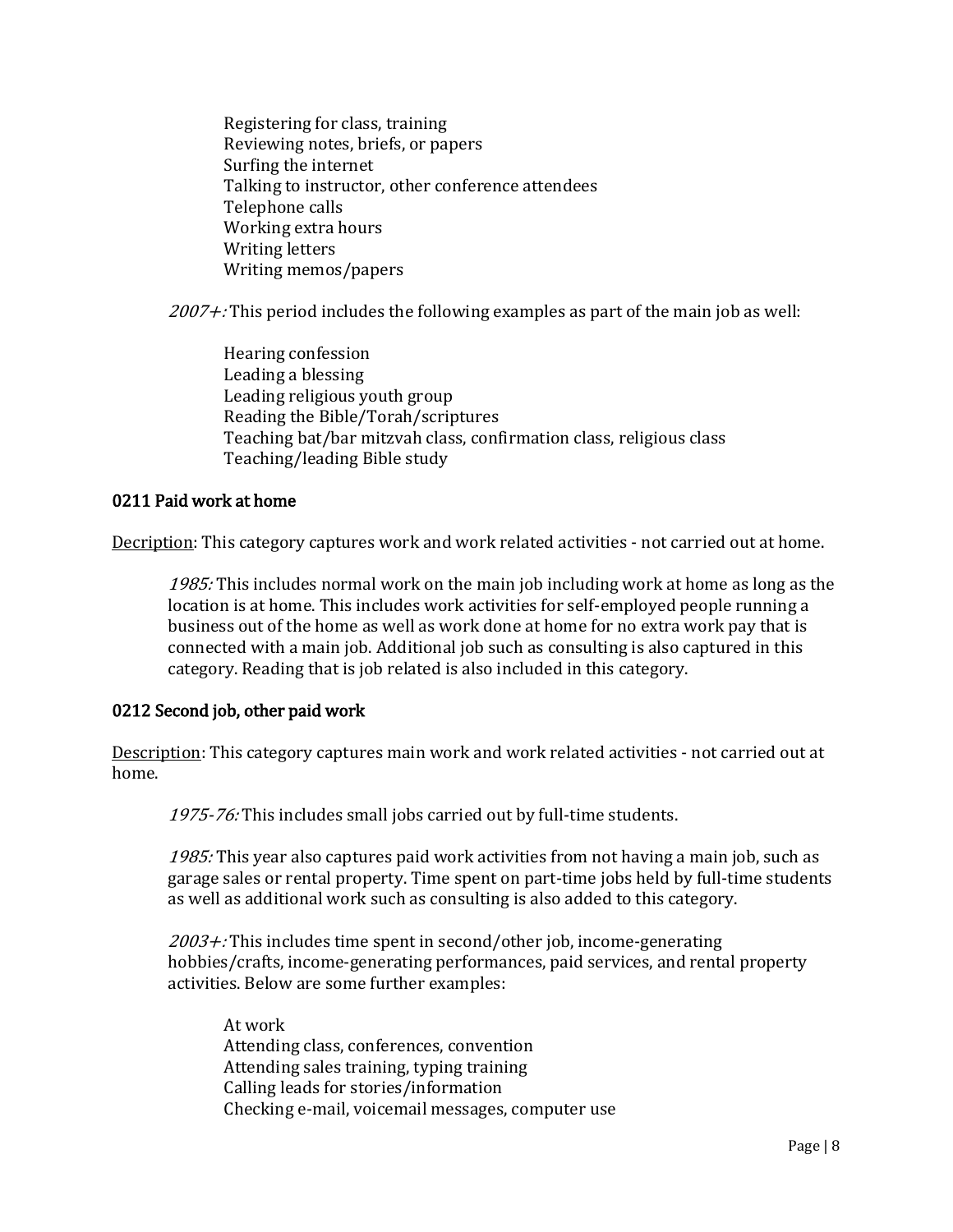Registering for class, training Reviewing notes, briefs, or papers Surfing the internet Talking to instructor, other conference attendees Telephone calls Working extra hours Writing letters Writing memos/papers

 $2007 +$ : This period includes the following examples as part of the main job as well:

Hearing confession Leading a blessing Leading religious youth group Reading the Bible/Torah/scriptures Teaching bat/bar mitzvah class, confirmation class, religious class Teaching/leading Bible study

## 0211 Paid work at home

Decription: This category captures work and work related activities - not carried out at home.

1985: This includes normal work on the main job including work at home as long as the location is at home. This includes work activities for self-employed people running a business out of the home as well as work done at home for no extra work pay that is connected with a main job. Additional job such as consulting is also captured in this category. Reading that is job related is also included in this category.

# 0212 Second job, other paid work

Description: This category captures main work and work related activities - not carried out at home.

1975-76: This includes small jobs carried out by full-time students.

1985: This year also captures paid work activities from not having a main job, such as garage sales or rental property. Time spent on part-time jobs held by full-time students as well as additional work such as consulting is also added to this category.

 $2003 +$ : This includes time spent in second/other job, income-generating hobbies/crafts, income-generating performances, paid services, and rental property activities. Below are some further examples:

At work Attending class, conferences, convention Attending sales training, typing training Calling leads for stories/information Checking e-mail, voicemail messages, computer use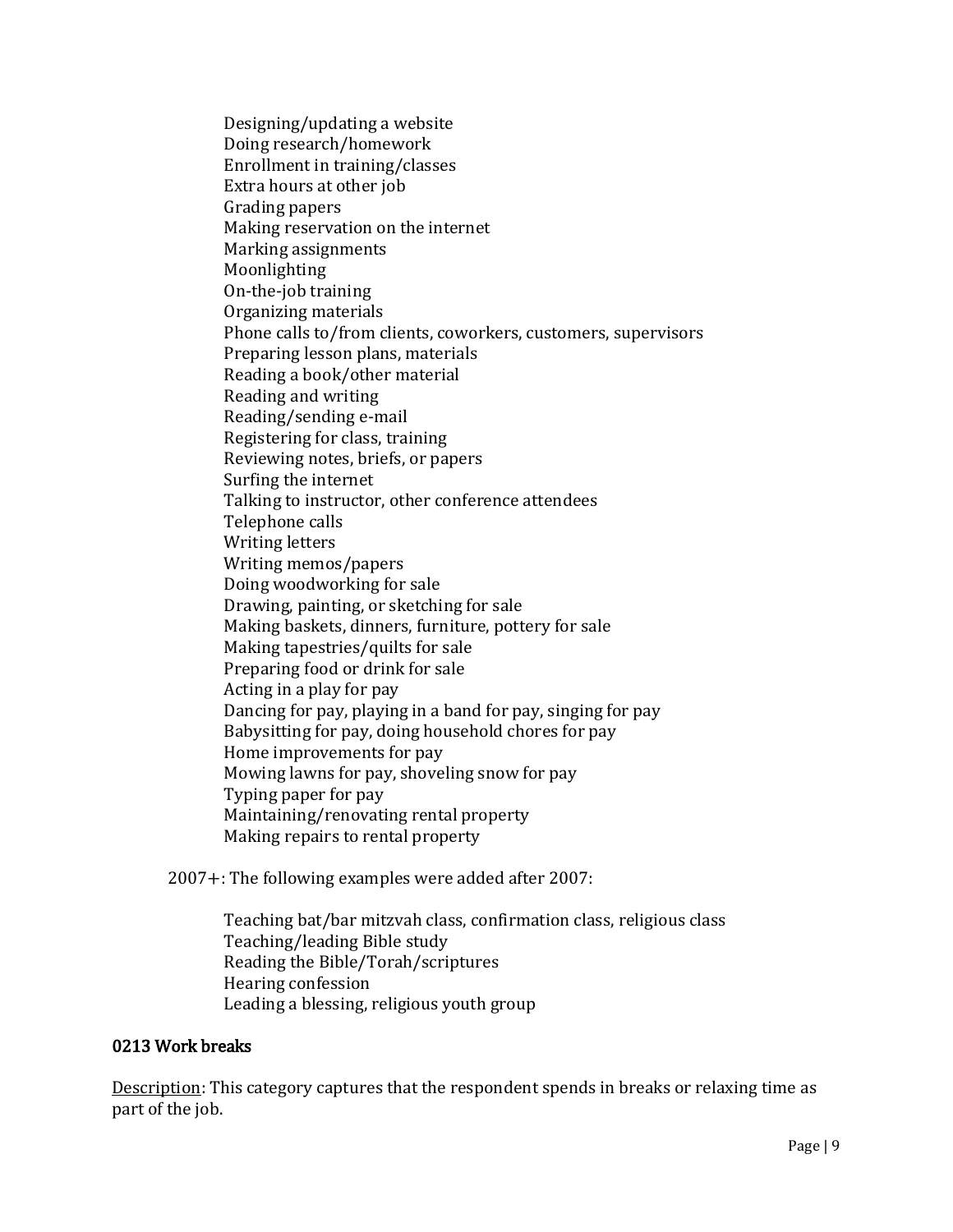Designing/updating a website Doing research/homework Enrollment in training/classes Extra hours at other job Grading papers Making reservation on the internet Marking assignments Moonlighting On-the-job training Organizing materials Phone calls to/from clients, coworkers, customers, supervisors Preparing lesson plans, materials Reading a book/other material Reading and writing Reading/sending e-mail Registering for class, training Reviewing notes, briefs, or papers Surfing the internet Talking to instructor, other conference attendees Telephone calls Writing letters Writing memos/papers Doing woodworking for sale Drawing, painting, or sketching for sale Making baskets, dinners, furniture, pottery for sale Making tapestries/quilts for sale Preparing food or drink for sale Acting in a play for pay Dancing for pay, playing in a band for pay, singing for pay Babysitting for pay, doing household chores for pay Home improvements for pay Mowing lawns for pay, shoveling snow for pay Typing paper for pay Maintaining/renovating rental property Making repairs to rental property

2007+: The following examples were added after 2007:

Teaching bat/bar mitzvah class, confirmation class, religious class Teaching/leading Bible study Reading the Bible/Torah/scriptures Hearing confession Leading a blessing, religious youth group

### 0213 Work breaks

Description: This category captures that the respondent spends in breaks or relaxing time as part of the job.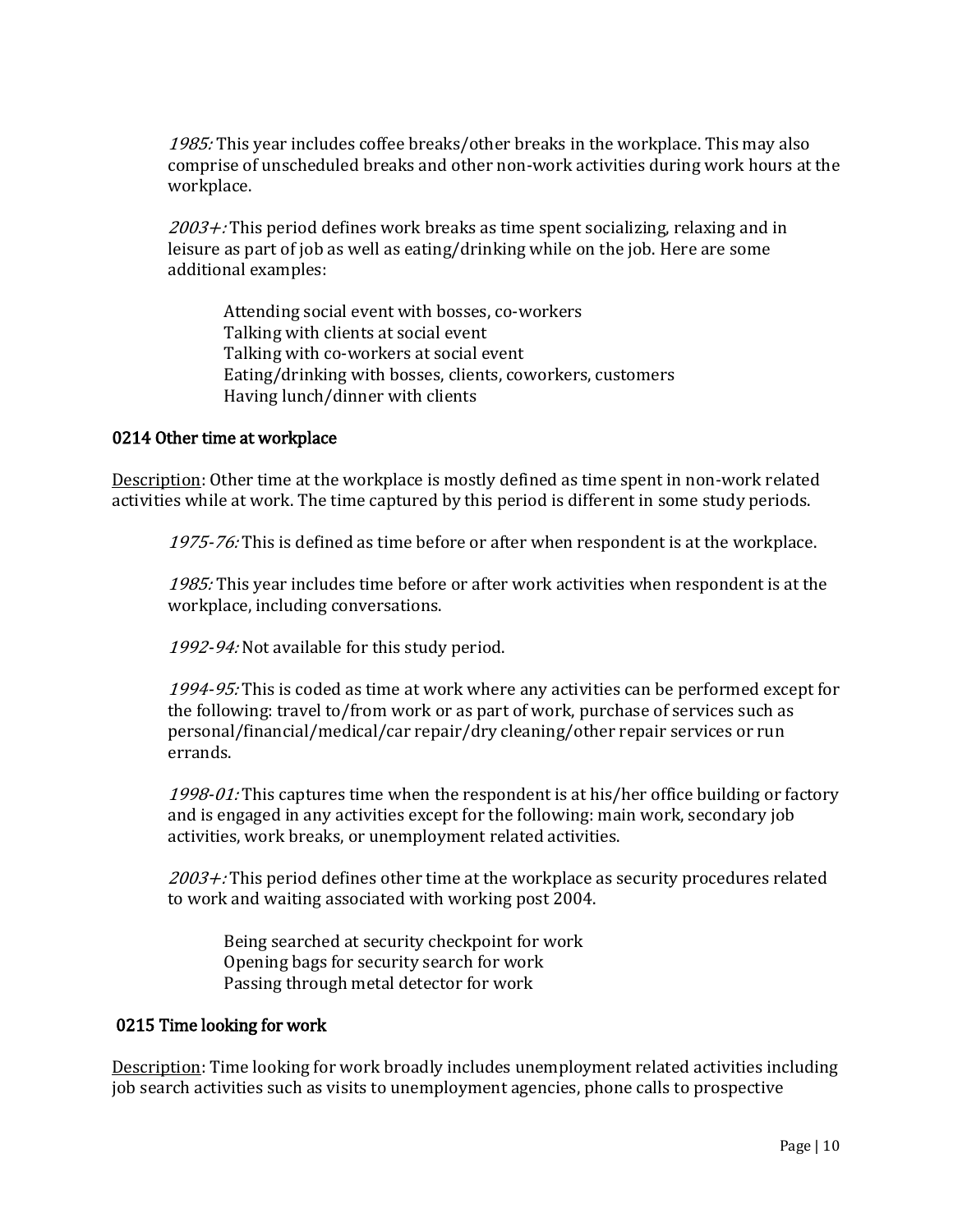1985: This year includes coffee breaks/other breaks in the workplace. This may also comprise of unscheduled breaks and other non-work activities during work hours at the workplace.

 $2003 +$ : This period defines work breaks as time spent socializing, relaxing and in leisure as part of job as well as eating/drinking while on the job. Here are some additional examples:

Attending social event with bosses, co-workers Talking with clients at social event Talking with co-workers at social event Eating/drinking with bosses, clients, coworkers, customers Having lunch/dinner with clients

### 0214 Other time at workplace

Description: Other time at the workplace is mostly defined as time spent in non-work related activities while at work. The time captured by this period is different in some study periods.

1975-76: This is defined as time before or after when respondent is at the workplace.

1985: This year includes time before or after work activities when respondent is at the workplace, including conversations.

1992-94: Not available for this study period.

1994-95: This is coded as time at work where any activities can be performed except for the following: travel to/from work or as part of work, purchase of services such as personal/financial/medical/car repair/dry cleaning/other repair services or run errands.

1998-01: This captures time when the respondent is at his/her office building or factory and is engaged in any activities except for the following: main work, secondary job activities, work breaks, or unemployment related activities.

 $2003 +$ : This period defines other time at the workplace as security procedures related to work and waiting associated with working post 2004.

Being searched at security checkpoint for work Opening bags for security search for work Passing through metal detector for work

### 0215 Time looking for work

Description: Time looking for work broadly includes unemployment related activities including job search activities such as visits to unemployment agencies, phone calls to prospective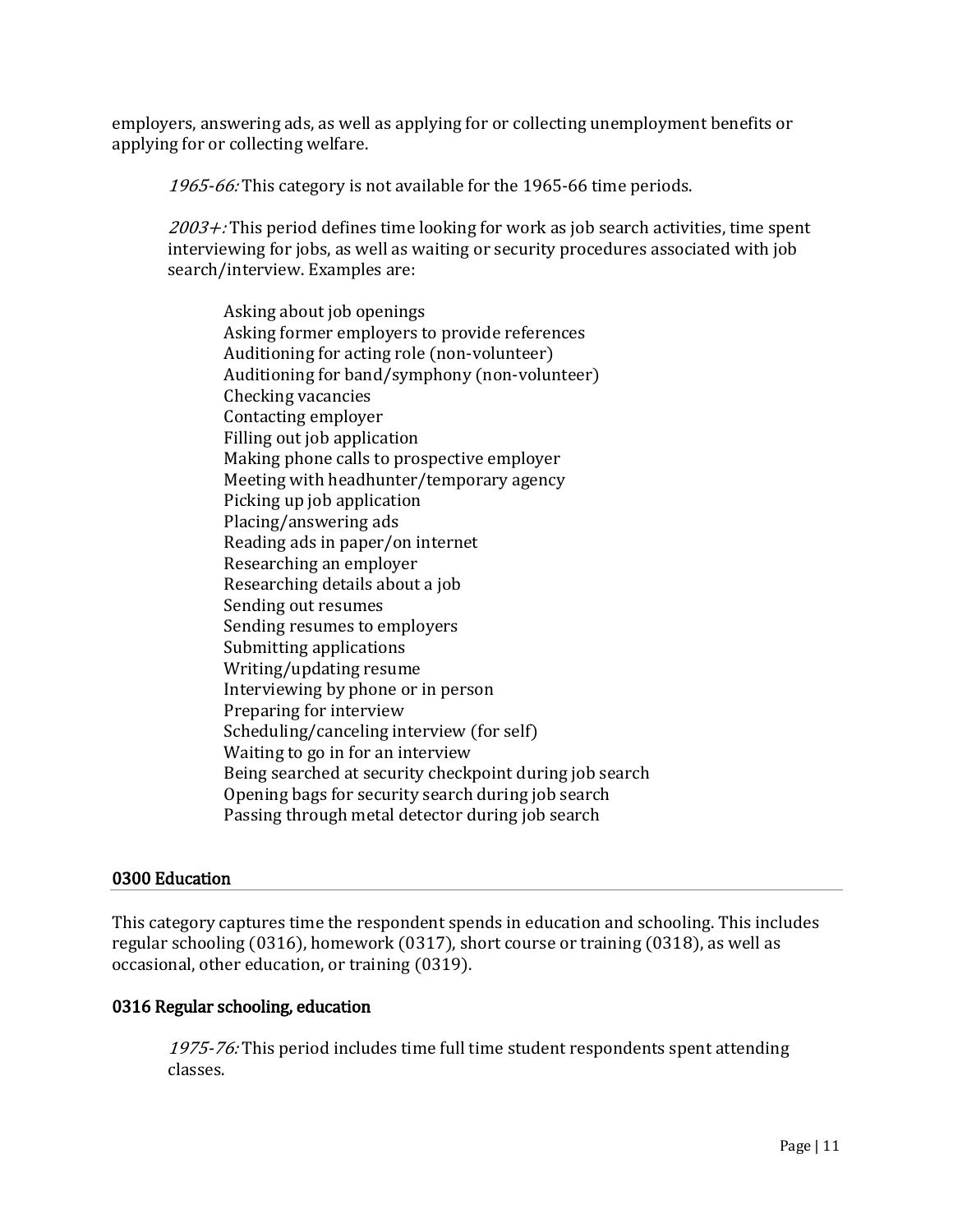employers, answering ads, as well as applying for or collecting unemployment benefits or applying for or collecting welfare.

1965-66: This category is not available for the 1965-66 time periods.

 $2003 +$ : This period defines time looking for work as job search activities, time spent interviewing for jobs, as well as waiting or security procedures associated with job search/interview. Examples are:

Asking about job openings Asking former employers to provide references Auditioning for acting role (non-volunteer) Auditioning for band/symphony (non-volunteer) Checking vacancies Contacting employer Filling out job application Making phone calls to prospective employer Meeting with headhunter/temporary agency Picking up job application Placing/answering ads Reading ads in paper/on internet Researching an employer Researching details about a job Sending out resumes Sending resumes to employers Submitting applications Writing/updating resume Interviewing by phone or in person Preparing for interview Scheduling/canceling interview (for self) Waiting to go in for an interview Being searched at security checkpoint during job search Opening bags for security search during job search Passing through metal detector during job search

# 0300 Education

This category captures time the respondent spends in education and schooling. This includes regular schooling (0316), homework (0317), short course or training (0318), as well as occasional, other education, or training (0319).

# 0316 Regular schooling, education

1975-76: This period includes time full time student respondents spent attending classes.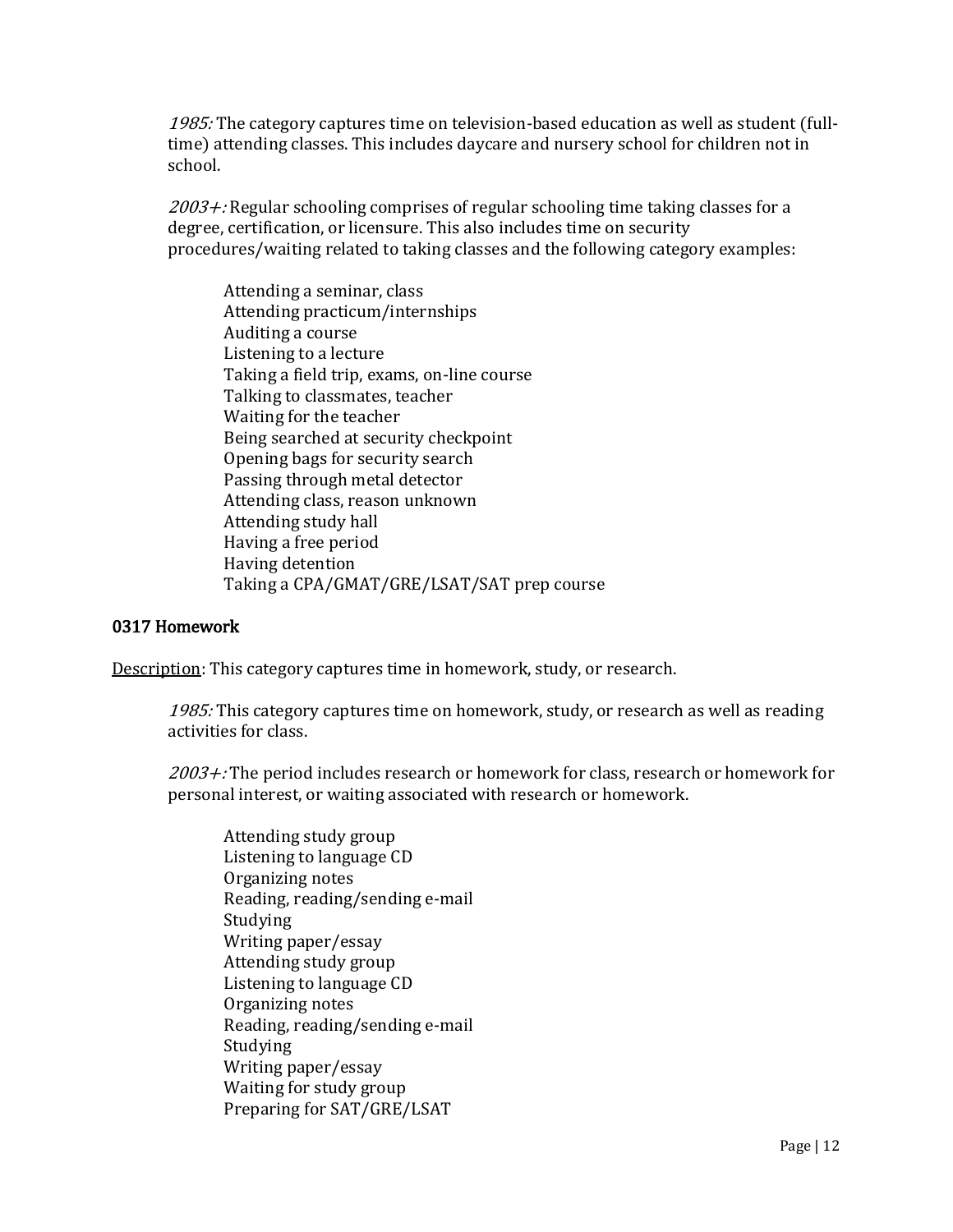1985: The category captures time on television-based education as well as student (fulltime) attending classes. This includes daycare and nursery school for children not in school.

 $2003 +$ : Regular schooling comprises of regular schooling time taking classes for a degree, certification, or licensure. This also includes time on security procedures/waiting related to taking classes and the following category examples:

Attending a seminar, class Attending practicum/internships Auditing a course Listening to a lecture Taking a field trip, exams, on-line course Talking to classmates, teacher Waiting for the teacher Being searched at security checkpoint Opening bags for security search Passing through metal detector Attending class, reason unknown Attending study hall Having a free period Having detention Taking a CPA/GMAT/GRE/LSAT/SAT prep course

## 0317 Homework

Description: This category captures time in homework, study, or research.

1985: This category captures time on homework, study, or research as well as reading activities for class.

 $2003 +$ : The period includes research or homework for class, research or homework for personal interest, or waiting associated with research or homework.

Attending study group Listening to language CD Organizing notes Reading, reading/sending e-mail Studying Writing paper/essay Attending study group Listening to language CD Organizing notes Reading, reading/sending e-mail Studying Writing paper/essay Waiting for study group Preparing for SAT/GRE/LSAT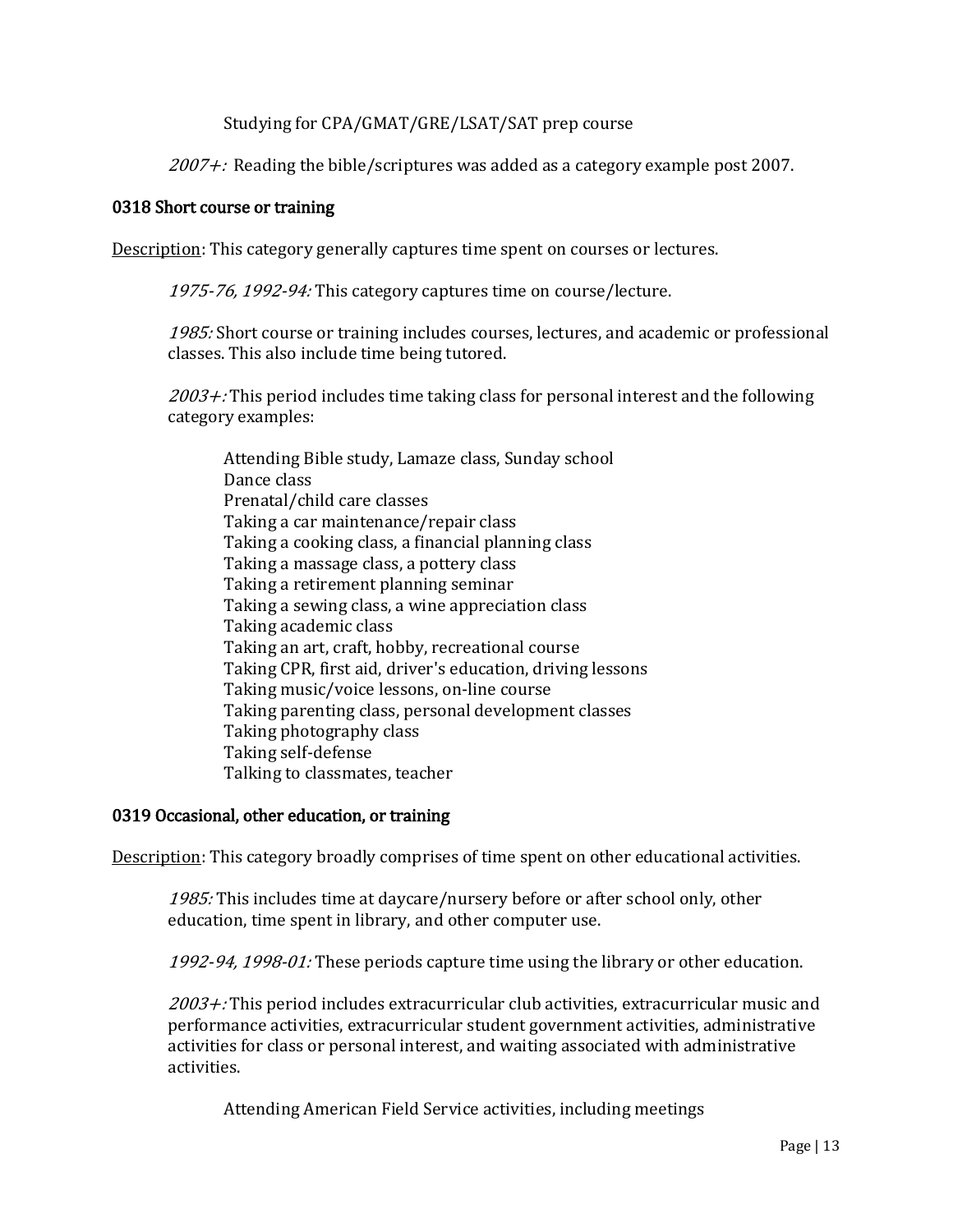# Studying for CPA/GMAT/GRE/LSAT/SAT prep course

 $2007 +$ : Reading the bible/scriptures was added as a category example post 2007.

## 0318 Short course or training

Description: This category generally captures time spent on courses or lectures.

1975-76, 1992-94: This category captures time on course/lecture.

1985: Short course or training includes courses, lectures, and academic or professional classes. This also include time being tutored.

 $2003 +$ : This period includes time taking class for personal interest and the following category examples:

Attending Bible study, Lamaze class, Sunday school Dance class Prenatal/child care classes Taking a car maintenance/repair class Taking a cooking class, a financial planning class Taking a massage class, a pottery class Taking a retirement planning seminar Taking a sewing class, a wine appreciation class Taking academic class Taking an art, craft, hobby, recreational course Taking CPR, first aid, driver's education, driving lessons Taking music/voice lessons, on-line course Taking parenting class, personal development classes Taking photography class Taking self-defense Talking to classmates, teacher

## 0319 Occasional, other education, or training

Description: This category broadly comprises of time spent on other educational activities.

1985: This includes time at daycare/nursery before or after school only, other education, time spent in library, and other computer use.

1992-94, 1998-01: These periods capture time using the library or other education.

 $2003 +$ : This period includes extracurricular club activities, extracurricular music and performance activities, extracurricular student government activities, administrative activities for class or personal interest, and waiting associated with administrative activities.

Attending American Field Service activities, including meetings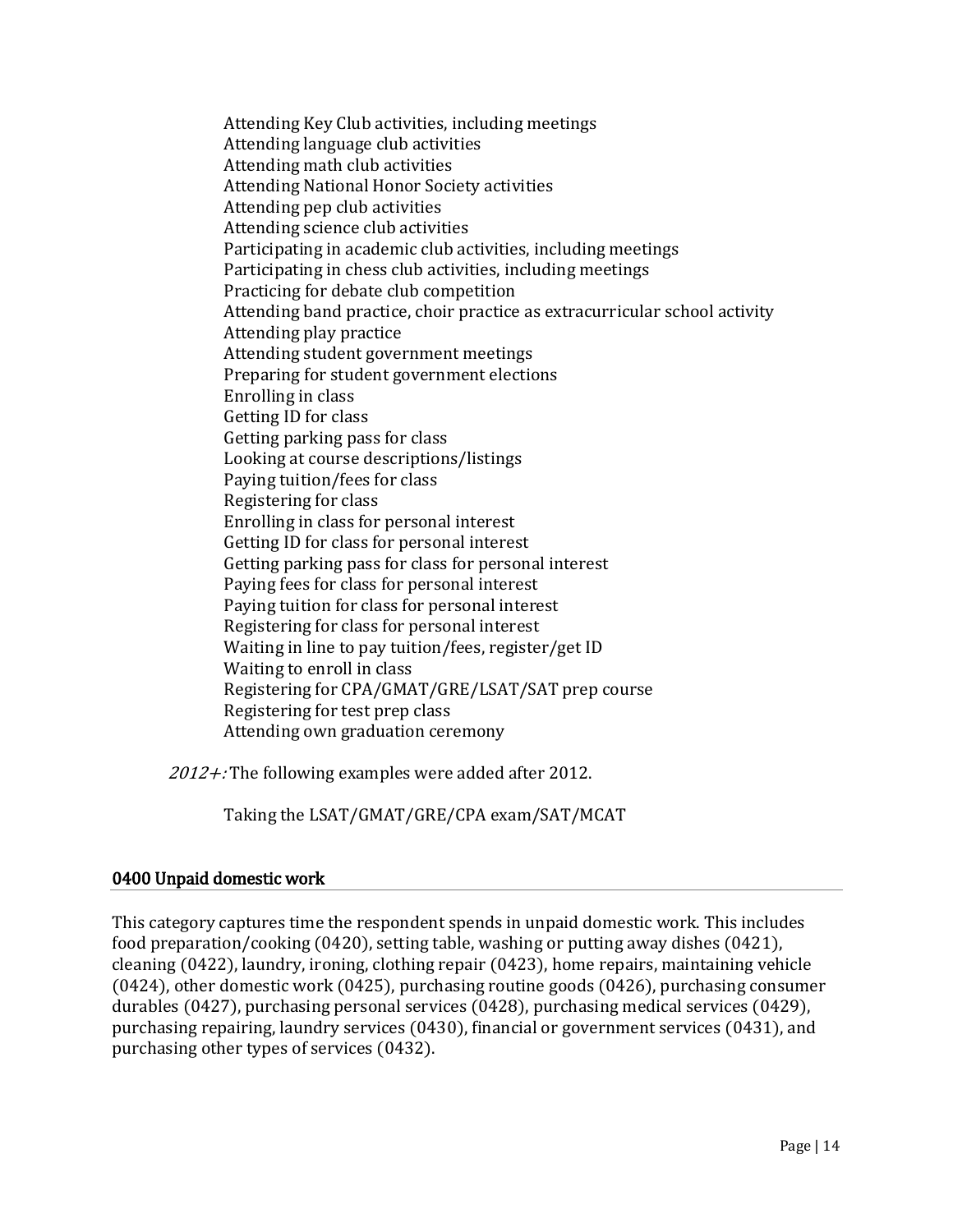Attending Key Club activities, including meetings Attending language club activities Attending math club activities Attending National Honor Society activities Attending pep club activities Attending science club activities Participating in academic club activities, including meetings Participating in chess club activities, including meetings Practicing for debate club competition Attending band practice, choir practice as extracurricular school activity Attending play practice Attending student government meetings Preparing for student government elections Enrolling in class Getting ID for class Getting parking pass for class Looking at course descriptions/listings Paying tuition/fees for class Registering for class Enrolling in class for personal interest Getting ID for class for personal interest Getting parking pass for class for personal interest Paying fees for class for personal interest Paying tuition for class for personal interest Registering for class for personal interest Waiting in line to pay tuition/fees, register/get ID Waiting to enroll in class Registering for CPA/GMAT/GRE/LSAT/SAT prep course Registering for test prep class Attending own graduation ceremony

 $2012 +$ : The following examples were added after 2012.

Taking the LSAT/GMAT/GRE/CPA exam/SAT/MCAT

# 0400 Unpaid domestic work

This category captures time the respondent spends in unpaid domestic work. This includes food preparation/cooking (0420), setting table, washing or putting away dishes (0421), cleaning (0422), laundry, ironing, clothing repair (0423), home repairs, maintaining vehicle (0424), other domestic work (0425), purchasing routine goods (0426), purchasing consumer durables (0427), purchasing personal services (0428), purchasing medical services (0429), purchasing repairing, laundry services (0430), financial or government services (0431), and purchasing other types of services (0432).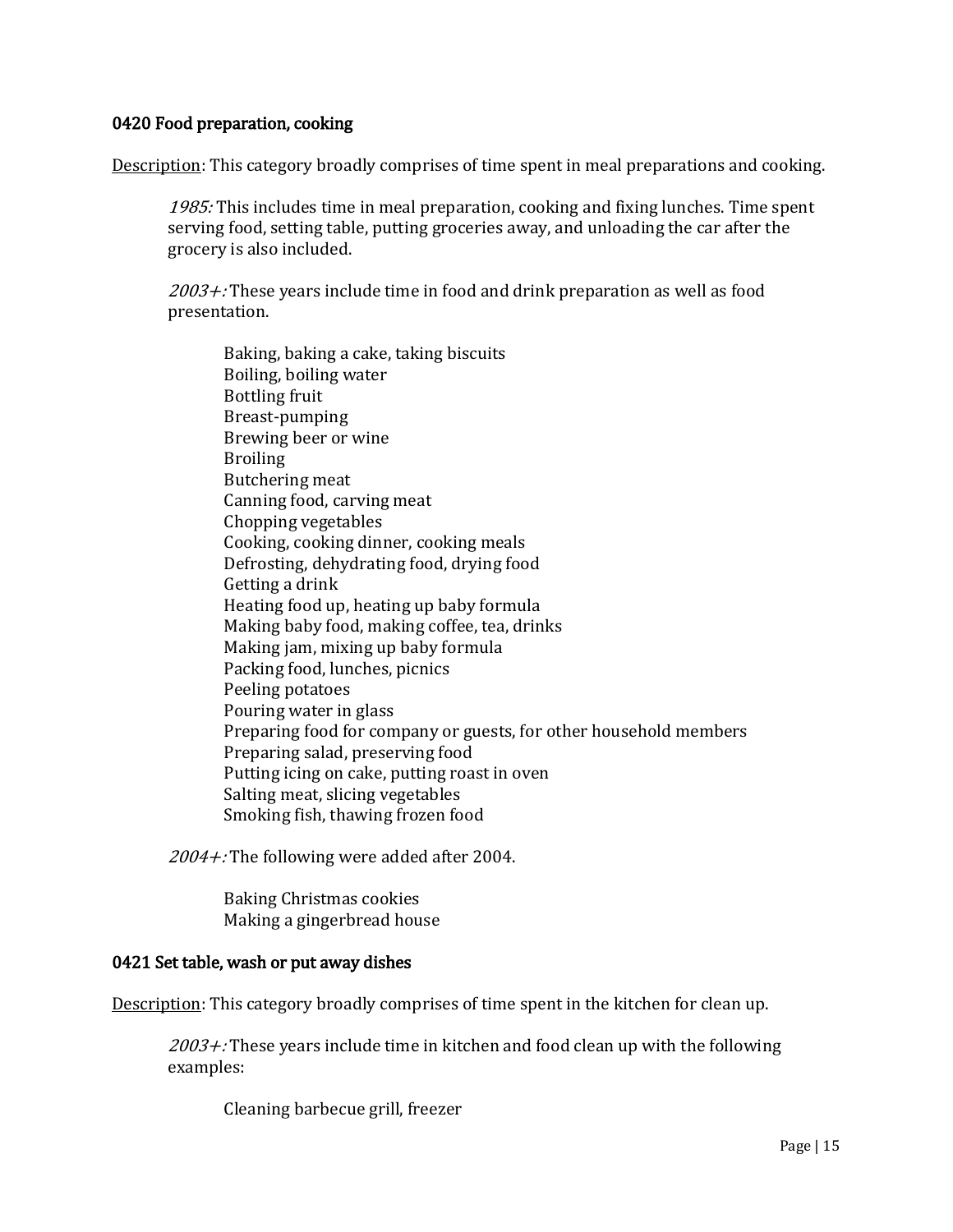# 0420 Food preparation, cooking

Description: This category broadly comprises of time spent in meal preparations and cooking.

1985: This includes time in meal preparation, cooking and fixing lunches. Time spent serving food, setting table, putting groceries away, and unloading the car after the grocery is also included.

 $2003 +$ : These years include time in food and drink preparation as well as food presentation.

Baking, baking a cake, taking biscuits Boiling, boiling water Bottling fruit Breast-pumping Brewing beer or wine **Broiling** Butchering meat Canning food, carving meat Chopping vegetables Cooking, cooking dinner, cooking meals Defrosting, dehydrating food, drying food Getting a drink Heating food up, heating up baby formula Making baby food, making coffee, tea, drinks Making jam, mixing up baby formula Packing food, lunches, picnics Peeling potatoes Pouring water in glass Preparing food for company or guests, for other household members Preparing salad, preserving food Putting icing on cake, putting roast in oven Salting meat, slicing vegetables Smoking fish, thawing frozen food

2004+: The following were added after 2004.

Baking Christmas cookies Making a gingerbread house

### 0421 Set table, wash or put away dishes

Description: This category broadly comprises of time spent in the kitchen for clean up.

 $2003 +$ : These years include time in kitchen and food clean up with the following examples:

Cleaning barbecue grill, freezer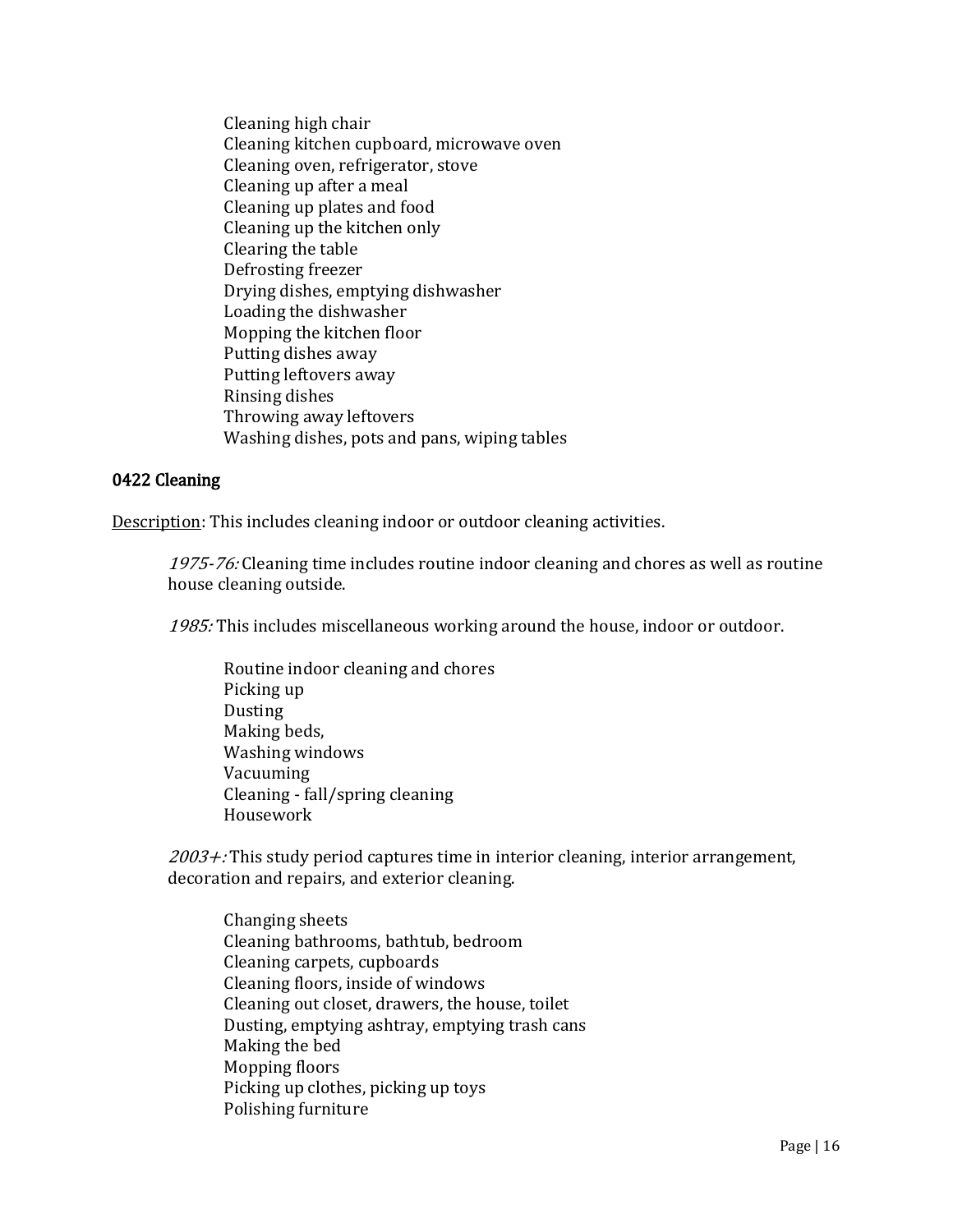Cleaning high chair Cleaning kitchen cupboard, microwave oven Cleaning oven, refrigerator, stove Cleaning up after a meal Cleaning up plates and food Cleaning up the kitchen only Clearing the table Defrosting freezer Drying dishes, emptying dishwasher Loading the dishwasher Mopping the kitchen floor Putting dishes away Putting leftovers away Rinsing dishes Throwing away leftovers Washing dishes, pots and pans, wiping tables

## 0422 Cleaning

Description: This includes cleaning indoor or outdoor cleaning activities.

1975-76: Cleaning time includes routine indoor cleaning and chores as well as routine house cleaning outside.

1985: This includes miscellaneous working around the house, indoor or outdoor.

Routine indoor cleaning and chores Picking up Dusting Making beds, Washing windows Vacuuming Cleaning - fall/spring cleaning Housework

 $2003 +$ : This study period captures time in interior cleaning, interior arrangement, decoration and repairs, and exterior cleaning.

Changing sheets Cleaning bathrooms, bathtub, bedroom Cleaning carpets, cupboards Cleaning floors, inside of windows Cleaning out closet, drawers, the house, toilet Dusting, emptying ashtray, emptying trash cans Making the bed Mopping floors Picking up clothes, picking up toys Polishing furniture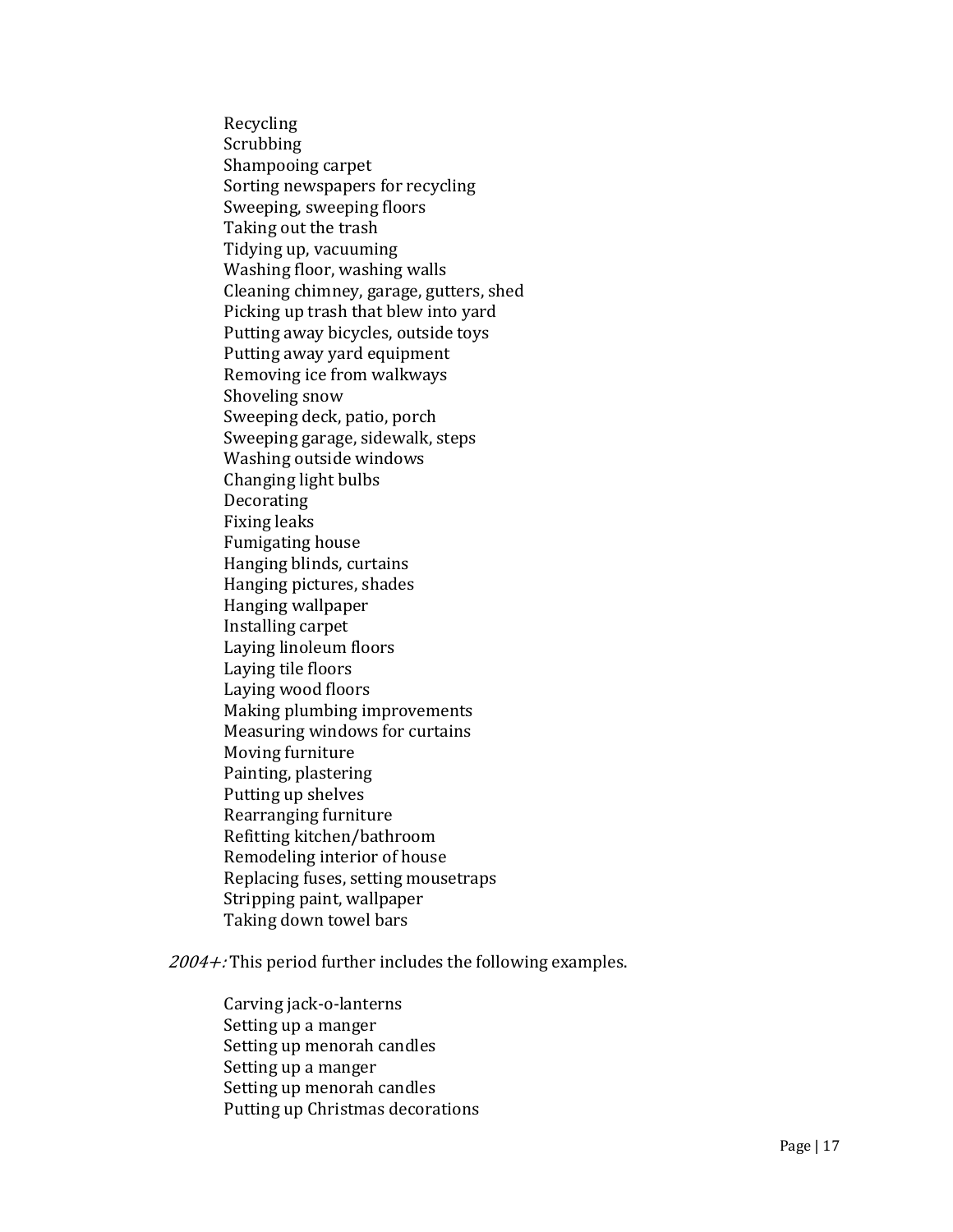Recycling Scrubbing Shampooing carpet Sorting newspapers for recycling Sweeping, sweeping floors Taking out the trash Tidying up, vacuuming Washing floor, washing walls Cleaning chimney, garage, gutters, shed Picking up trash that blew into yard Putting away bicycles, outside toys Putting away yard equipment Removing ice from walkways Shoveling snow Sweeping deck, patio, porch Sweeping garage, sidewalk, steps Washing outside windows Changing light bulbs Decorating Fixing leaks Fumigating house Hanging blinds, curtains Hanging pictures, shades Hanging wallpaper Installing carpet Laying linoleum floors Laying tile floors Laying wood floors Making plumbing improvements Measuring windows for curtains Moving furniture Painting, plastering Putting up shelves Rearranging furniture Refitting kitchen/bathroom Remodeling interior of house Replacing fuses, setting mousetraps Stripping paint, wallpaper Taking down towel bars

 $2004 +$ : This period further includes the following examples.

Carving jack-o-lanterns Setting up a manger Setting up menorah candles Setting up a manger Setting up menorah candles Putting up Christmas decorations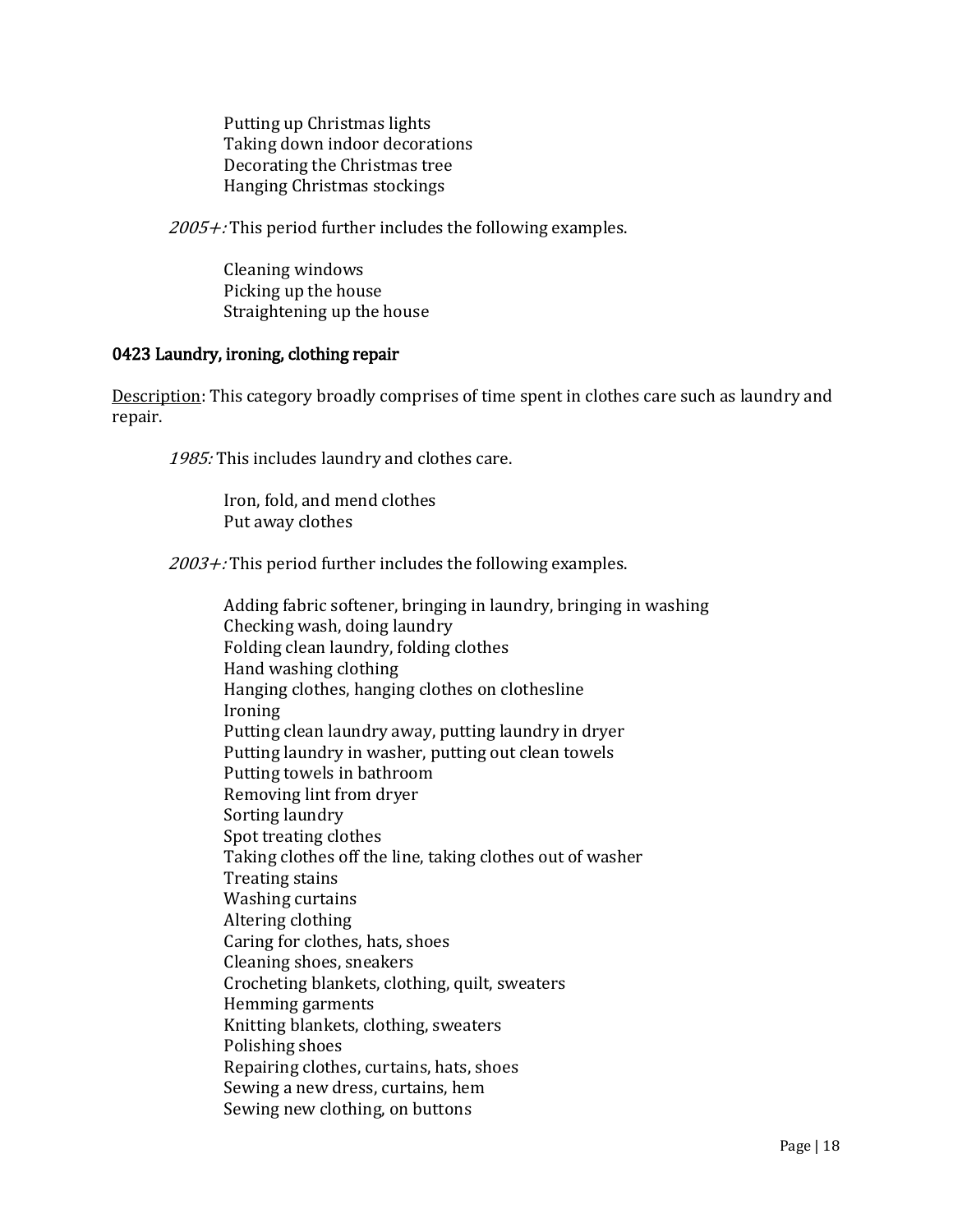Putting up Christmas lights Taking down indoor decorations Decorating the Christmas tree Hanging Christmas stockings

 $2005 +$ : This period further includes the following examples.

Cleaning windows Picking up the house Straightening up the house

### 0423 Laundry, ironing, clothing repair

Description: This category broadly comprises of time spent in clothes care such as laundry and repair.

1985: This includes laundry and clothes care.

Iron, fold, and mend clothes Put away clothes

 $2003 +$ : This period further includes the following examples.

Adding fabric softener, bringing in laundry, bringing in washing Checking wash, doing laundry Folding clean laundry, folding clothes Hand washing clothing Hanging clothes, hanging clothes on clothesline Ironing Putting clean laundry away, putting laundry in dryer Putting laundry in washer, putting out clean towels Putting towels in bathroom Removing lint from dryer Sorting laundry Spot treating clothes Taking clothes off the line, taking clothes out of washer Treating stains Washing curtains Altering clothing Caring for clothes, hats, shoes Cleaning shoes, sneakers Crocheting blankets, clothing, quilt, sweaters Hemming garments Knitting blankets, clothing, sweaters Polishing shoes Repairing clothes, curtains, hats, shoes Sewing a new dress, curtains, hem Sewing new clothing, on buttons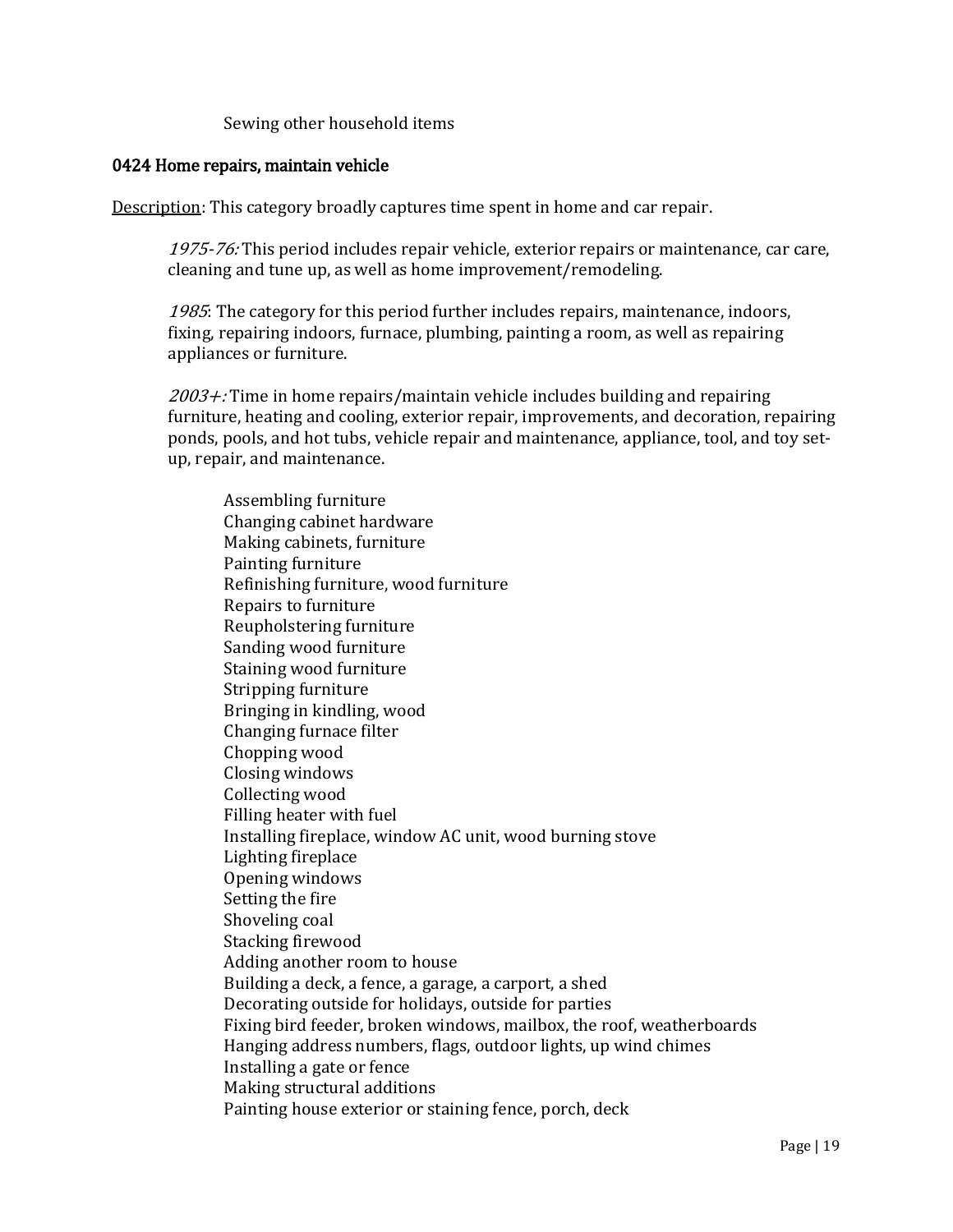## Sewing other household items

## 0424 Home repairs, maintain vehicle

Description: This category broadly captures time spent in home and car repair.

1975-76: This period includes repair vehicle, exterior repairs or maintenance, car care, cleaning and tune up, as well as home improvement/remodeling.

1985: The category for this period further includes repairs, maintenance, indoors, fixing, repairing indoors, furnace, plumbing, painting a room, as well as repairing appliances or furniture.

 $2003 +$ : Time in home repairs/maintain vehicle includes building and repairing furniture, heating and cooling, exterior repair, improvements, and decoration, repairing ponds, pools, and hot tubs, vehicle repair and maintenance, appliance, tool, and toy setup, repair, and maintenance.

Assembling furniture Changing cabinet hardware Making cabinets, furniture Painting furniture Refinishing furniture, wood furniture Repairs to furniture Reupholstering furniture Sanding wood furniture Staining wood furniture Stripping furniture Bringing in kindling, wood Changing furnace filter Chopping wood Closing windows Collecting wood Filling heater with fuel Installing fireplace, window AC unit, wood burning stove Lighting fireplace Opening windows Setting the fire Shoveling coal Stacking firewood Adding another room to house Building a deck, a fence, a garage, a carport, a shed Decorating outside for holidays, outside for parties Fixing bird feeder, broken windows, mailbox, the roof, weatherboards Hanging address numbers, flags, outdoor lights, up wind chimes Installing a gate or fence Making structural additions Painting house exterior or staining fence, porch, deck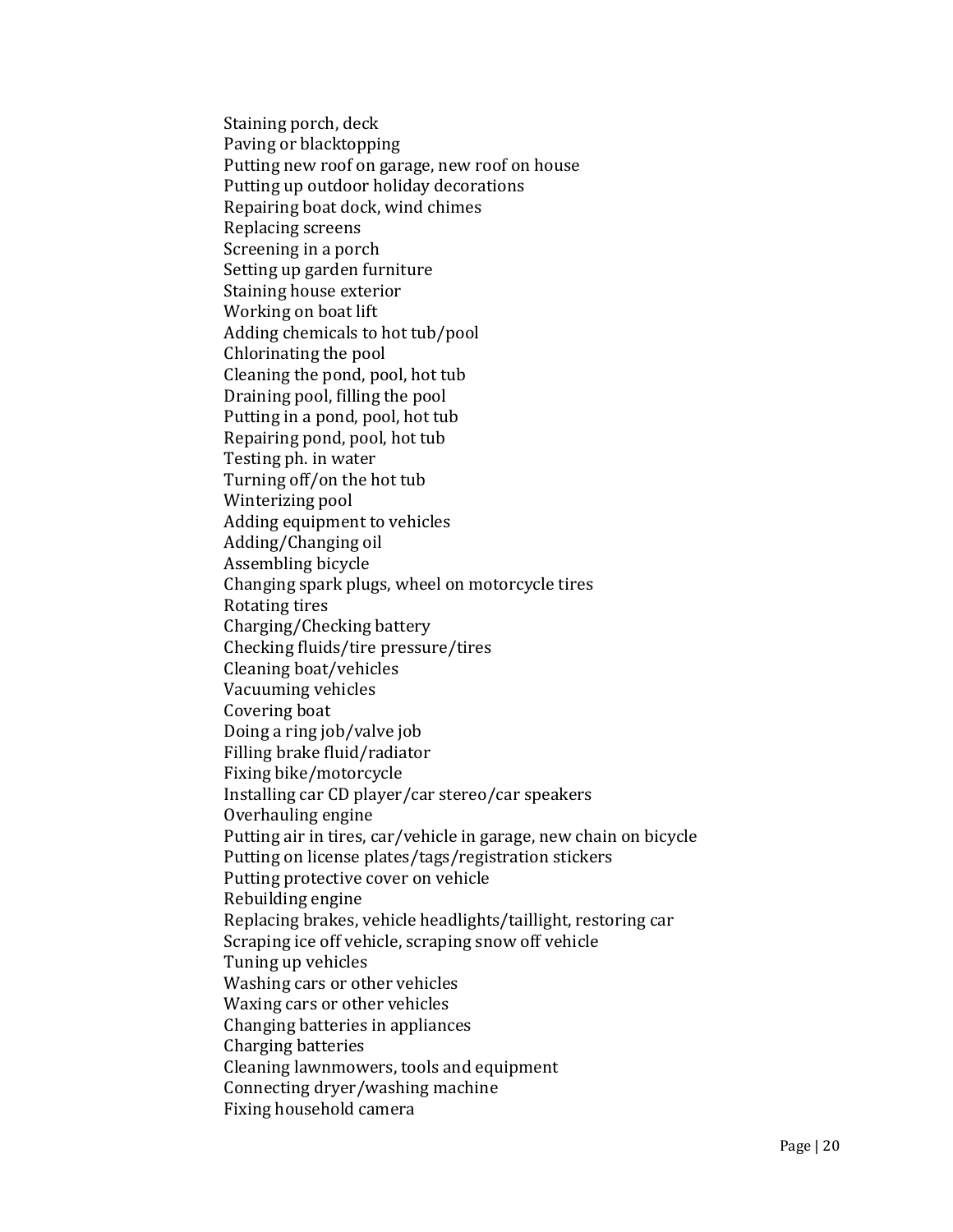Staining porch, deck Paving or blacktopping Putting new roof on garage, new roof on house Putting up outdoor holiday decorations Repairing boat dock, wind chimes Replacing screens Screening in a porch Setting up garden furniture Staining house exterior Working on boat lift Adding chemicals to hot tub/pool Chlorinating the pool Cleaning the pond, pool, hot tub Draining pool, filling the pool Putting in a pond, pool, hot tub Repairing pond, pool, hot tub Testing ph. in water Turning off/on the hot tub Winterizing pool Adding equipment to vehicles Adding/Changing oil Assembling bicycle Changing spark plugs, wheel on motorcycle tires Rotating tires Charging/Checking battery Checking fluids/tire pressure/tires Cleaning boat/vehicles Vacuuming vehicles Covering boat Doing a ring job/valve job Filling brake fluid/radiator Fixing bike/motorcycle Installing car CD player/car stereo/car speakers Overhauling engine Putting air in tires, car/vehicle in garage, new chain on bicycle Putting on license plates/tags/registration stickers Putting protective cover on vehicle Rebuilding engine Replacing brakes, vehicle headlights/taillight, restoring car Scraping ice off vehicle, scraping snow off vehicle Tuning up vehicles Washing cars or other vehicles Waxing cars or other vehicles Changing batteries in appliances Charging batteries Cleaning lawnmowers, tools and equipment Connecting dryer/washing machine Fixing household camera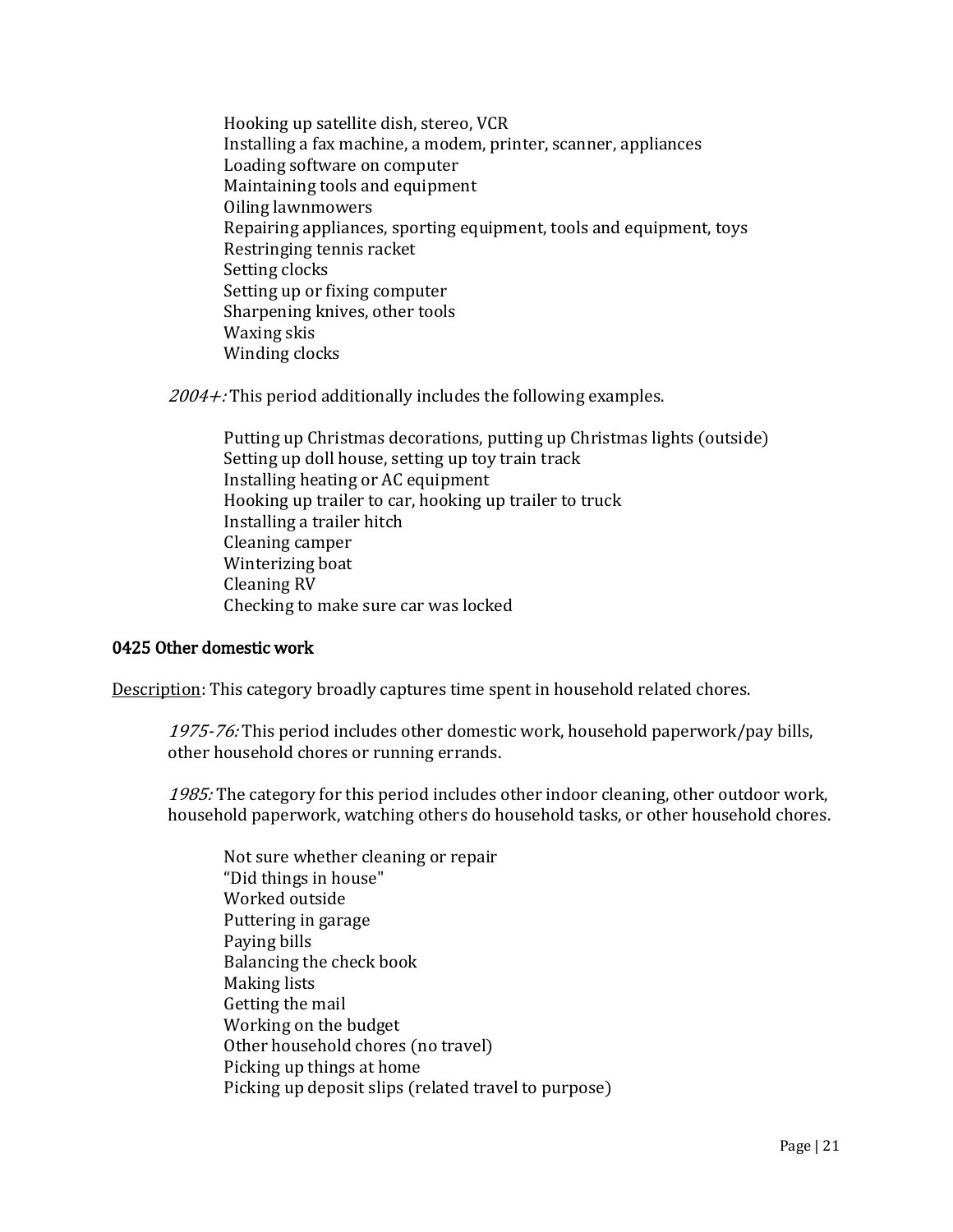Hooking up satellite dish, stereo, VCR Installing a fax machine, a modem, printer, scanner, appliances Loading software on computer Maintaining tools and equipment Oiling lawnmowers Repairing appliances, sporting equipment, tools and equipment, toys Restringing tennis racket Setting clocks Setting up or fixing computer Sharpening knives, other tools Waxing skis Winding clocks

 $2004 +$ : This period additionally includes the following examples.

Putting up Christmas decorations, putting up Christmas lights (outside) Setting up doll house, setting up toy train track Installing heating or AC equipment Hooking up trailer to car, hooking up trailer to truck Installing a trailer hitch Cleaning camper Winterizing boat Cleaning RV Checking to make sure car was locked

### 0425 Other domestic work

Description: This category broadly captures time spent in household related chores.

1975-76: This period includes other domestic work, household paperwork/pay bills, other household chores or running errands.

1985: The category for this period includes other indoor cleaning, other outdoor work, household paperwork, watching others do household tasks, or other household chores.

Not sure whether cleaning or repair "Did things in house" Worked outside Puttering in garage Paying bills Balancing the check book Making lists Getting the mail Working on the budget Other household chores (no travel) Picking up things at home Picking up deposit slips (related travel to purpose)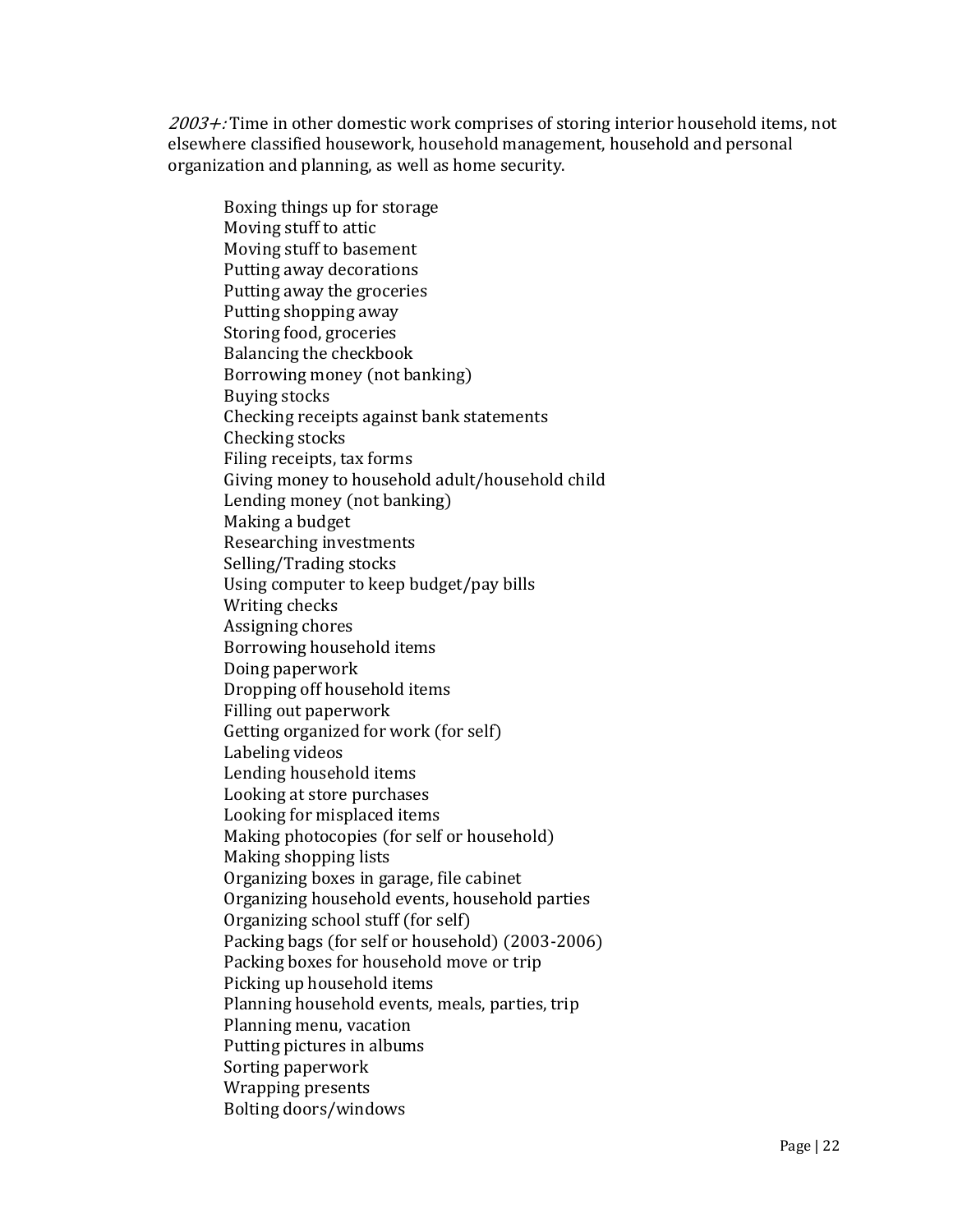2003+: Time in other domestic work comprises of storing interior household items, not elsewhere classified housework, household management, household and personal organization and planning, as well as home security.

Boxing things up for storage Moving stuff to attic Moving stuff to basement Putting away decorations Putting away the groceries Putting shopping away Storing food, groceries Balancing the checkbook Borrowing money (not banking) Buying stocks Checking receipts against bank statements Checking stocks Filing receipts, tax forms Giving money to household adult/household child Lending money (not banking) Making a budget Researching investments Selling/Trading stocks Using computer to keep budget/pay bills Writing checks Assigning chores Borrowing household items Doing paperwork Dropping off household items Filling out paperwork Getting organized for work (for self) Labeling videos Lending household items Looking at store purchases Looking for misplaced items Making photocopies (for self or household) Making shopping lists Organizing boxes in garage, file cabinet Organizing household events, household parties Organizing school stuff (for self) Packing bags (for self or household) (2003-2006) Packing boxes for household move or trip Picking up household items Planning household events, meals, parties, trip Planning menu, vacation Putting pictures in albums Sorting paperwork Wrapping presents Bolting doors/windows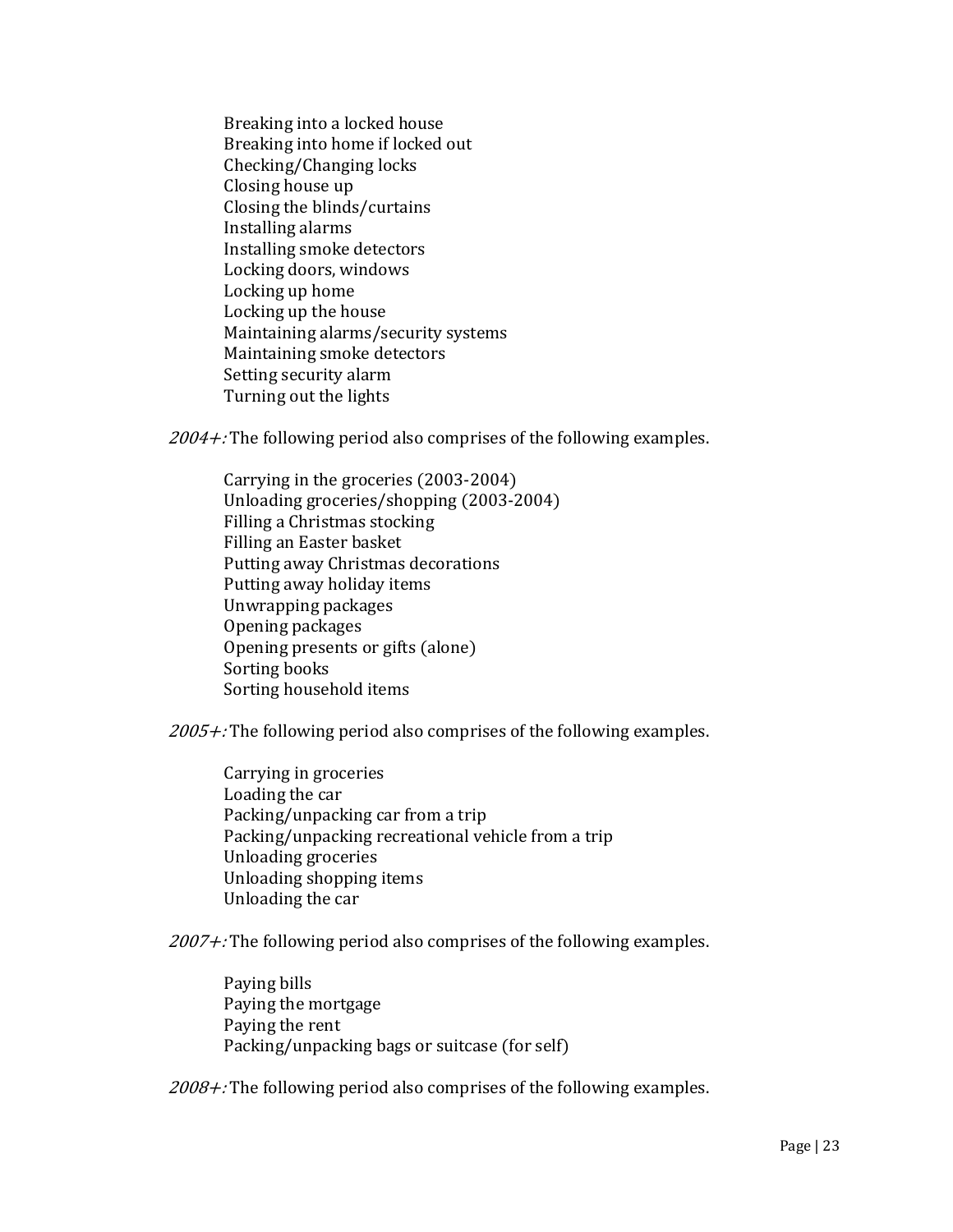Breaking into a locked house Breaking into home if locked out Checking/Changing locks Closing house up Closing the blinds/curtains Installing alarms Installing smoke detectors Locking doors, windows Locking up home Locking up the house Maintaining alarms/security systems Maintaining smoke detectors Setting security alarm Turning out the lights

 $2004 +$ : The following period also comprises of the following examples.

Carrying in the groceries (2003-2004) Unloading groceries/shopping (2003-2004) Filling a Christmas stocking Filling an Easter basket Putting away Christmas decorations Putting away holiday items Unwrapping packages Opening packages Opening presents or gifts (alone) Sorting books Sorting household items

 $2005 +$ : The following period also comprises of the following examples.

Carrying in groceries Loading the car Packing/unpacking car from a trip Packing/unpacking recreational vehicle from a trip Unloading groceries Unloading shopping items Unloading the car

 $2007 +$ : The following period also comprises of the following examples.

Paying bills Paying the mortgage Paying the rent Packing/unpacking bags or suitcase (for self)

 $2008 +$ : The following period also comprises of the following examples.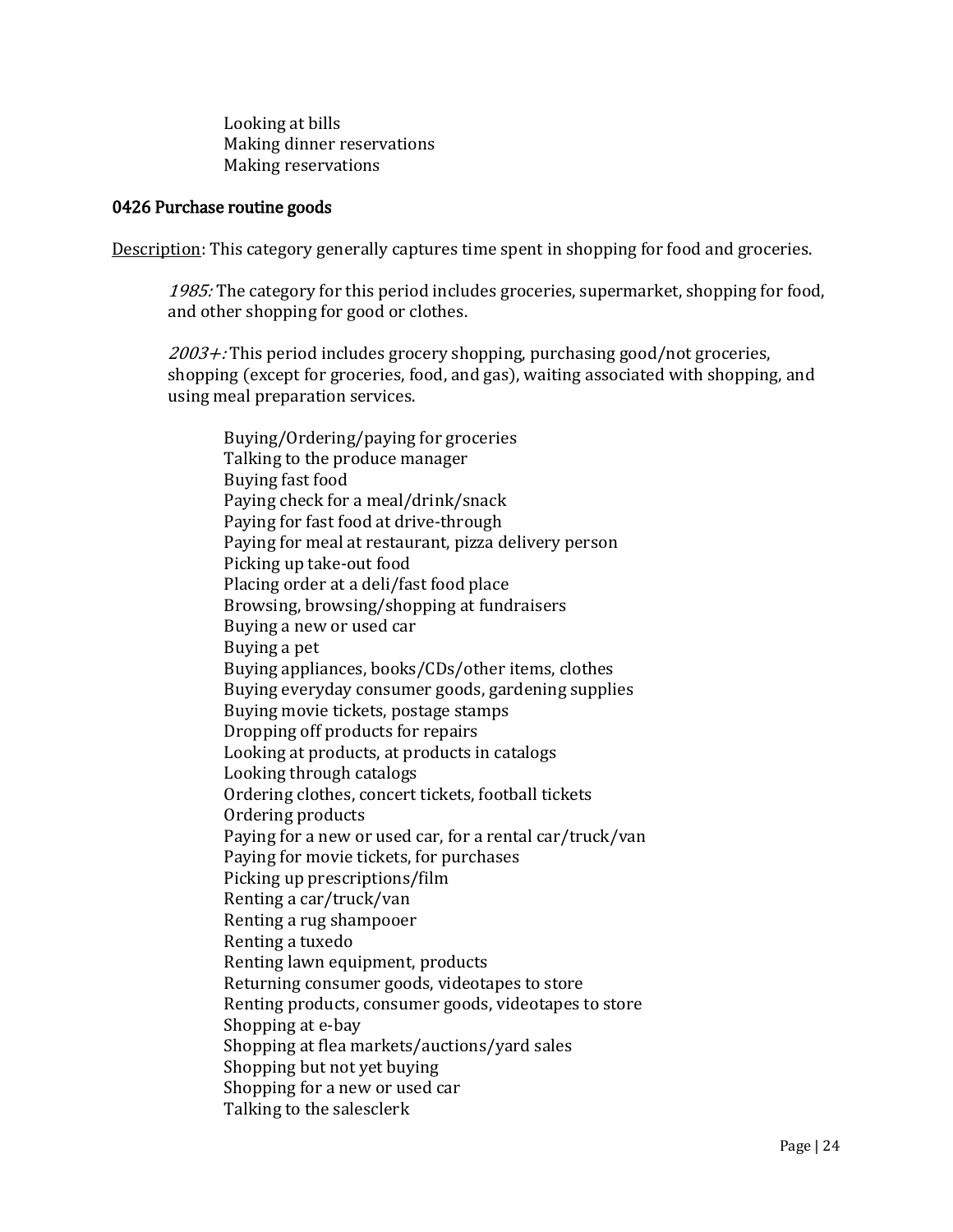Looking at bills Making dinner reservations Making reservations

### 0426 Purchase routine goods

Description: This category generally captures time spent in shopping for food and groceries.

1985: The category for this period includes groceries, supermarket, shopping for food, and other shopping for good or clothes.

 $2003 +$ : This period includes grocery shopping, purchasing good/not groceries, shopping (except for groceries, food, and gas), waiting associated with shopping, and using meal preparation services.

Buying/Ordering/paying for groceries Talking to the produce manager Buying fast food Paying check for a meal/drink/snack Paying for fast food at drive-through Paying for meal at restaurant, pizza delivery person Picking up take-out food Placing order at a deli/fast food place Browsing, browsing/shopping at fundraisers Buying a new or used car Buying a pet Buying appliances, books/CDs/other items, clothes Buying everyday consumer goods, gardening supplies Buying movie tickets, postage stamps Dropping off products for repairs Looking at products, at products in catalogs Looking through catalogs Ordering clothes, concert tickets, football tickets Ordering products Paying for a new or used car, for a rental car/truck/van Paying for movie tickets, for purchases Picking up prescriptions/film Renting a car/truck/van Renting a rug shampooer Renting a tuxedo Renting lawn equipment, products Returning consumer goods, videotapes to store Renting products, consumer goods, videotapes to store Shopping at e-bay Shopping at flea markets/auctions/yard sales Shopping but not yet buying Shopping for a new or used car Talking to the salesclerk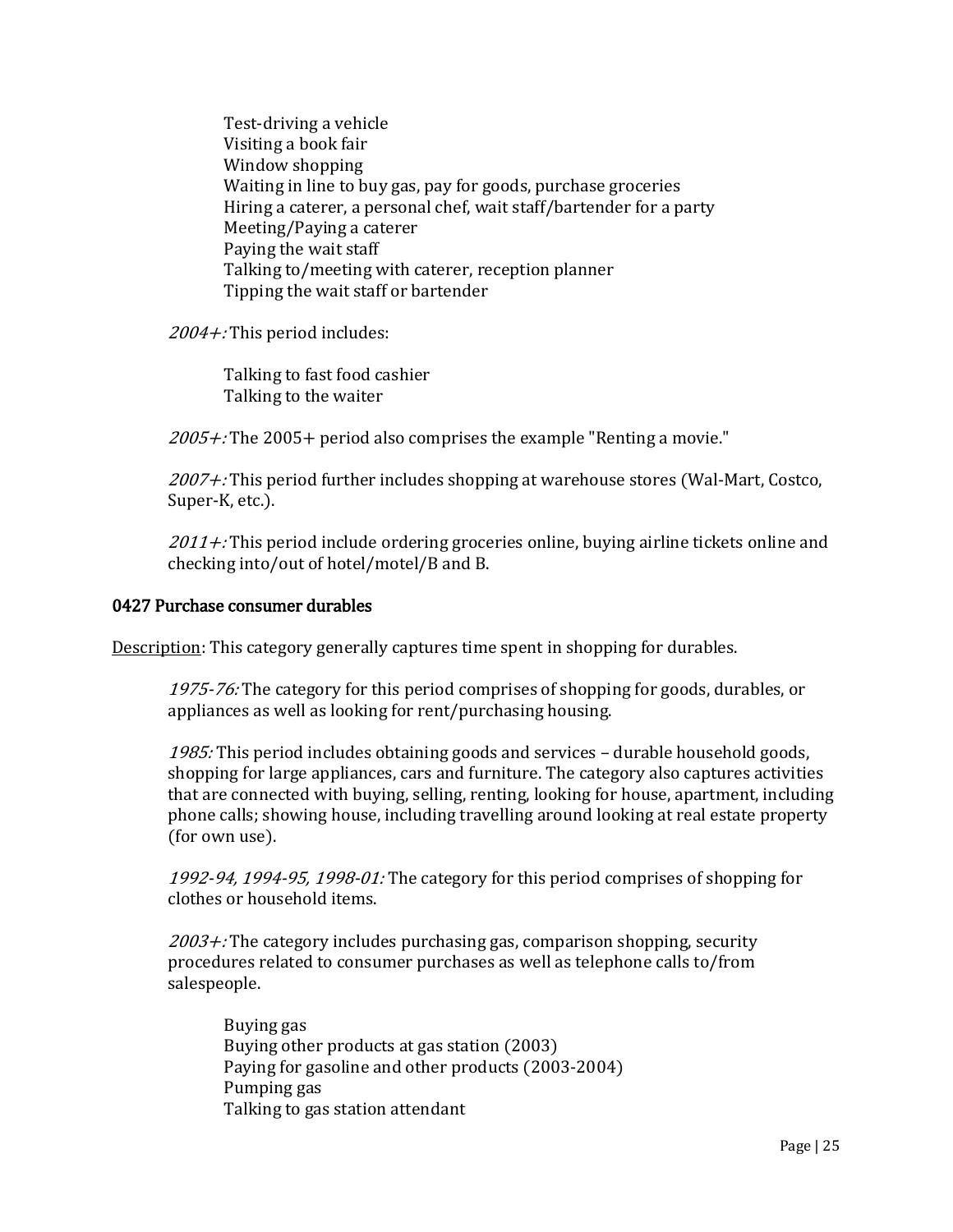Test-driving a vehicle Visiting a book fair Window shopping Waiting in line to buy gas, pay for goods, purchase groceries Hiring a caterer, a personal chef, wait staff/bartender for a party Meeting/Paying a caterer Paying the wait staff Talking to/meeting with caterer, reception planner Tipping the wait staff or bartender

2004+: This period includes:

Talking to fast food cashier Talking to the waiter

 $2005 +$ : The 2005+ period also comprises the example "Renting a movie."

2007+: This period further includes shopping at warehouse stores (Wal-Mart, Costco, Super-K, etc.).

 $2011 +$ : This period include ordering groceries online, buying airline tickets online and checking into/out of hotel/motel/B and B.

## 0427 Purchase consumer durables

Description: This category generally captures time spent in shopping for durables.

1975-76: The category for this period comprises of shopping for goods, durables, or appliances as well as looking for rent/purchasing housing.

1985: This period includes obtaining goods and services - durable household goods, shopping for large appliances, cars and furniture. The category also captures activities that are connected with buying, selling, renting, looking for house, apartment, including phone calls; showing house, including travelling around looking at real estate property (for own use).

1992-94, 1994-95, 1998-01: The category for this period comprises of shopping for clothes or household items.

 $2003 +$ : The category includes purchasing gas, comparison shopping, security procedures related to consumer purchases as well as telephone calls to/from salespeople.

Buying gas Buying other products at gas station (2003) Paying for gasoline and other products (2003-2004) Pumping gas Talking to gas station attendant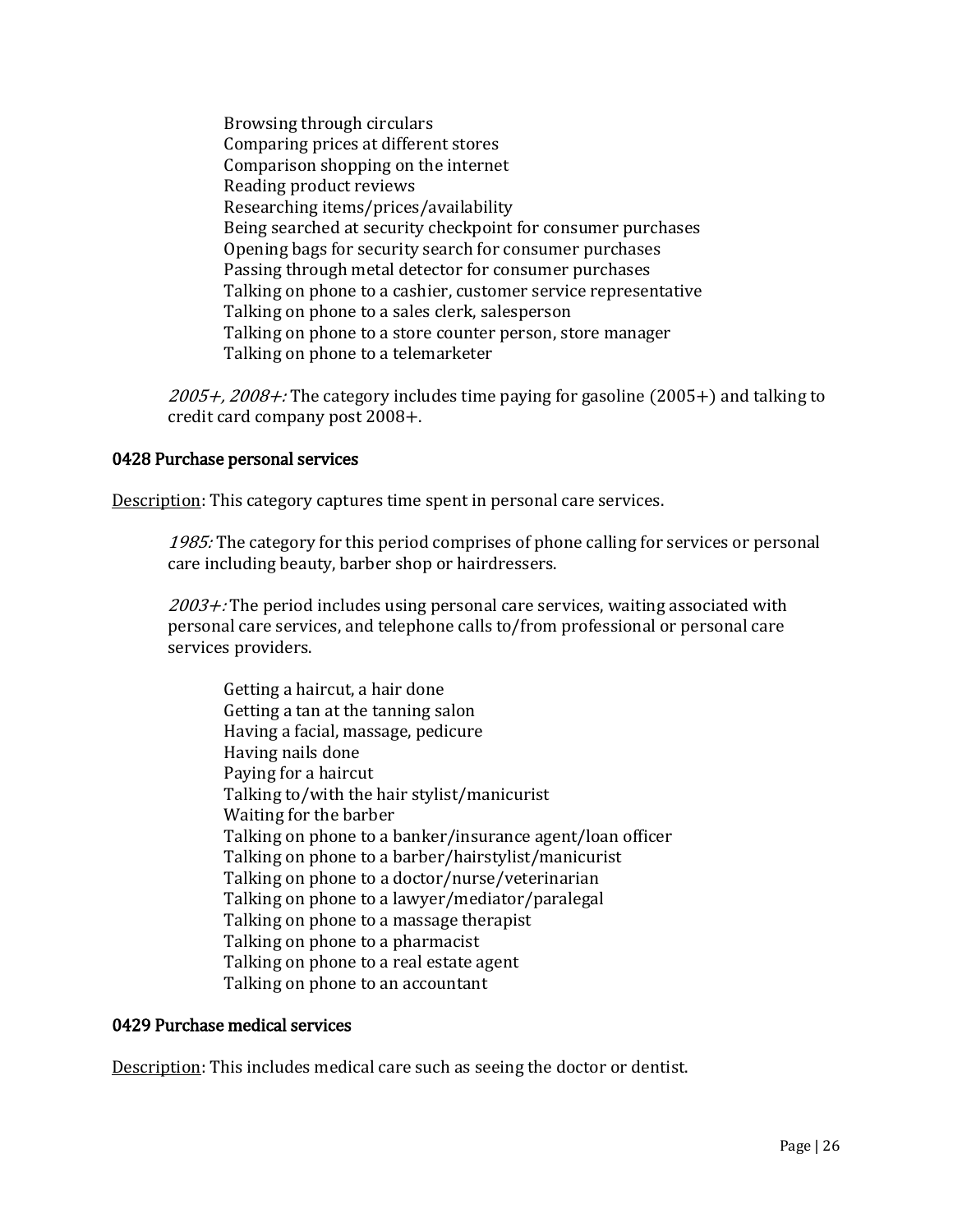Browsing through circulars Comparing prices at different stores Comparison shopping on the internet Reading product reviews Researching items/prices/availability Being searched at security checkpoint for consumer purchases Opening bags for security search for consumer purchases Passing through metal detector for consumer purchases Talking on phone to a cashier, customer service representative Talking on phone to a sales clerk, salesperson Talking on phone to a store counter person, store manager Talking on phone to a telemarketer

 $2005 + 2008 +$ : The category includes time paying for gasoline (2005+) and talking to credit card company post 2008+.

### 0428 Purchase personal services

Description: This category captures time spent in personal care services.

1985: The category for this period comprises of phone calling for services or personal care including beauty, barber shop or hairdressers.

 $2003 +$ : The period includes using personal care services, waiting associated with personal care services, and telephone calls to/from professional or personal care services providers.

Getting a haircut, a hair done Getting a tan at the tanning salon Having a facial, massage, pedicure Having nails done Paying for a haircut Talking to/with the hair stylist/manicurist Waiting for the barber Talking on phone to a banker/insurance agent/loan officer Talking on phone to a barber/hairstylist/manicurist Talking on phone to a doctor/nurse/veterinarian Talking on phone to a lawyer/mediator/paralegal Talking on phone to a massage therapist Talking on phone to a pharmacist Talking on phone to a real estate agent Talking on phone to an accountant

# 0429 Purchase medical services

Description: This includes medical care such as seeing the doctor or dentist.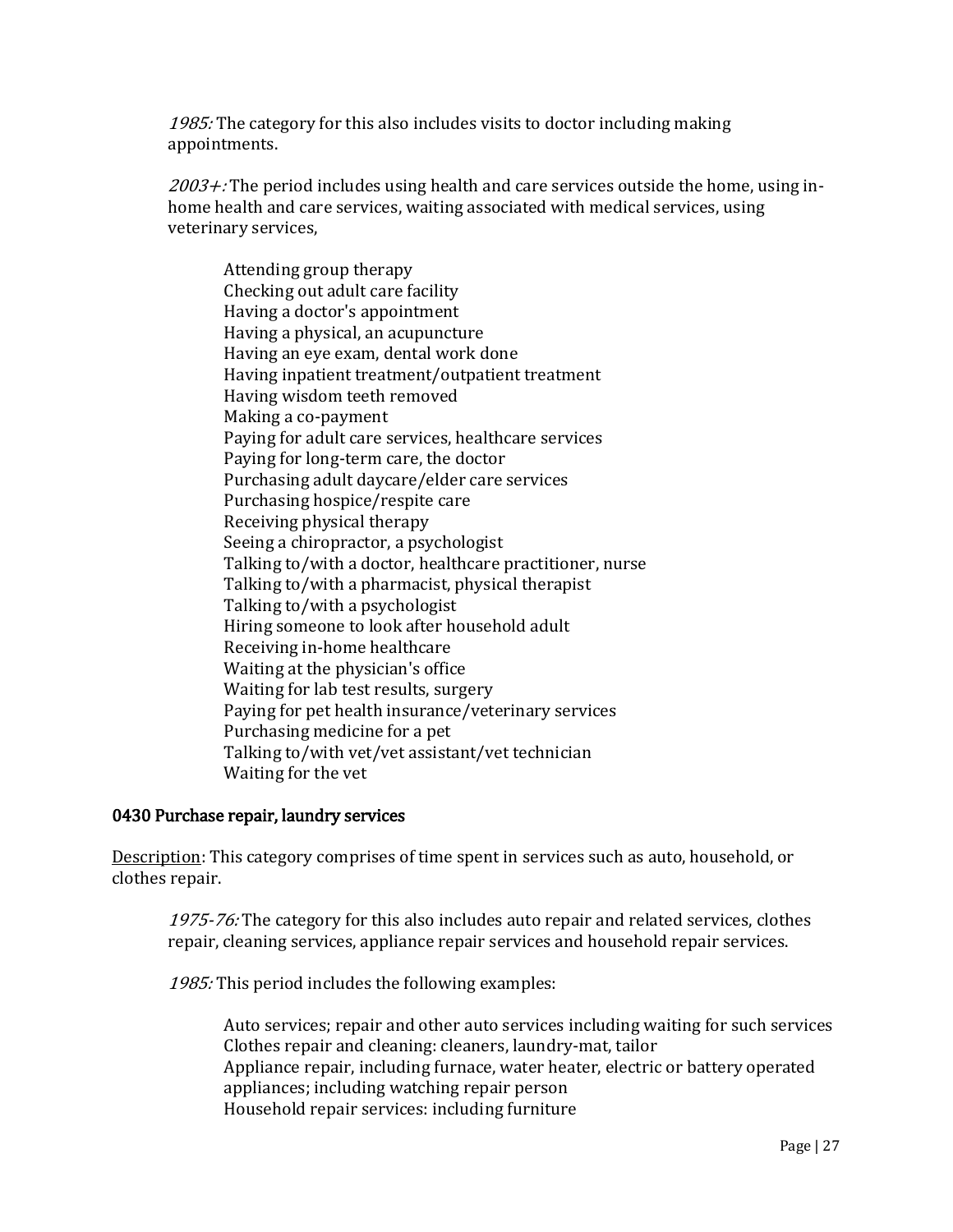1985: The category for this also includes visits to doctor including making appointments.

 $2003 +$ : The period includes using health and care services outside the home, using inhome health and care services, waiting associated with medical services, using veterinary services,

Attending group therapy Checking out adult care facility Having a doctor's appointment Having a physical, an acupuncture Having an eye exam, dental work done Having inpatient treatment/outpatient treatment Having wisdom teeth removed Making a co-payment Paying for adult care services, healthcare services Paying for long-term care, the doctor Purchasing adult daycare/elder care services Purchasing hospice/respite care Receiving physical therapy Seeing a chiropractor, a psychologist Talking to/with a doctor, healthcare practitioner, nurse Talking to/with a pharmacist, physical therapist Talking to/with a psychologist Hiring someone to look after household adult Receiving in-home healthcare Waiting at the physician's office Waiting for lab test results, surgery Paying for pet health insurance/veterinary services Purchasing medicine for a pet Talking to/with vet/vet assistant/vet technician Waiting for the vet

# 0430 Purchase repair, laundry services

Description: This category comprises of time spent in services such as auto, household, or clothes repair.

1975-76: The category for this also includes auto repair and related services, clothes repair, cleaning services, appliance repair services and household repair services.

1985: This period includes the following examples:

Auto services; repair and other auto services including waiting for such services Clothes repair and cleaning: cleaners, laundry-mat, tailor Appliance repair, including furnace, water heater, electric or battery operated appliances; including watching repair person Household repair services: including furniture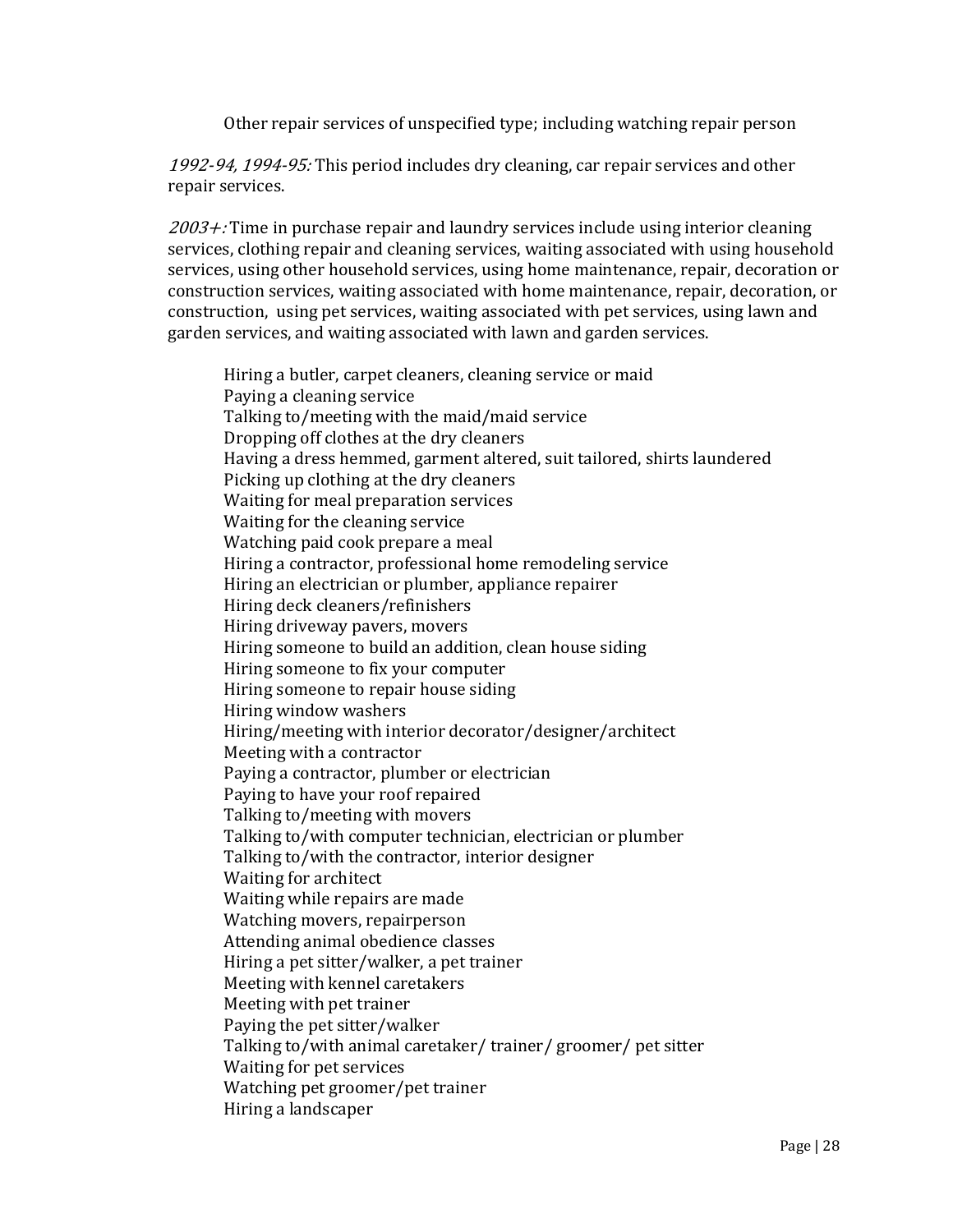Other repair services of unspecified type; including watching repair person

1992-94, 1994-95: This period includes dry cleaning, car repair services and other repair services.

 $2003 +$ : Time in purchase repair and laundry services include using interior cleaning services, clothing repair and cleaning services, waiting associated with using household services, using other household services, using home maintenance, repair, decoration or construction services, waiting associated with home maintenance, repair, decoration, or construction, using pet services, waiting associated with pet services, using lawn and garden services, and waiting associated with lawn and garden services.

Hiring a butler, carpet cleaners, cleaning service or maid Paying a cleaning service Talking to/meeting with the maid/maid service Dropping off clothes at the dry cleaners Having a dress hemmed, garment altered, suit tailored, shirts laundered Picking up clothing at the dry cleaners Waiting for meal preparation services Waiting for the cleaning service Watching paid cook prepare a meal Hiring a contractor, professional home remodeling service Hiring an electrician or plumber, appliance repairer Hiring deck cleaners/refinishers Hiring driveway pavers, movers Hiring someone to build an addition, clean house siding Hiring someone to fix your computer Hiring someone to repair house siding Hiring window washers Hiring/meeting with interior decorator/designer/architect Meeting with a contractor Paying a contractor, plumber or electrician Paying to have your roof repaired Talking to/meeting with movers Talking to/with computer technician, electrician or plumber Talking to/with the contractor, interior designer Waiting for architect Waiting while repairs are made Watching movers, repairperson Attending animal obedience classes Hiring a pet sitter/walker, a pet trainer Meeting with kennel caretakers Meeting with pet trainer Paying the pet sitter/walker Talking to/with animal caretaker/ trainer/ groomer/ pet sitter Waiting for pet services Watching pet groomer/pet trainer Hiring a landscaper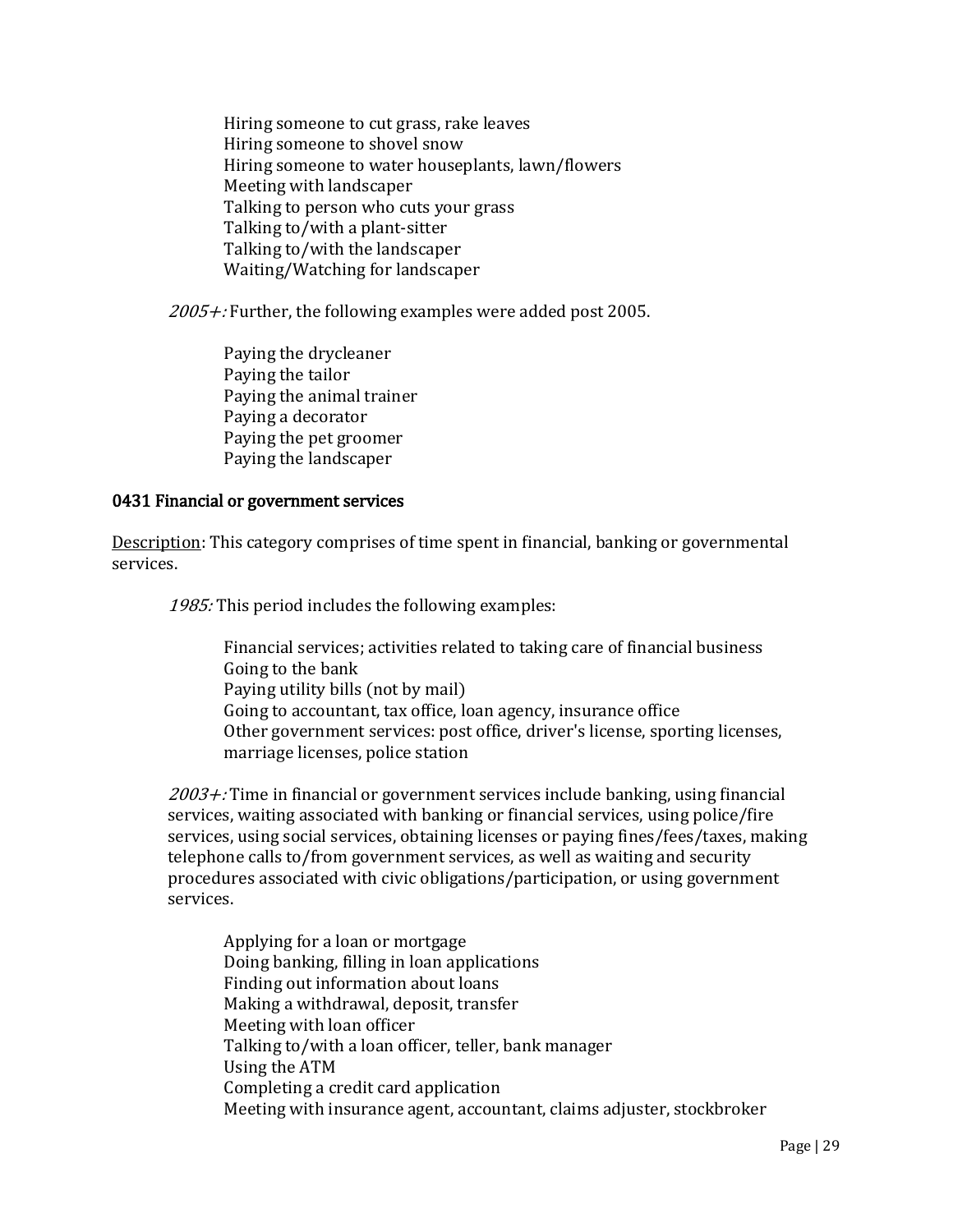Hiring someone to cut grass, rake leaves Hiring someone to shovel snow Hiring someone to water houseplants, lawn/flowers Meeting with landscaper Talking to person who cuts your grass Talking to/with a plant-sitter Talking to/with the landscaper Waiting/Watching for landscaper

 $2005 +$ : Further, the following examples were added post 2005.

Paying the drycleaner Paying the tailor Paying the animal trainer Paying a decorator Paying the pet groomer Paying the landscaper

## 0431 Financial or government services

Description: This category comprises of time spent in financial, banking or governmental services.

1985: This period includes the following examples:

Financial services; activities related to taking care of financial business Going to the bank Paying utility bills (not by mail) Going to accountant, tax office, loan agency, insurance office Other government services: post office, driver's license, sporting licenses, marriage licenses, police station

 $2003 +$ : Time in financial or government services include banking, using financial services, waiting associated with banking or financial services, using police/fire services, using social services, obtaining licenses or paying fines/fees/taxes, making telephone calls to/from government services, as well as waiting and security procedures associated with civic obligations/participation, or using government services.

Applying for a loan or mortgage Doing banking, filling in loan applications Finding out information about loans Making a withdrawal, deposit, transfer Meeting with loan officer Talking to/with a loan officer, teller, bank manager Using the ATM Completing a credit card application Meeting with insurance agent, accountant, claims adjuster, stockbroker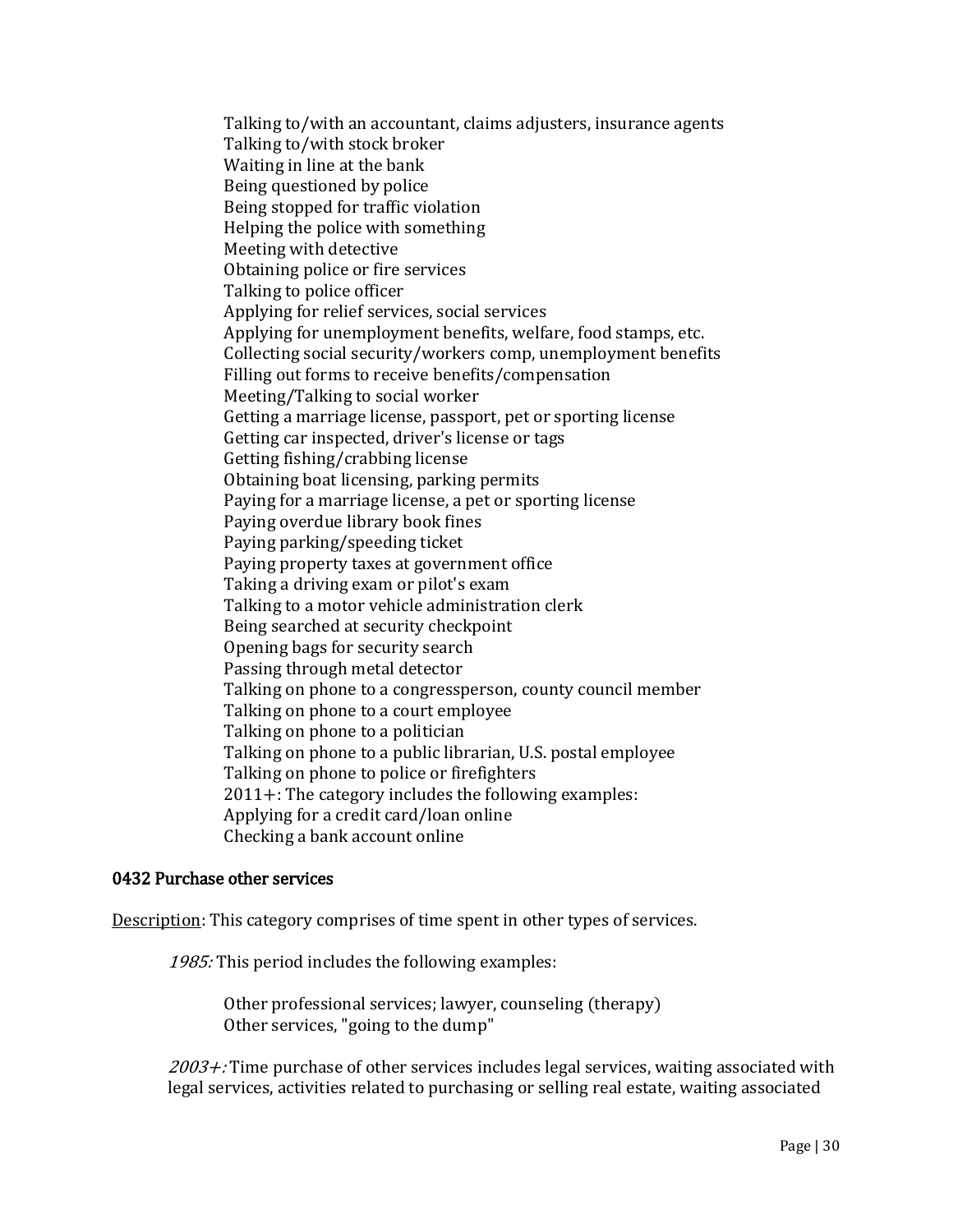Talking to/with an accountant, claims adjusters, insurance agents Talking to/with stock broker Waiting in line at the bank Being questioned by police Being stopped for traffic violation Helping the police with something Meeting with detective Obtaining police or fire services Talking to police officer Applying for relief services, social services Applying for unemployment benefits, welfare, food stamps, etc. Collecting social security/workers comp, unemployment benefits Filling out forms to receive benefits/compensation Meeting/Talking to social worker Getting a marriage license, passport, pet or sporting license Getting car inspected, driver's license or tags Getting fishing/crabbing license Obtaining boat licensing, parking permits Paying for a marriage license, a pet or sporting license Paying overdue library book fines Paying parking/speeding ticket Paying property taxes at government office Taking a driving exam or pilot's exam Talking to a motor vehicle administration clerk Being searched at security checkpoint Opening bags for security search Passing through metal detector Talking on phone to a congressperson, county council member Talking on phone to a court employee Talking on phone to a politician Talking on phone to a public librarian, U.S. postal employee Talking on phone to police or firefighters 2011+: The category includes the following examples: Applying for a credit card/loan online Checking a bank account online

### 0432 Purchase other services

Description: This category comprises of time spent in other types of services.

1985: This period includes the following examples:

Other professional services; lawyer, counseling (therapy) Other services, "going to the dump"

 $2003 +$ : Time purchase of other services includes legal services, waiting associated with legal services, activities related to purchasing or selling real estate, waiting associated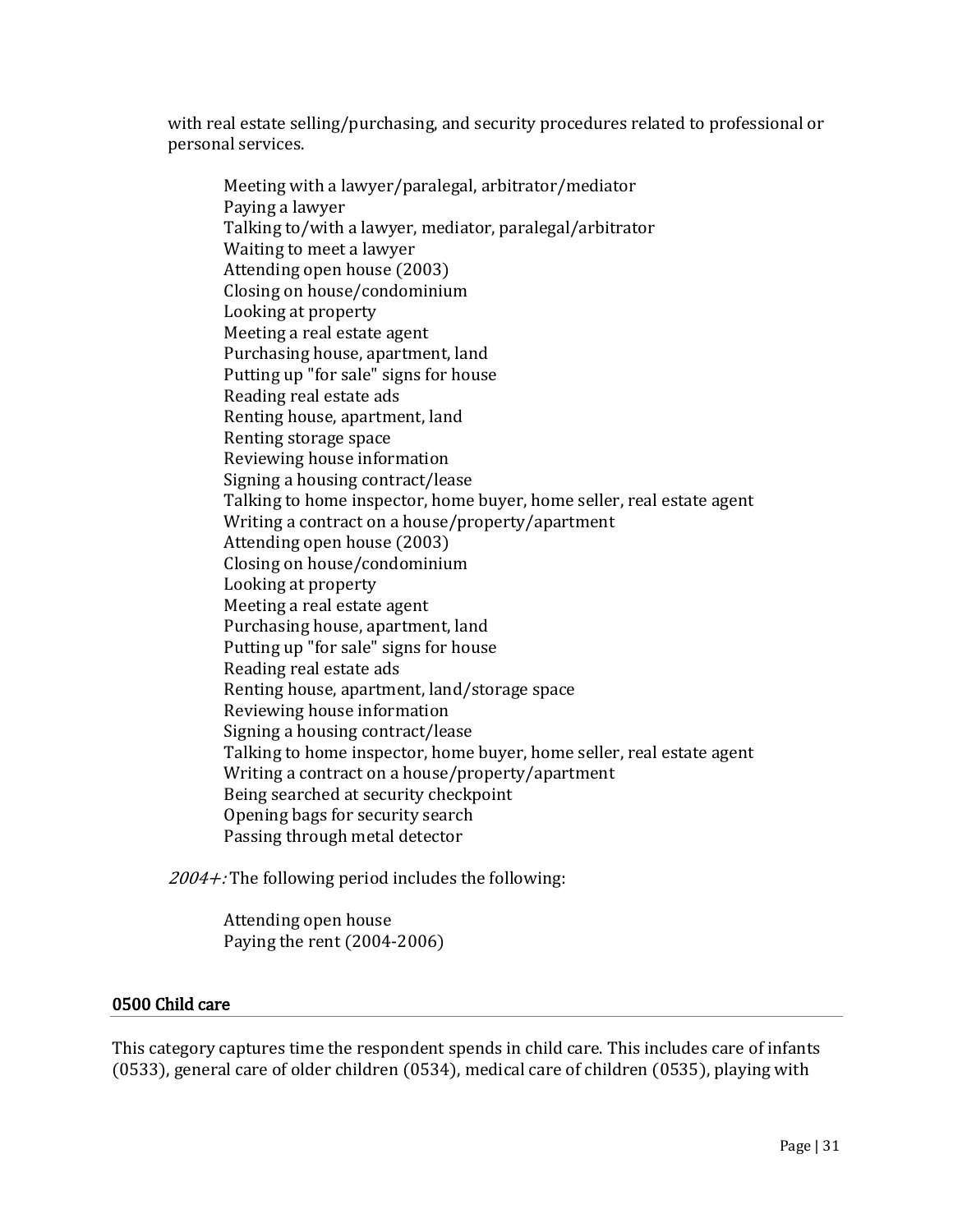with real estate selling/purchasing, and security procedures related to professional or personal services.

Meeting with a lawyer/paralegal, arbitrator/mediator Paying a lawyer Talking to/with a lawyer, mediator, paralegal/arbitrator Waiting to meet a lawyer Attending open house (2003) Closing on house/condominium Looking at property Meeting a real estate agent Purchasing house, apartment, land Putting up "for sale" signs for house Reading real estate ads Renting house, apartment, land Renting storage space Reviewing house information Signing a housing contract/lease Talking to home inspector, home buyer, home seller, real estate agent Writing a contract on a house/property/apartment Attending open house (2003) Closing on house/condominium Looking at property Meeting a real estate agent Purchasing house, apartment, land Putting up "for sale" signs for house Reading real estate ads Renting house, apartment, land/storage space Reviewing house information Signing a housing contract/lease Talking to home inspector, home buyer, home seller, real estate agent Writing a contract on a house/property/apartment Being searched at security checkpoint Opening bags for security search Passing through metal detector

 $2004 +$ : The following period includes the following:

Attending open house Paying the rent (2004-2006)

# 0500 Child care

This category captures time the respondent spends in child care. This includes care of infants (0533), general care of older children (0534), medical care of children (0535), playing with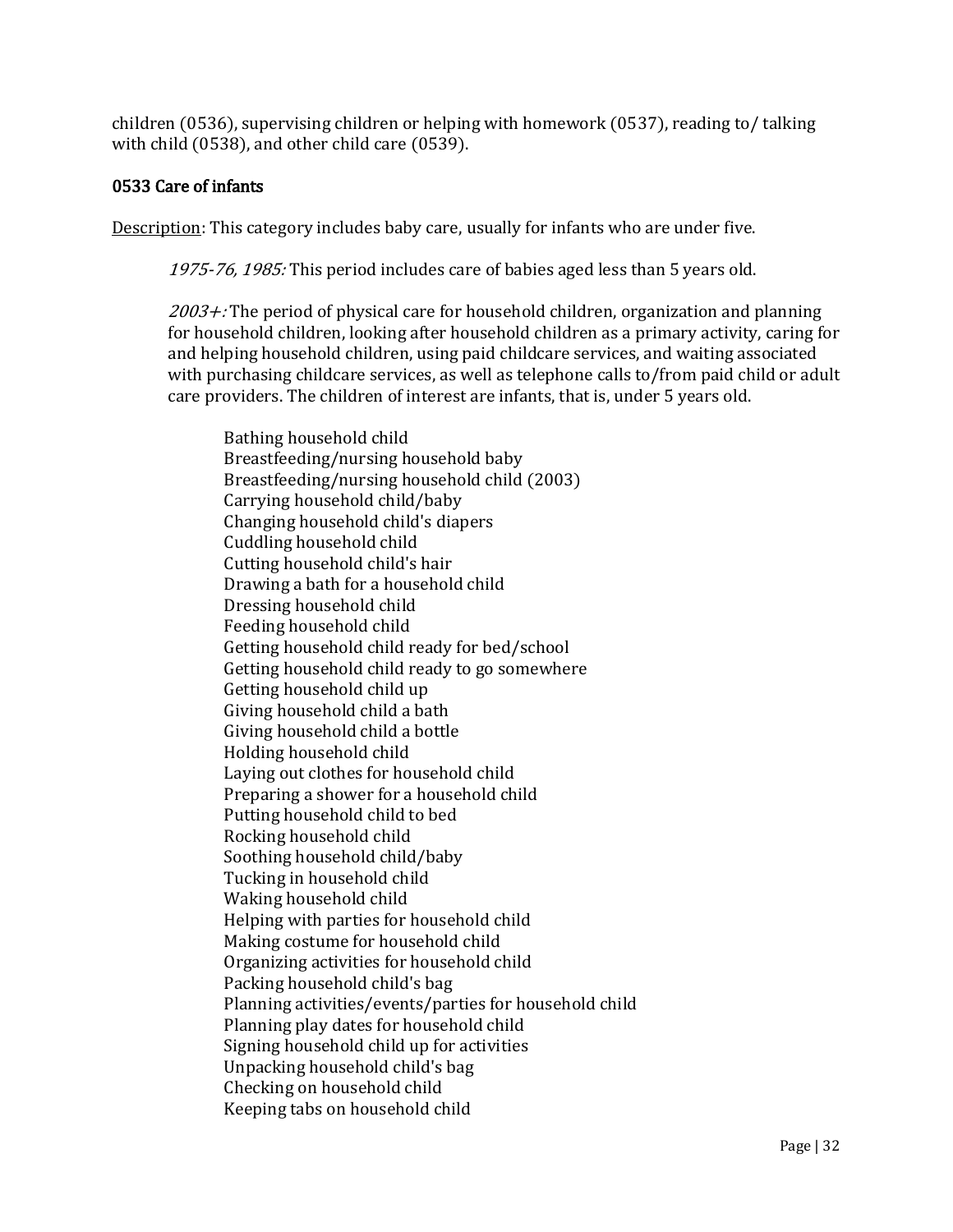children (0536), supervising children or helping with homework (0537), reading to/ talking with child (0538), and other child care (0539).

# 0533 Care of infants

Description: This category includes baby care, usually for infants who are under five.

1975-76, 1985: This period includes care of babies aged less than 5 years old.

 $2003 +$ : The period of physical care for household children, organization and planning for household children, looking after household children as a primary activity, caring for and helping household children, using paid childcare services, and waiting associated with purchasing childcare services, as well as telephone calls to/from paid child or adult care providers. The children of interest are infants, that is, under 5 years old.

Bathing household child Breastfeeding/nursing household baby Breastfeeding/nursing household child (2003) Carrying household child/baby Changing household child's diapers Cuddling household child Cutting household child's hair Drawing a bath for a household child Dressing household child Feeding household child Getting household child ready for bed/school Getting household child ready to go somewhere Getting household child up Giving household child a bath Giving household child a bottle Holding household child Laying out clothes for household child Preparing a shower for a household child Putting household child to bed Rocking household child Soothing household child/baby Tucking in household child Waking household child Helping with parties for household child Making costume for household child Organizing activities for household child Packing household child's bag Planning activities/events/parties for household child Planning play dates for household child Signing household child up for activities Unpacking household child's bag Checking on household child Keeping tabs on household child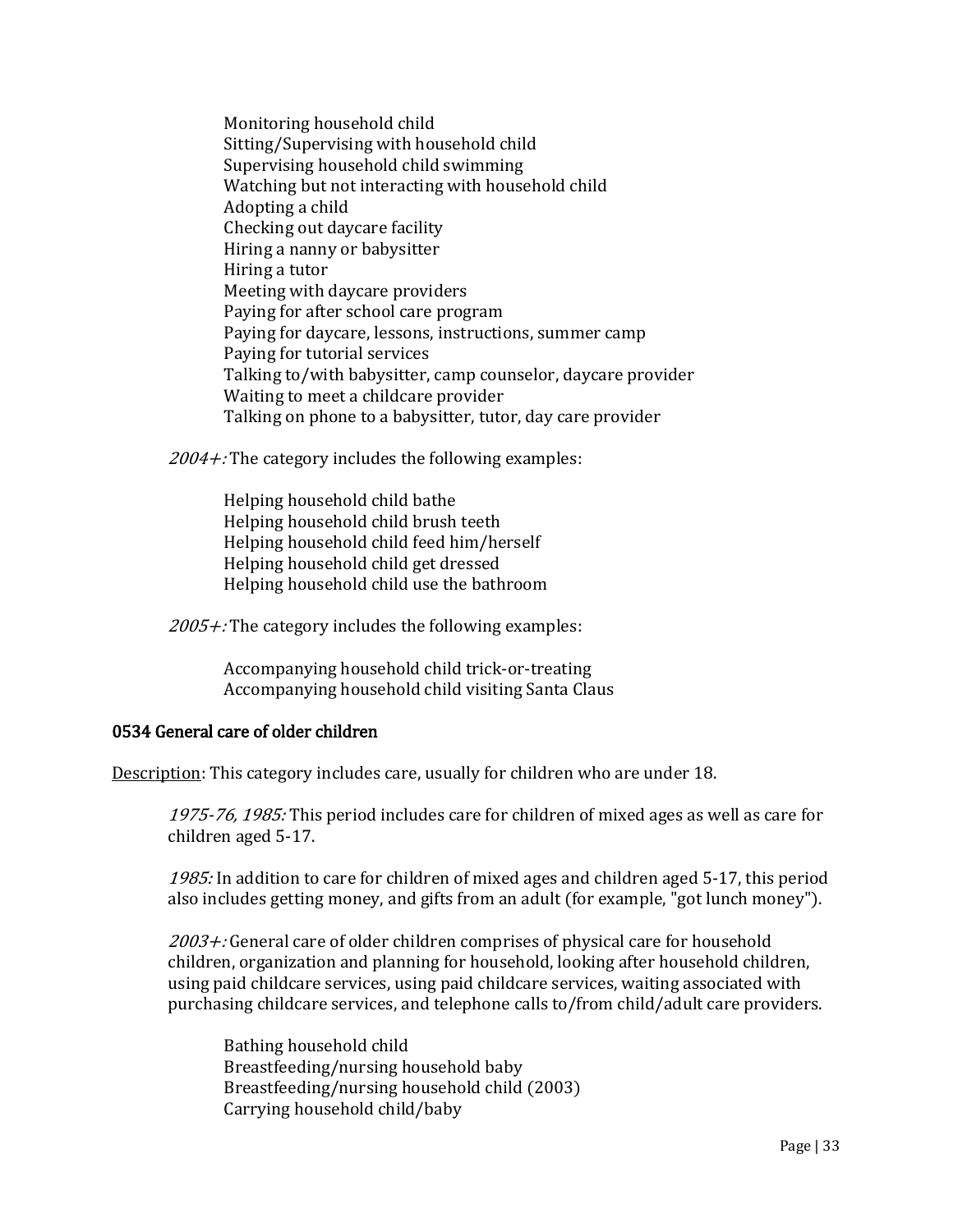Monitoring household child Sitting/Supervising with household child Supervising household child swimming Watching but not interacting with household child Adopting a child Checking out daycare facility Hiring a nanny or babysitter Hiring a tutor Meeting with daycare providers Paying for after school care program Paying for daycare, lessons, instructions, summer camp Paying for tutorial services Talking to/with babysitter, camp counselor, daycare provider Waiting to meet a childcare provider Talking on phone to a babysitter, tutor, day care provider

 $2004 +$ : The category includes the following examples:

Helping household child bathe Helping household child brush teeth Helping household child feed him/herself Helping household child get dressed Helping household child use the bathroom

 $2005 +$ : The category includes the following examples:

Accompanying household child trick-or-treating Accompanying household child visiting Santa Claus

# 0534 General care of older children

Description: This category includes care, usually for children who are under 18.

1975-76, 1985: This period includes care for children of mixed ages as well as care for children aged 5-17.

1985: In addition to care for children of mixed ages and children aged 5-17, this period also includes getting money, and gifts from an adult (for example, "got lunch money").

2003+: General care of older children comprises of physical care for household children, organization and planning for household, looking after household children, using paid childcare services, using paid childcare services, waiting associated with purchasing childcare services, and telephone calls to/from child/adult care providers.

Bathing household child Breastfeeding/nursing household baby Breastfeeding/nursing household child (2003) Carrying household child/baby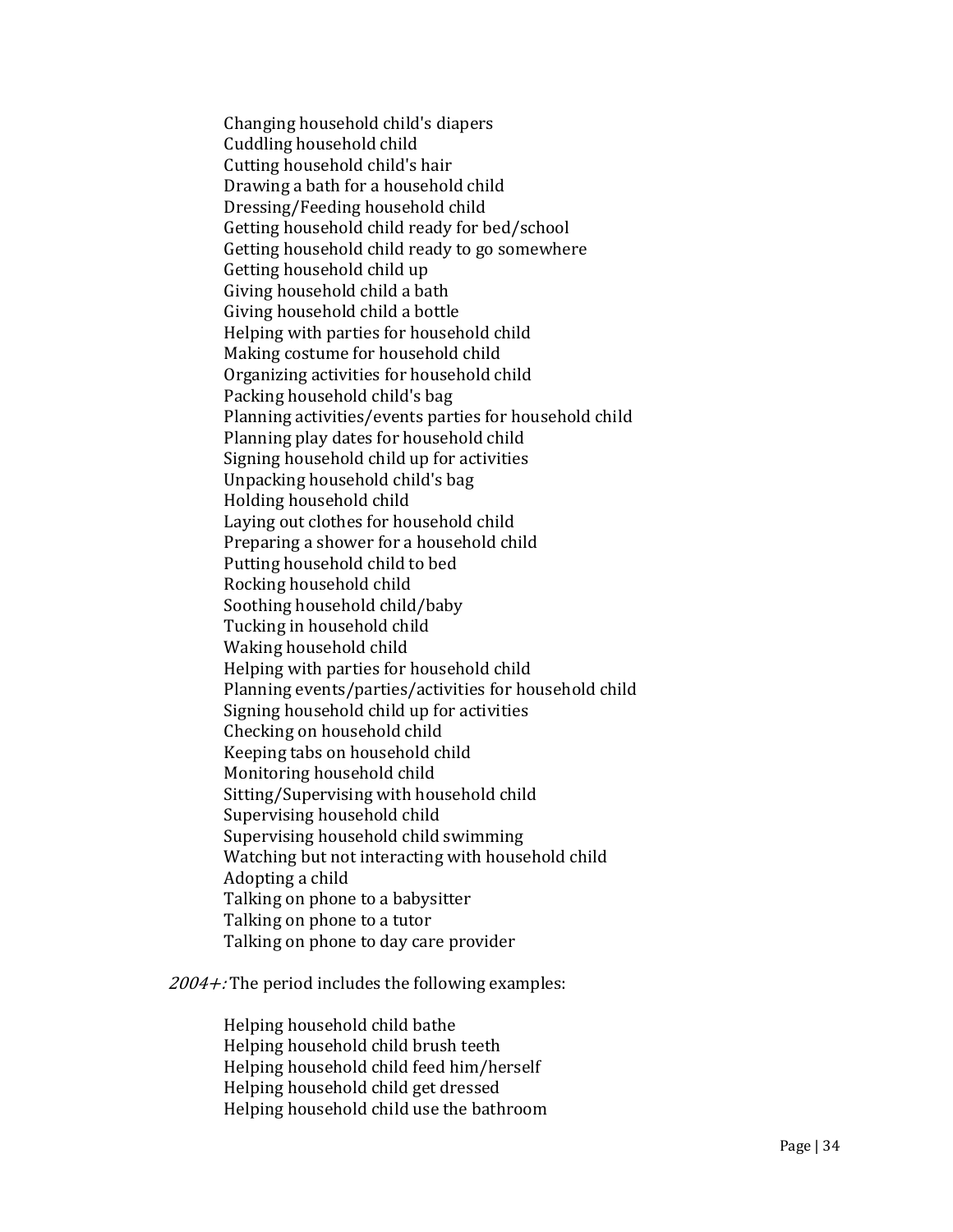Changing household child's diapers Cuddling household child Cutting household child's hair Drawing a bath for a household child Dressing/Feeding household child Getting household child ready for bed/school Getting household child ready to go somewhere Getting household child up Giving household child a bath Giving household child a bottle Helping with parties for household child Making costume for household child Organizing activities for household child Packing household child's bag Planning activities/events parties for household child Planning play dates for household child Signing household child up for activities Unpacking household child's bag Holding household child Laying out clothes for household child Preparing a shower for a household child Putting household child to bed Rocking household child Soothing household child/baby Tucking in household child Waking household child Helping with parties for household child Planning events/parties/activities for household child Signing household child up for activities Checking on household child Keeping tabs on household child Monitoring household child Sitting/Supervising with household child Supervising household child Supervising household child swimming Watching but not interacting with household child Adopting a child Talking on phone to a babysitter Talking on phone to a tutor Talking on phone to day care provider

 $2004 +$ : The period includes the following examples:

Helping household child bathe Helping household child brush teeth Helping household child feed him/herself Helping household child get dressed Helping household child use the bathroom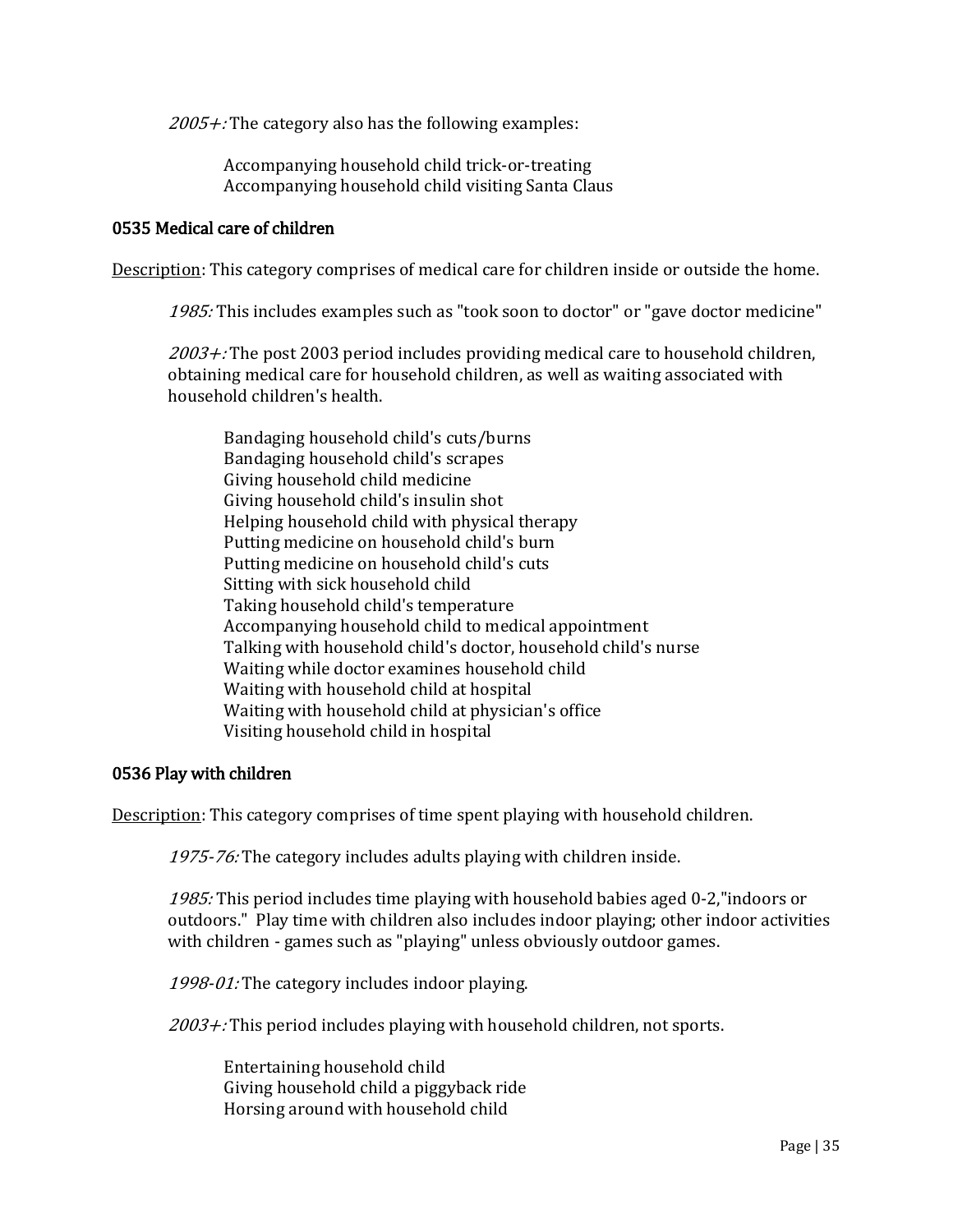$2005 +$ : The category also has the following examples:

Accompanying household child trick-or-treating Accompanying household child visiting Santa Claus

## 0535 Medical care of children

Description: This category comprises of medical care for children inside or outside the home.

1985: This includes examples such as "took soon to doctor" or "gave doctor medicine"

 $2003 +$ : The post 2003 period includes providing medical care to household children, obtaining medical care for household children, as well as waiting associated with household children's health.

Bandaging household child's cuts/burns Bandaging household child's scrapes Giving household child medicine Giving household child's insulin shot Helping household child with physical therapy Putting medicine on household child's burn Putting medicine on household child's cuts Sitting with sick household child Taking household child's temperature Accompanying household child to medical appointment Talking with household child's doctor, household child's nurse Waiting while doctor examines household child Waiting with household child at hospital Waiting with household child at physician's office Visiting household child in hospital

### 0536 Play with children

Description: This category comprises of time spent playing with household children.

1975-76: The category includes adults playing with children inside.

1985: This period includes time playing with household babies aged 0-2,"indoors or outdoors." Play time with children also includes indoor playing; other indoor activities with children - games such as "playing" unless obviously outdoor games.

1998-01: The category includes indoor playing.

 $2003 +$ : This period includes playing with household children, not sports.

Entertaining household child Giving household child a piggyback ride Horsing around with household child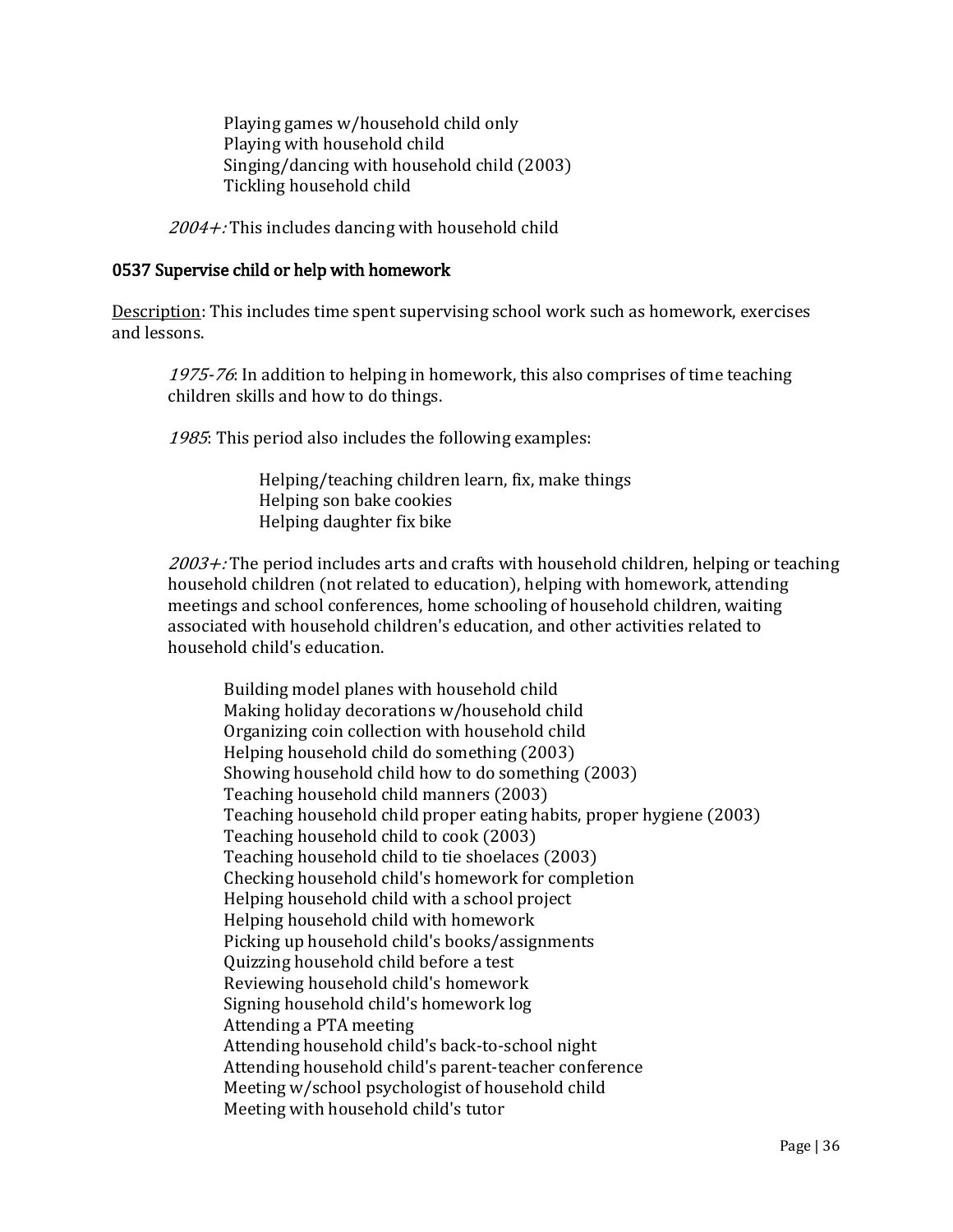Playing games w/household child only Playing with household child Singing/dancing with household child (2003) Tickling household child

 $2004 +$ : This includes dancing with household child

## 0537 Supervise child or help with homework

Description: This includes time spent supervising school work such as homework, exercises and lessons.

1975-76: In addition to helping in homework, this also comprises of time teaching children skills and how to do things.

1985: This period also includes the following examples:

 Helping/teaching children learn, fix, make things Helping son bake cookies Helping daughter fix bike

 $2003 +$ : The period includes arts and crafts with household children, helping or teaching household children (not related to education), helping with homework, attending meetings and school conferences, home schooling of household children, waiting associated with household children's education, and other activities related to household child's education.

Building model planes with household child Making holiday decorations w/household child Organizing coin collection with household child Helping household child do something (2003) Showing household child how to do something (2003) Teaching household child manners (2003) Teaching household child proper eating habits, proper hygiene (2003) Teaching household child to cook (2003) Teaching household child to tie shoelaces (2003) Checking household child's homework for completion Helping household child with a school project Helping household child with homework Picking up household child's books/assignments Quizzing household child before a test Reviewing household child's homework Signing household child's homework log Attending a PTA meeting Attending household child's back-to-school night Attending household child's parent-teacher conference Meeting w/school psychologist of household child Meeting with household child's tutor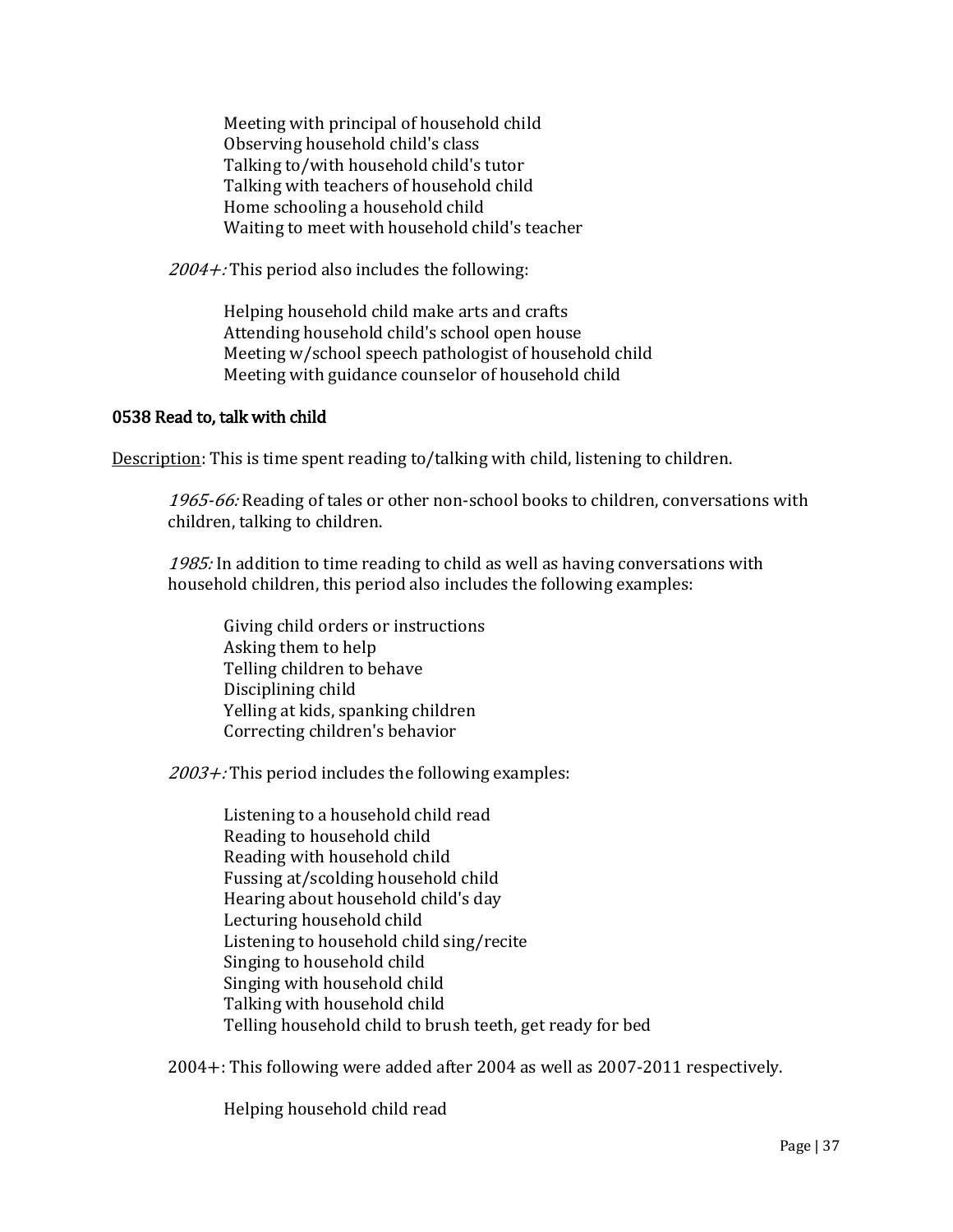Meeting with principal of household child Observing household child's class Talking to/with household child's tutor Talking with teachers of household child Home schooling a household child Waiting to meet with household child's teacher

 $2004 +$ : This period also includes the following:

Helping household child make arts and crafts Attending household child's school open house Meeting w/school speech pathologist of household child Meeting with guidance counselor of household child

## 0538 Read to, talk with child

Description: This is time spent reading to/talking with child, listening to children.

1965-66: Reading of tales or other non-school books to children, conversations with children, talking to children.

1985: In addition to time reading to child as well as having conversations with household children, this period also includes the following examples:

Giving child orders or instructions Asking them to help Telling children to behave Disciplining child Yelling at kids, spanking children Correcting children's behavior

 $2003 +$ : This period includes the following examples:

Listening to a household child read Reading to household child Reading with household child Fussing at/scolding household child Hearing about household child's day Lecturing household child Listening to household child sing/recite Singing to household child Singing with household child Talking with household child Telling household child to brush teeth, get ready for bed

2004+: This following were added after 2004 as well as 2007-2011 respectively.

Helping household child read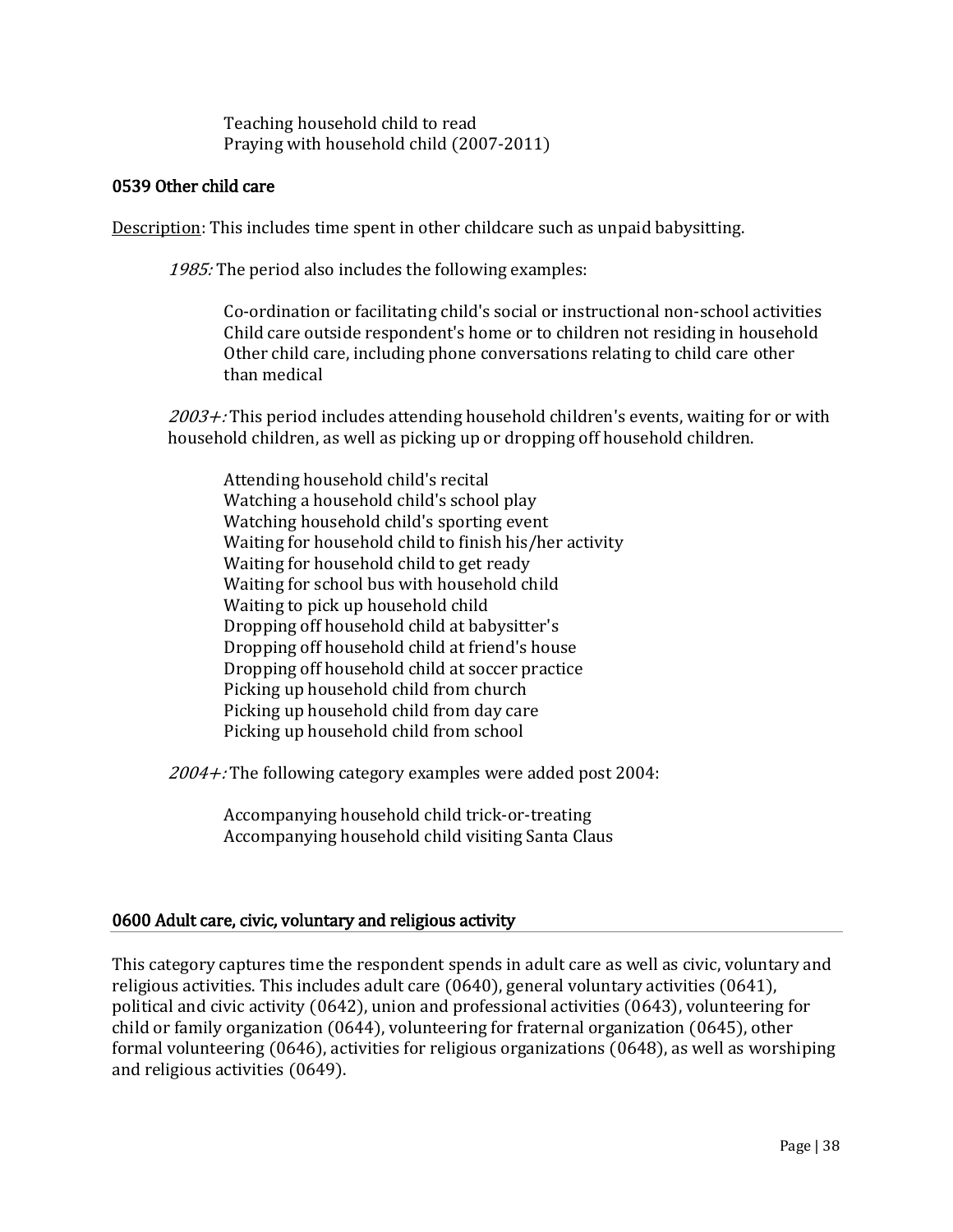Teaching household child to read Praying with household child (2007-2011)

## 0539 Other child care

Description: This includes time spent in other childcare such as unpaid babysitting.

1985: The period also includes the following examples:

Co-ordination or facilitating child's social or instructional non-school activities Child care outside respondent's home or to children not residing in household Other child care, including phone conversations relating to child care other than medical

 $2003 +$ : This period includes attending household children's events, waiting for or with household children, as well as picking up or dropping off household children.

Attending household child's recital Watching a household child's school play Watching household child's sporting event Waiting for household child to finish his/her activity Waiting for household child to get ready Waiting for school bus with household child Waiting to pick up household child Dropping off household child at babysitter's Dropping off household child at friend's house Dropping off household child at soccer practice Picking up household child from church Picking up household child from day care Picking up household child from school

 $2004 +$ : The following category examples were added post 2004:

Accompanying household child trick-or-treating Accompanying household child visiting Santa Claus

## 0600 Adult care, civic, voluntary and religious activity

This category captures time the respondent spends in adult care as well as civic, voluntary and religious activities. This includes adult care (0640), general voluntary activities (0641), political and civic activity (0642), union and professional activities (0643), volunteering for child or family organization (0644), volunteering for fraternal organization (0645), other formal volunteering (0646), activities for religious organizations (0648), as well as worshiping and religious activities (0649).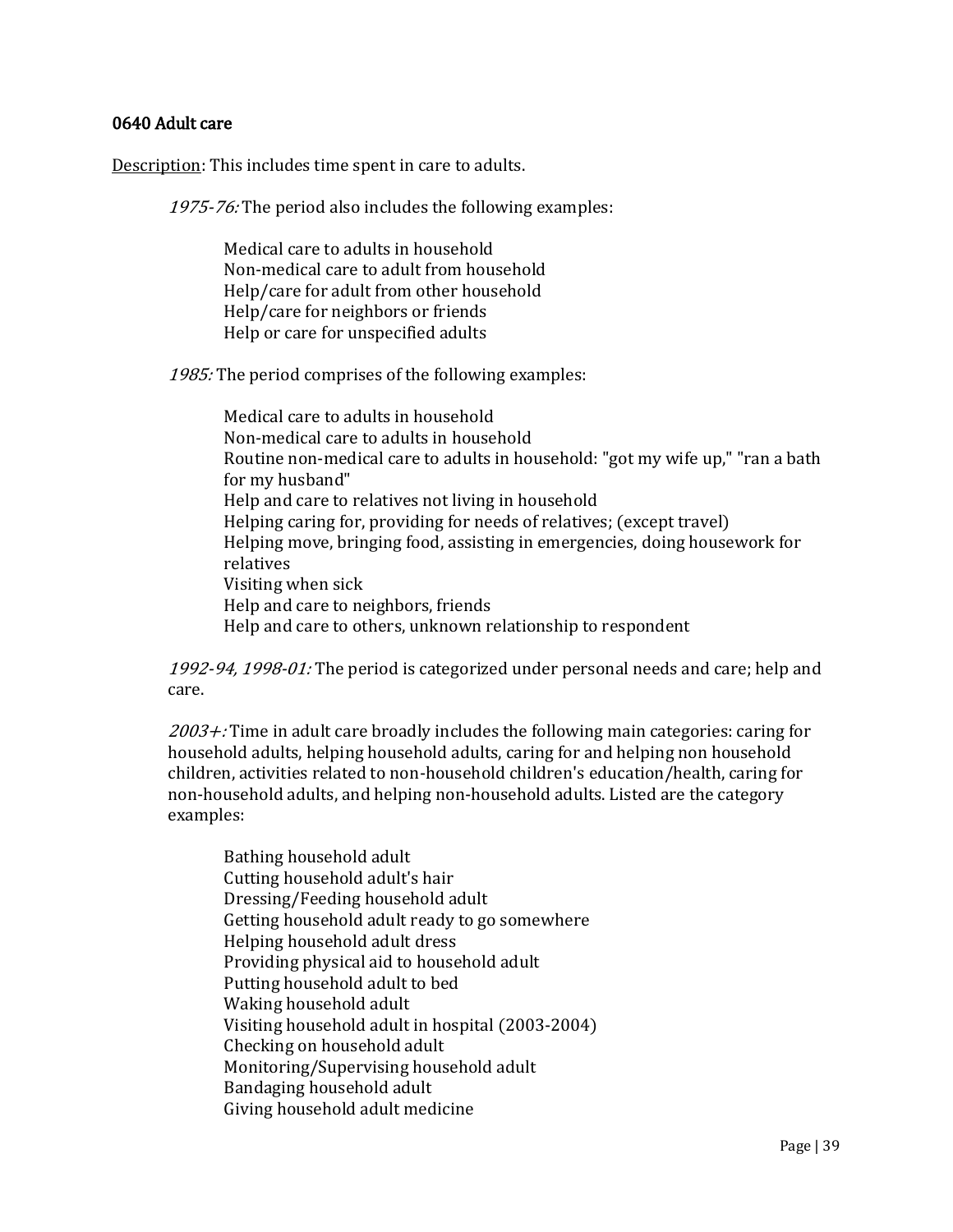## 0640 Adult care

Description: This includes time spent in care to adults.

1975-76: The period also includes the following examples:

Medical care to adults in household Non-medical care to adult from household Help/care for adult from other household Help/care for neighbors or friends Help or care for unspecified adults

1985: The period comprises of the following examples:

Medical care to adults in household Non-medical care to adults in household Routine non-medical care to adults in household: "got my wife up," "ran a bath for my husband" Help and care to relatives not living in household Helping caring for, providing for needs of relatives; (except travel) Helping move, bringing food, assisting in emergencies, doing housework for relatives Visiting when sick Help and care to neighbors, friends Help and care to others, unknown relationship to respondent

1992-94, 1998-01: The period is categorized under personal needs and care; help and care.

 $2003 +$ : Time in adult care broadly includes the following main categories: caring for household adults, helping household adults, caring for and helping non household children, activities related to non-household children's education/health, caring for non-household adults, and helping non-household adults. Listed are the category examples:

Bathing household adult Cutting household adult's hair Dressing/Feeding household adult Getting household adult ready to go somewhere Helping household adult dress Providing physical aid to household adult Putting household adult to bed Waking household adult Visiting household adult in hospital (2003-2004) Checking on household adult Monitoring/Supervising household adult Bandaging household adult Giving household adult medicine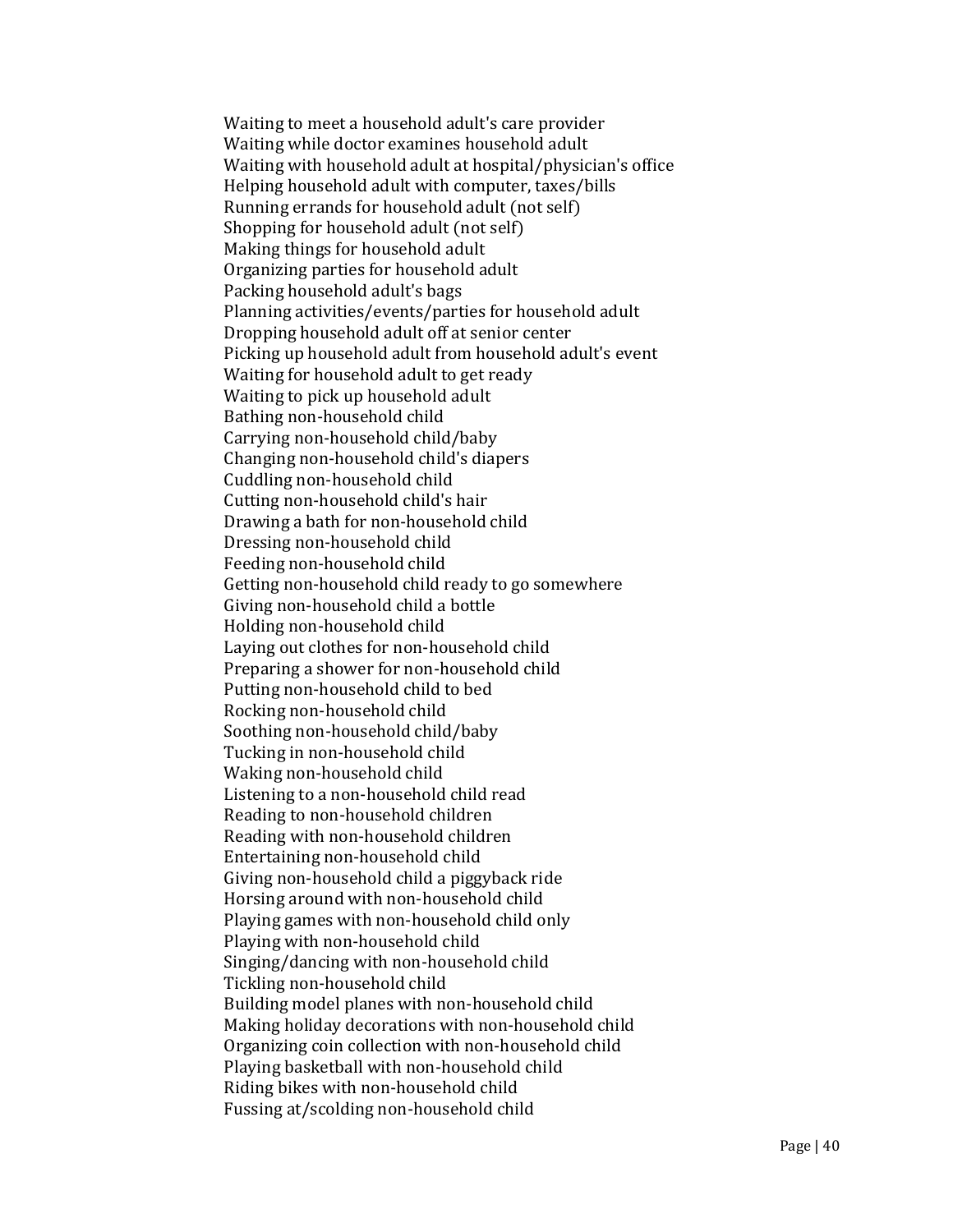Waiting to meet a household adult's care provider Waiting while doctor examines household adult Waiting with household adult at hospital/physician's office Helping household adult with computer, taxes/bills Running errands for household adult (not self) Shopping for household adult (not self) Making things for household adult Organizing parties for household adult Packing household adult's bags Planning activities/events/parties for household adult Dropping household adult off at senior center Picking up household adult from household adult's event Waiting for household adult to get ready Waiting to pick up household adult Bathing non-household child Carrying non-household child/baby Changing non-household child's diapers Cuddling non-household child Cutting non-household child's hair Drawing a bath for non-household child Dressing non-household child Feeding non-household child Getting non-household child ready to go somewhere Giving non-household child a bottle Holding non-household child Laying out clothes for non-household child Preparing a shower for non-household child Putting non-household child to bed Rocking non-household child Soothing non-household child/baby Tucking in non-household child Waking non-household child Listening to a non-household child read Reading to non-household children Reading with non-household children Entertaining non-household child Giving non-household child a piggyback ride Horsing around with non-household child Playing games with non-household child only Playing with non-household child Singing/dancing with non-household child Tickling non-household child Building model planes with non-household child Making holiday decorations with non-household child Organizing coin collection with non-household child Playing basketball with non-household child Riding bikes with non-household child Fussing at/scolding non-household child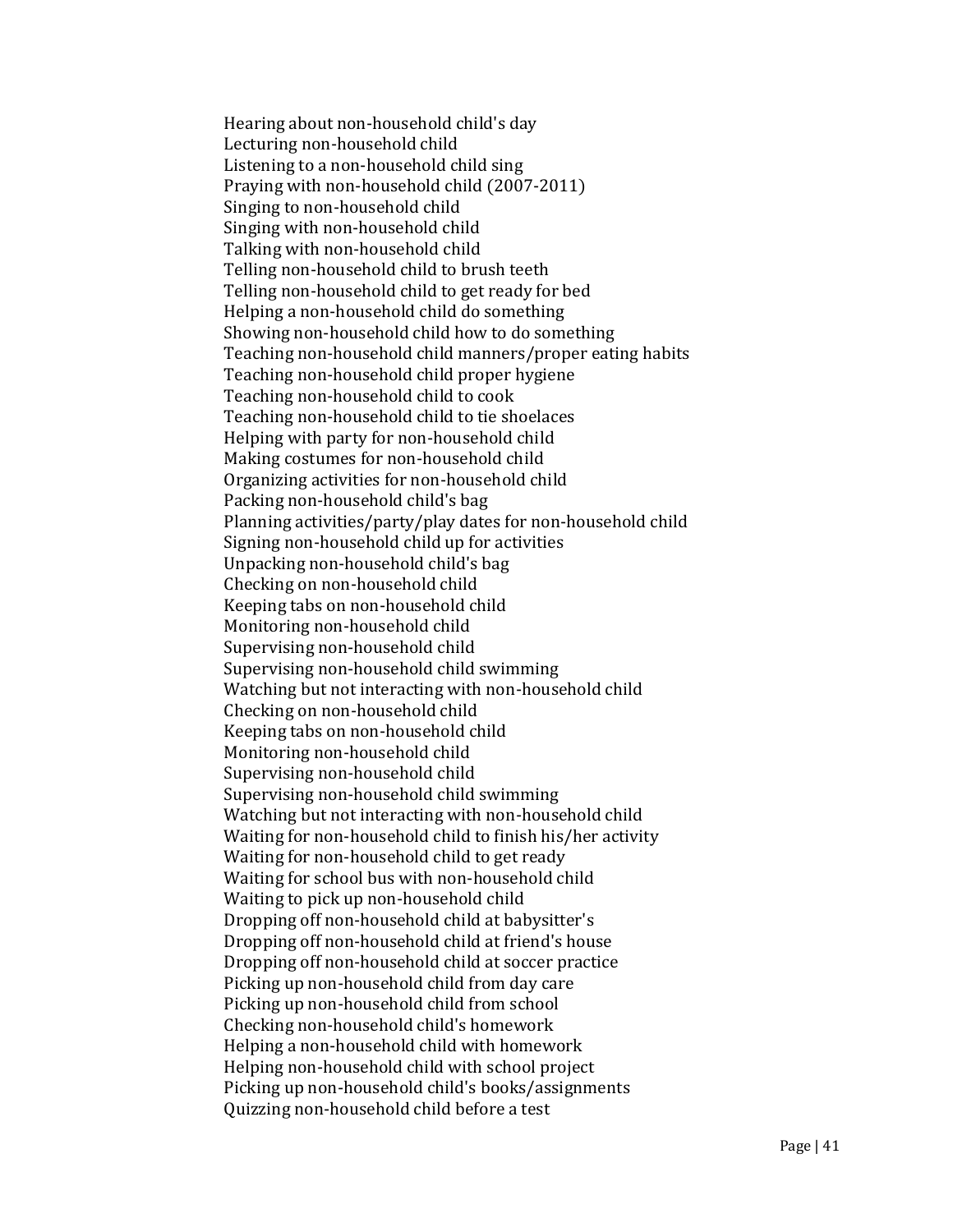Hearing about non-household child's day Lecturing non-household child Listening to a non-household child sing Praying with non-household child (2007-2011) Singing to non-household child Singing with non-household child Talking with non-household child Telling non-household child to brush teeth Telling non-household child to get ready for bed Helping a non-household child do something Showing non-household child how to do something Teaching non-household child manners/proper eating habits Teaching non-household child proper hygiene Teaching non-household child to cook Teaching non-household child to tie shoelaces Helping with party for non-household child Making costumes for non-household child Organizing activities for non-household child Packing non-household child's bag Planning activities/party/play dates for non-household child Signing non-household child up for activities Unpacking non-household child's bag Checking on non-household child Keeping tabs on non-household child Monitoring non-household child Supervising non-household child Supervising non-household child swimming Watching but not interacting with non-household child Checking on non-household child Keeping tabs on non-household child Monitoring non-household child Supervising non-household child Supervising non-household child swimming Watching but not interacting with non-household child Waiting for non-household child to finish his/her activity Waiting for non-household child to get ready Waiting for school bus with non-household child Waiting to pick up non-household child Dropping off non-household child at babysitter's Dropping off non-household child at friend's house Dropping off non-household child at soccer practice Picking up non-household child from day care Picking up non-household child from school Checking non-household child's homework Helping a non-household child with homework Helping non-household child with school project Picking up non-household child's books/assignments Quizzing non-household child before a test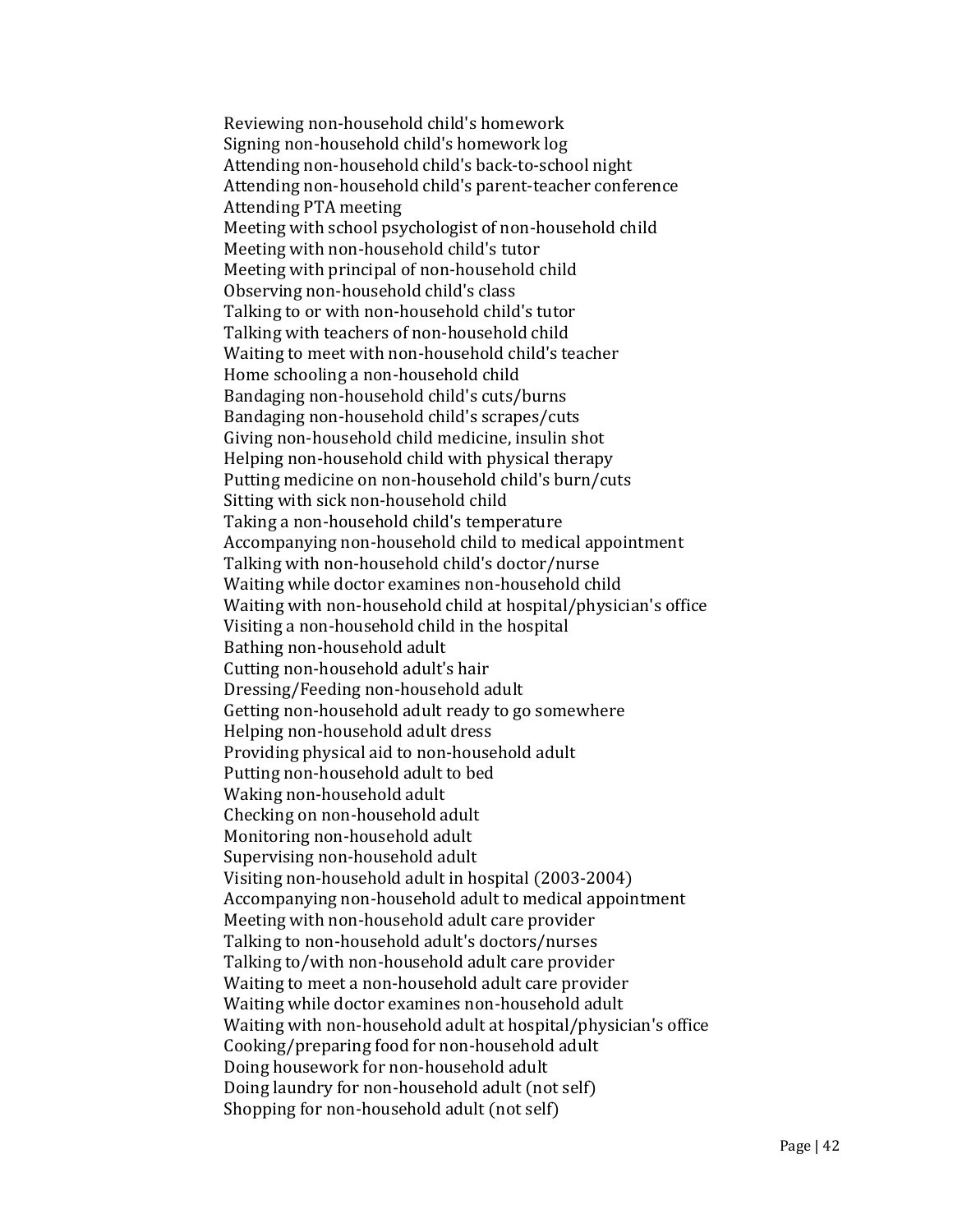Reviewing non-household child's homework Signing non-household child's homework log Attending non-household child's back-to-school night Attending non-household child's parent-teacher conference Attending PTA meeting Meeting with school psychologist of non-household child Meeting with non-household child's tutor Meeting with principal of non-household child Observing non-household child's class Talking to or with non-household child's tutor Talking with teachers of non-household child Waiting to meet with non-household child's teacher Home schooling a non-household child Bandaging non-household child's cuts/burns Bandaging non-household child's scrapes/cuts Giving non-household child medicine, insulin shot Helping non-household child with physical therapy Putting medicine on non-household child's burn/cuts Sitting with sick non-household child Taking a non-household child's temperature Accompanying non-household child to medical appointment Talking with non-household child's doctor/nurse Waiting while doctor examines non-household child Waiting with non-household child at hospital/physician's office Visiting a non-household child in the hospital Bathing non-household adult Cutting non-household adult's hair Dressing/Feeding non-household adult Getting non-household adult ready to go somewhere Helping non-household adult dress Providing physical aid to non-household adult Putting non-household adult to bed Waking non-household adult Checking on non-household adult Monitoring non-household adult Supervising non-household adult Visiting non-household adult in hospital (2003-2004) Accompanying non-household adult to medical appointment Meeting with non-household adult care provider Talking to non-household adult's doctors/nurses Talking to/with non-household adult care provider Waiting to meet a non-household adult care provider Waiting while doctor examines non-household adult Waiting with non-household adult at hospital/physician's office Cooking/preparing food for non-household adult Doing housework for non-household adult Doing laundry for non-household adult (not self) Shopping for non-household adult (not self)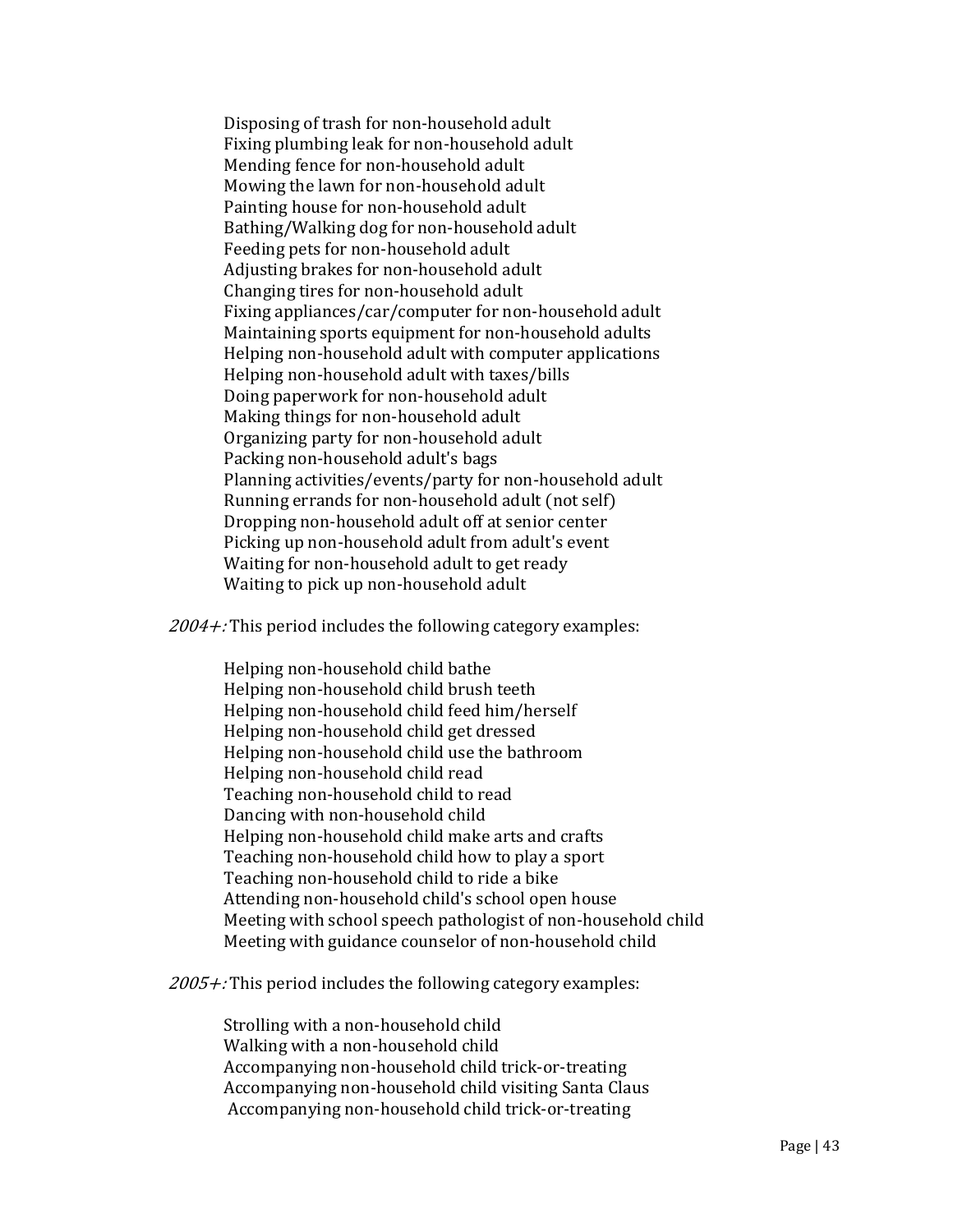Disposing of trash for non-household adult Fixing plumbing leak for non-household adult Mending fence for non-household adult Mowing the lawn for non-household adult Painting house for non-household adult Bathing/Walking dog for non-household adult Feeding pets for non-household adult Adjusting brakes for non-household adult Changing tires for non-household adult Fixing appliances/car/computer for non-household adult Maintaining sports equipment for non-household adults Helping non-household adult with computer applications Helping non-household adult with taxes/bills Doing paperwork for non-household adult Making things for non-household adult Organizing party for non-household adult Packing non-household adult's bags Planning activities/events/party for non-household adult Running errands for non-household adult (not self) Dropping non-household adult off at senior center Picking up non-household adult from adult's event Waiting for non-household adult to get ready Waiting to pick up non-household adult

 $2004 +$ : This period includes the following category examples:

Helping non-household child bathe Helping non-household child brush teeth Helping non-household child feed him/herself Helping non-household child get dressed Helping non-household child use the bathroom Helping non-household child read Teaching non-household child to read Dancing with non-household child Helping non-household child make arts and crafts Teaching non-household child how to play a sport Teaching non-household child to ride a bike Attending non-household child's school open house Meeting with school speech pathologist of non-household child Meeting with guidance counselor of non-household child

 $2005 +$ : This period includes the following category examples:

Strolling with a non-household child Walking with a non-household child Accompanying non-household child trick-or-treating Accompanying non-household child visiting Santa Claus Accompanying non-household child trick-or-treating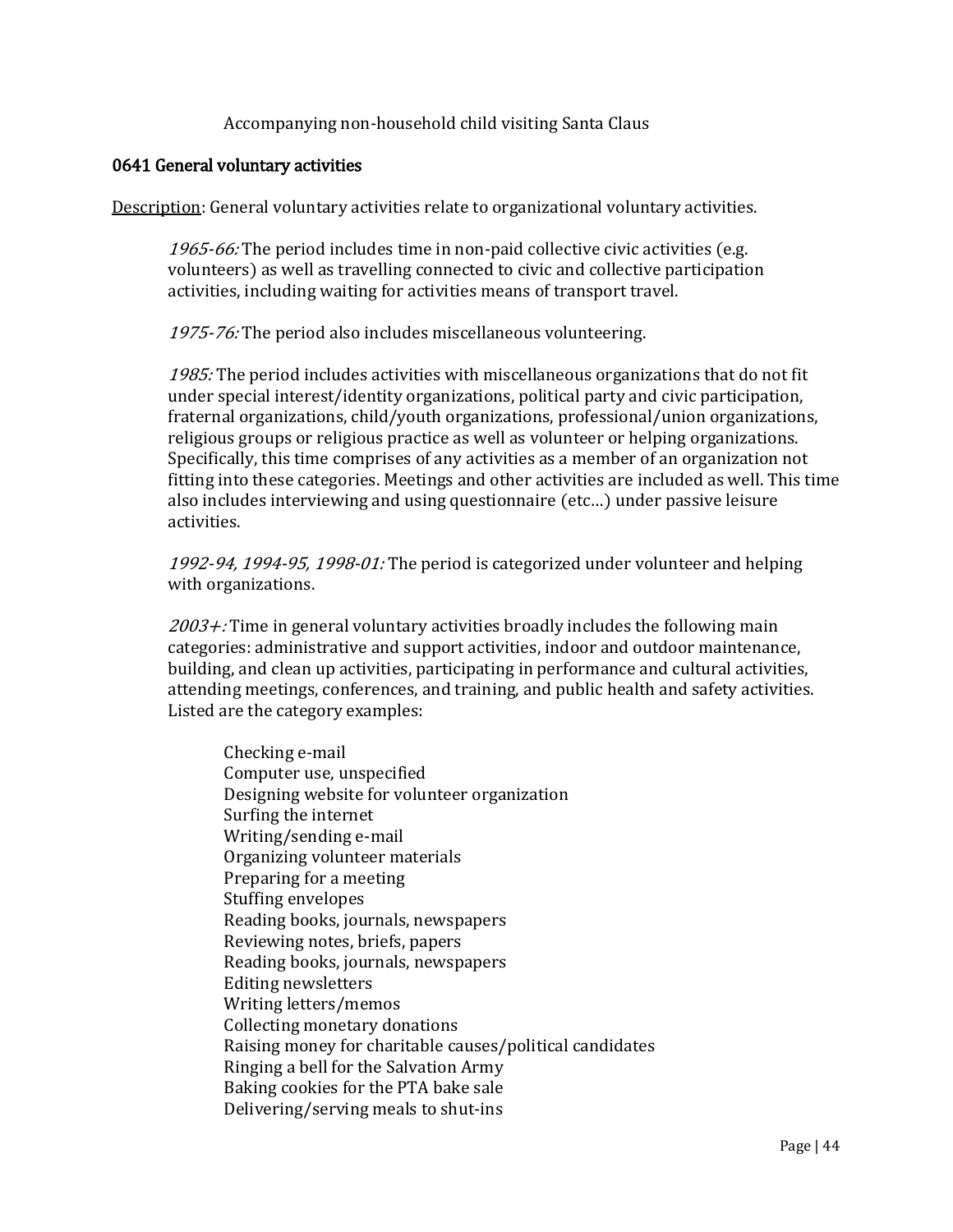Accompanying non-household child visiting Santa Claus

#### 0641 General voluntary activities

Description: General voluntary activities relate to organizational voluntary activities.

1965-66: The period includes time in non-paid collective civic activities (e.g. volunteers) as well as travelling connected to civic and collective participation activities, including waiting for activities means of transport travel.

1975-76: The period also includes miscellaneous volunteering.

1985: The period includes activities with miscellaneous organizations that do not fit under special interest/identity organizations, political party and civic participation, fraternal organizations, child/youth organizations, professional/union organizations, religious groups or religious practice as well as volunteer or helping organizations. Specifically, this time comprises of any activities as a member of an organization not fitting into these categories. Meetings and other activities are included as well. This time also includes interviewing and using questionnaire (etc…) under passive leisure activities.

1992-94, 1994-95, 1998-01: The period is categorized under volunteer and helping with organizations.

 $2003 +$ : Time in general voluntary activities broadly includes the following main categories: administrative and support activities, indoor and outdoor maintenance, building, and clean up activities, participating in performance and cultural activities, attending meetings, conferences, and training, and public health and safety activities. Listed are the category examples:

Checking e-mail Computer use, unspecified Designing website for volunteer organization Surfing the internet Writing/sending e-mail Organizing volunteer materials Preparing for a meeting Stuffing envelopes Reading books, journals, newspapers Reviewing notes, briefs, papers Reading books, journals, newspapers Editing newsletters Writing letters/memos Collecting monetary donations Raising money for charitable causes/political candidates Ringing a bell for the Salvation Army Baking cookies for the PTA bake sale Delivering/serving meals to shut-ins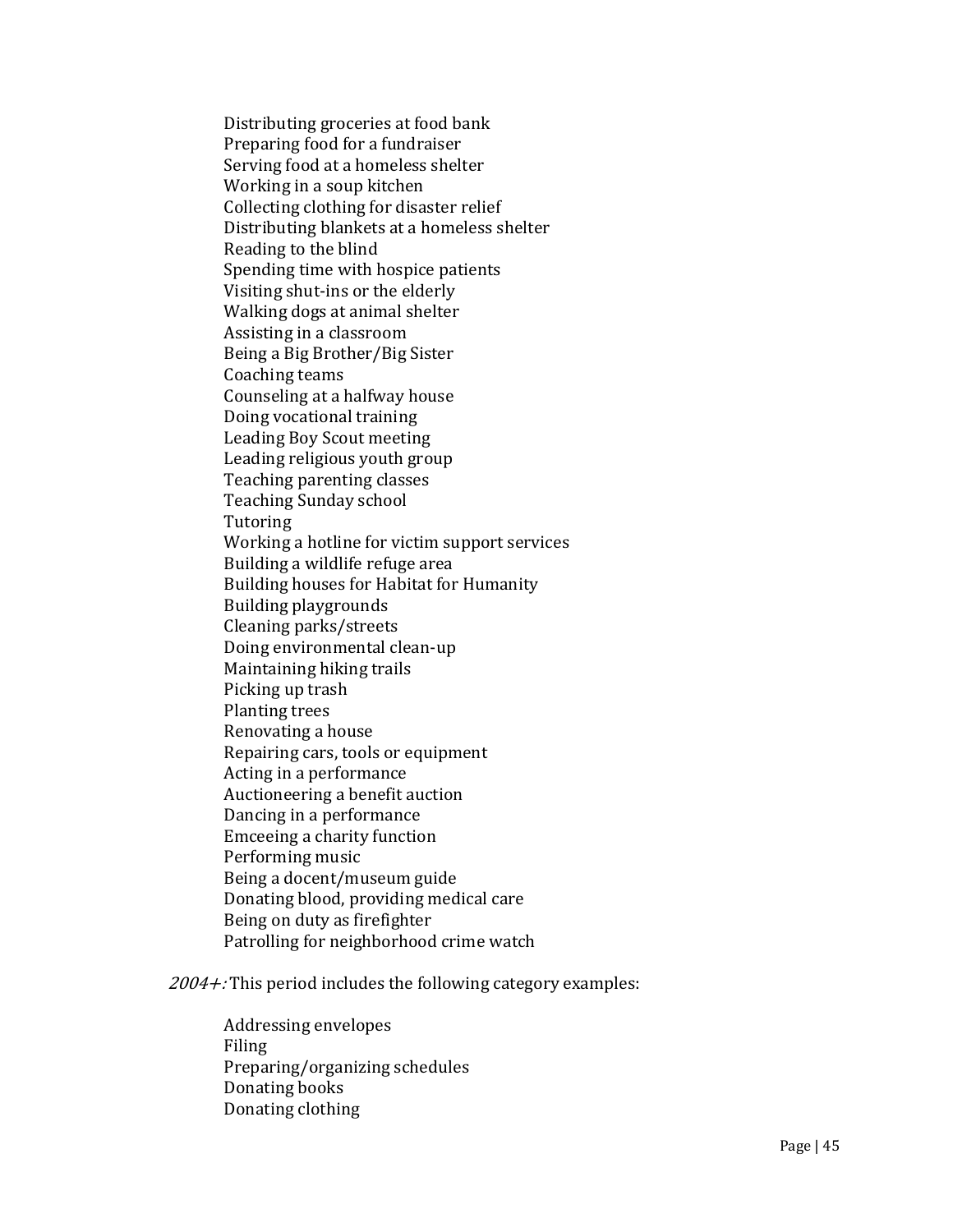Distributing groceries at food bank Preparing food for a fundraiser Serving food at a homeless shelter Working in a soup kitchen Collecting clothing for disaster relief Distributing blankets at a homeless shelter Reading to the blind Spending time with hospice patients Visiting shut-ins or the elderly Walking dogs at animal shelter Assisting in a classroom Being a Big Brother/Big Sister Coaching teams Counseling at a halfway house Doing vocational training Leading Boy Scout meeting Leading religious youth group Teaching parenting classes Teaching Sunday school Tutoring Working a hotline for victim support services Building a wildlife refuge area Building houses for Habitat for Humanity Building playgrounds Cleaning parks/streets Doing environmental clean-up Maintaining hiking trails Picking up trash Planting trees Renovating a house Repairing cars, tools or equipment Acting in a performance Auctioneering a benefit auction Dancing in a performance Emceeing a charity function Performing music Being a docent/museum guide Donating blood, providing medical care Being on duty as firefighter Patrolling for neighborhood crime watch

 $2004 +$ : This period includes the following category examples:

Addressing envelopes Filing Preparing/organizing schedules Donating books Donating clothing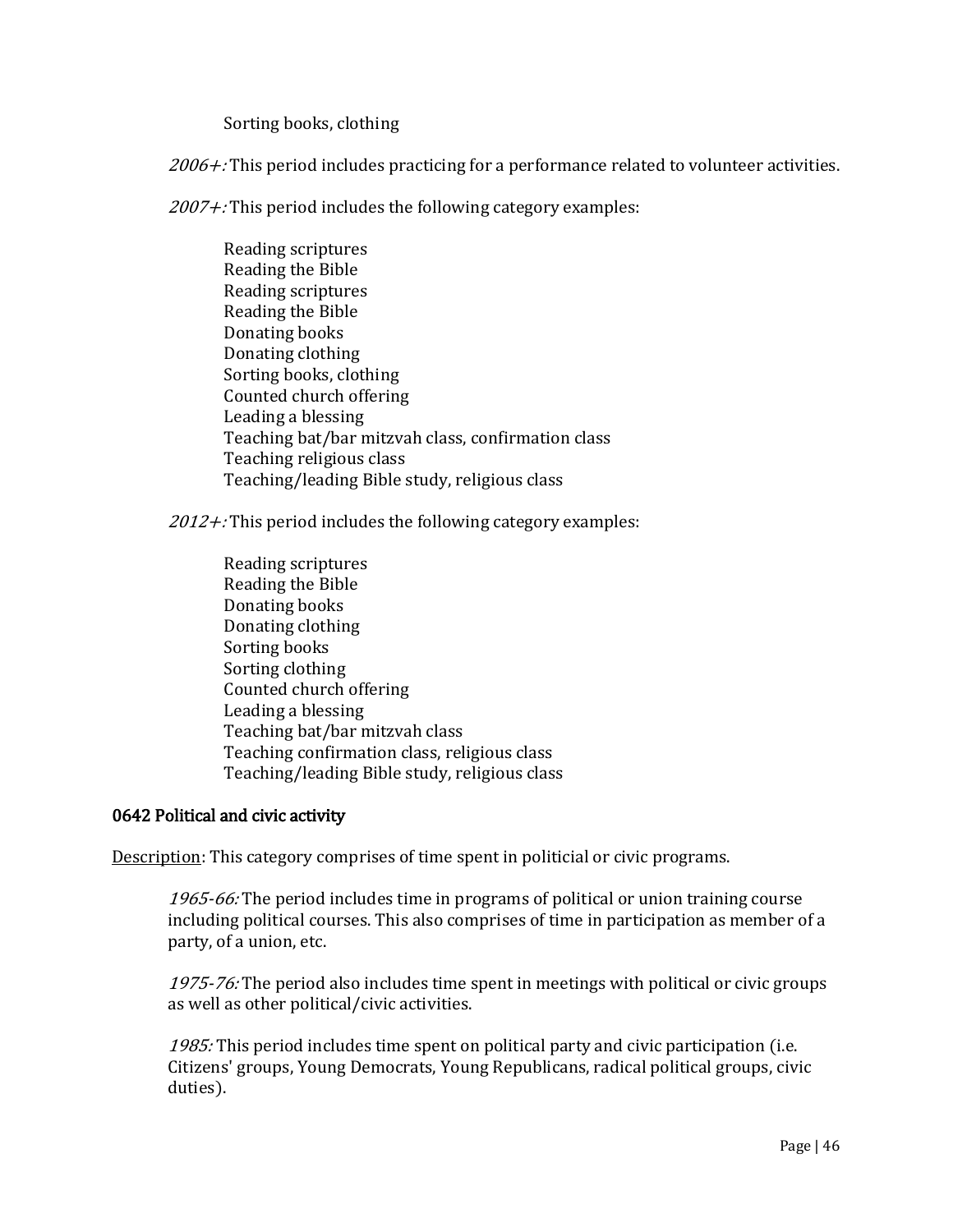Sorting books, clothing

 $2006 +$ : This period includes practicing for a performance related to volunteer activities.

 $2007 +$ : This period includes the following category examples:

Reading scriptures Reading the Bible Reading scriptures Reading the Bible Donating books Donating clothing Sorting books, clothing Counted church offering Leading a blessing Teaching bat/bar mitzvah class, confirmation class Teaching religious class Teaching/leading Bible study, religious class

 $2012 +$ : This period includes the following category examples:

Reading scriptures Reading the Bible Donating books Donating clothing Sorting books Sorting clothing Counted church offering Leading a blessing Teaching bat/bar mitzvah class Teaching confirmation class, religious class Teaching/leading Bible study, religious class

## 0642 Political and civic activity

Description: This category comprises of time spent in politicial or civic programs.

1965-66: The period includes time in programs of political or union training course including political courses. This also comprises of time in participation as member of a party, of a union, etc.

1975-76: The period also includes time spent in meetings with political or civic groups as well as other political/civic activities.

1985: This period includes time spent on political party and civic participation (i.e. Citizens' groups, Young Democrats, Young Republicans, radical political groups, civic duties).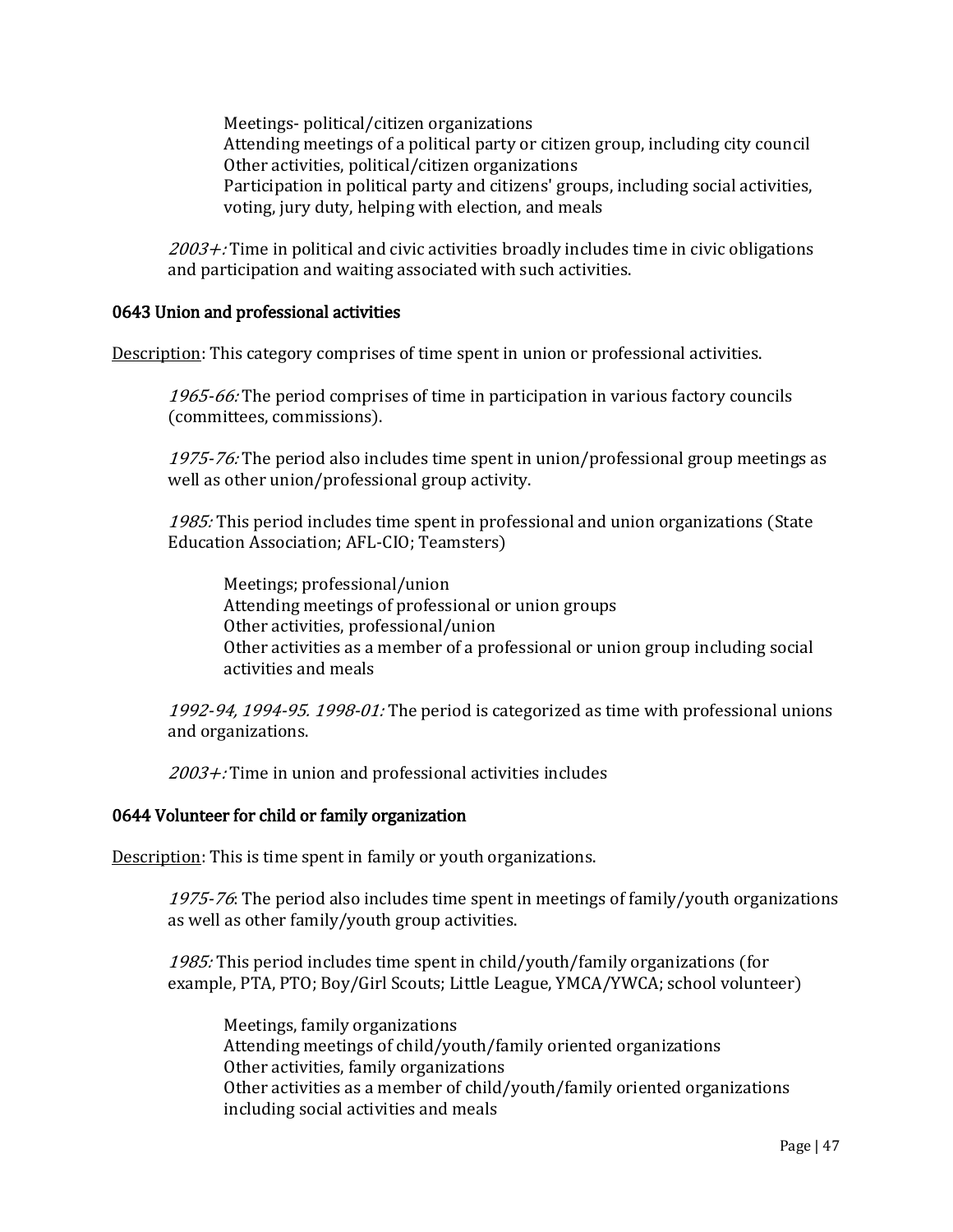Meetings- political/citizen organizations Attending meetings of a political party or citizen group, including city council Other activities, political/citizen organizations Participation in political party and citizens' groups, including social activities, voting, jury duty, helping with election, and meals

 $2003 +$ : Time in political and civic activities broadly includes time in civic obligations and participation and waiting associated with such activities.

## 0643 Union and professional activities

Description: This category comprises of time spent in union or professional activities.

1965-66: The period comprises of time in participation in various factory councils (committees, commissions).

1975-76: The period also includes time spent in union/professional group meetings as well as other union/professional group activity.

1985: This period includes time spent in professional and union organizations (State Education Association; AFL-CIO; Teamsters)

Meetings; professional/union Attending meetings of professional or union groups Other activities, professional/union Other activities as a member of a professional or union group including social activities and meals

1992-94, 1994-95. 1998-01: The period is categorized as time with professional unions and organizations.

2003+: Time in union and professional activities includes

#### 0644 Volunteer for child or family organization

Description: This is time spent in family or youth organizations.

1975-76: The period also includes time spent in meetings of family/youth organizations as well as other family/youth group activities.

1985: This period includes time spent in child/youth/family organizations (for example, PTA, PTO; Boy/Girl Scouts; Little League, YMCA/YWCA; school volunteer)

Meetings, family organizations Attending meetings of child/youth/family oriented organizations Other activities, family organizations Other activities as a member of child/youth/family oriented organizations including social activities and meals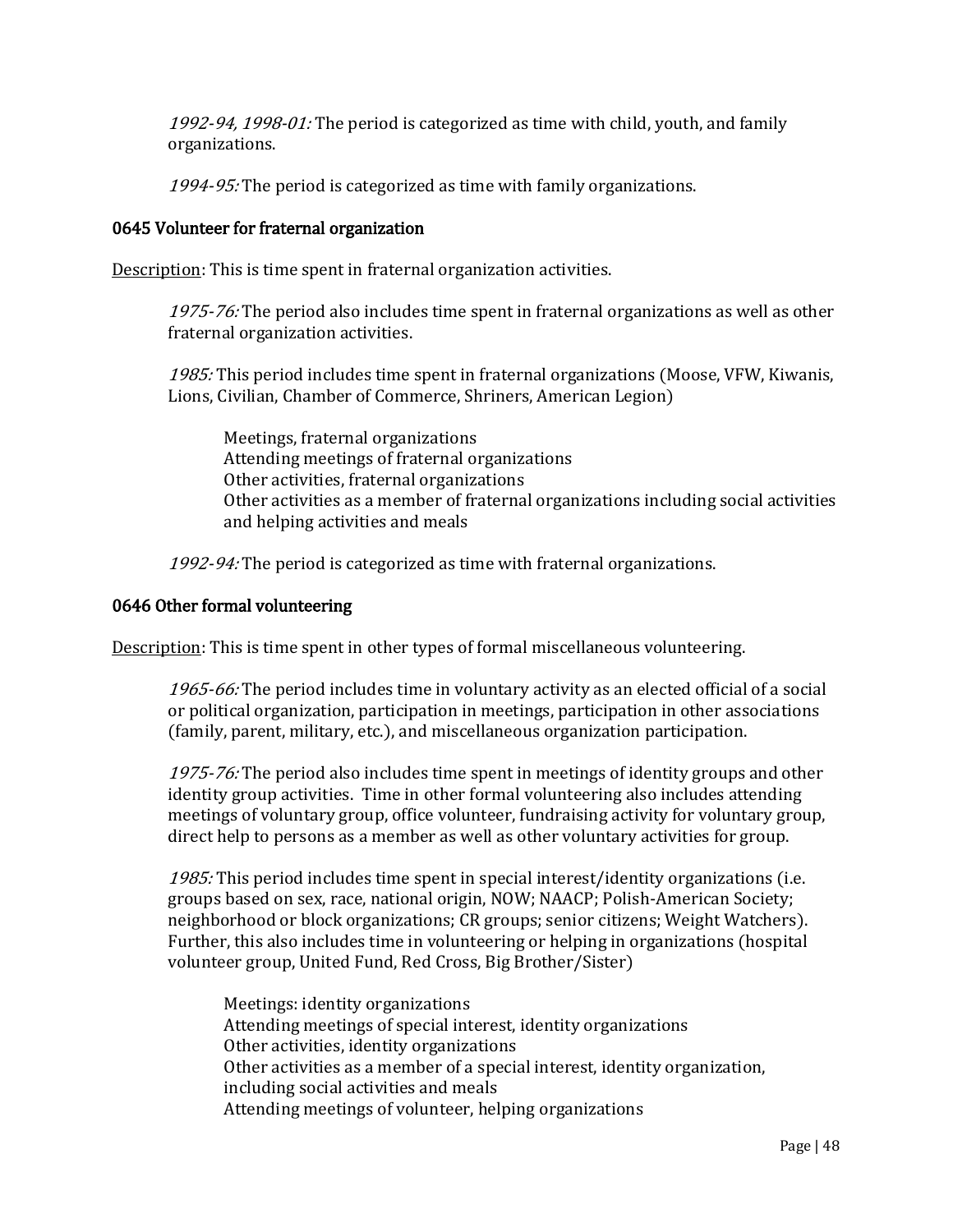1992-94, 1998-01: The period is categorized as time with child, youth, and family organizations.

1994-95: The period is categorized as time with family organizations.

## 0645 Volunteer for fraternal organization

Description: This is time spent in fraternal organization activities.

1975-76: The period also includes time spent in fraternal organizations as well as other fraternal organization activities.

1985: This period includes time spent in fraternal organizations (Moose, VFW, Kiwanis, Lions, Civilian, Chamber of Commerce, Shriners, American Legion)

Meetings, fraternal organizations Attending meetings of fraternal organizations Other activities, fraternal organizations Other activities as a member of fraternal organizations including social activities and helping activities and meals

1992-94: The period is categorized as time with fraternal organizations.

#### 0646 Other formal volunteering

Description: This is time spent in other types of formal miscellaneous volunteering.

1965-66: The period includes time in voluntary activity as an elected official of a social or political organization, participation in meetings, participation in other associations (family, parent, military, etc.), and miscellaneous organization participation.

1975-76: The period also includes time spent in meetings of identity groups and other identity group activities. Time in other formal volunteering also includes attending meetings of voluntary group, office volunteer, fundraising activity for voluntary group, direct help to persons as a member as well as other voluntary activities for group.

1985: This period includes time spent in special interest/identity organizations (i.e. groups based on sex, race, national origin, NOW; NAACP; Polish-American Society; neighborhood or block organizations; CR groups; senior citizens; Weight Watchers). Further, this also includes time in volunteering or helping in organizations (hospital volunteer group, United Fund, Red Cross, Big Brother/Sister)

Meetings: identity organizations Attending meetings of special interest, identity organizations Other activities, identity organizations Other activities as a member of a special interest, identity organization, including social activities and meals Attending meetings of volunteer, helping organizations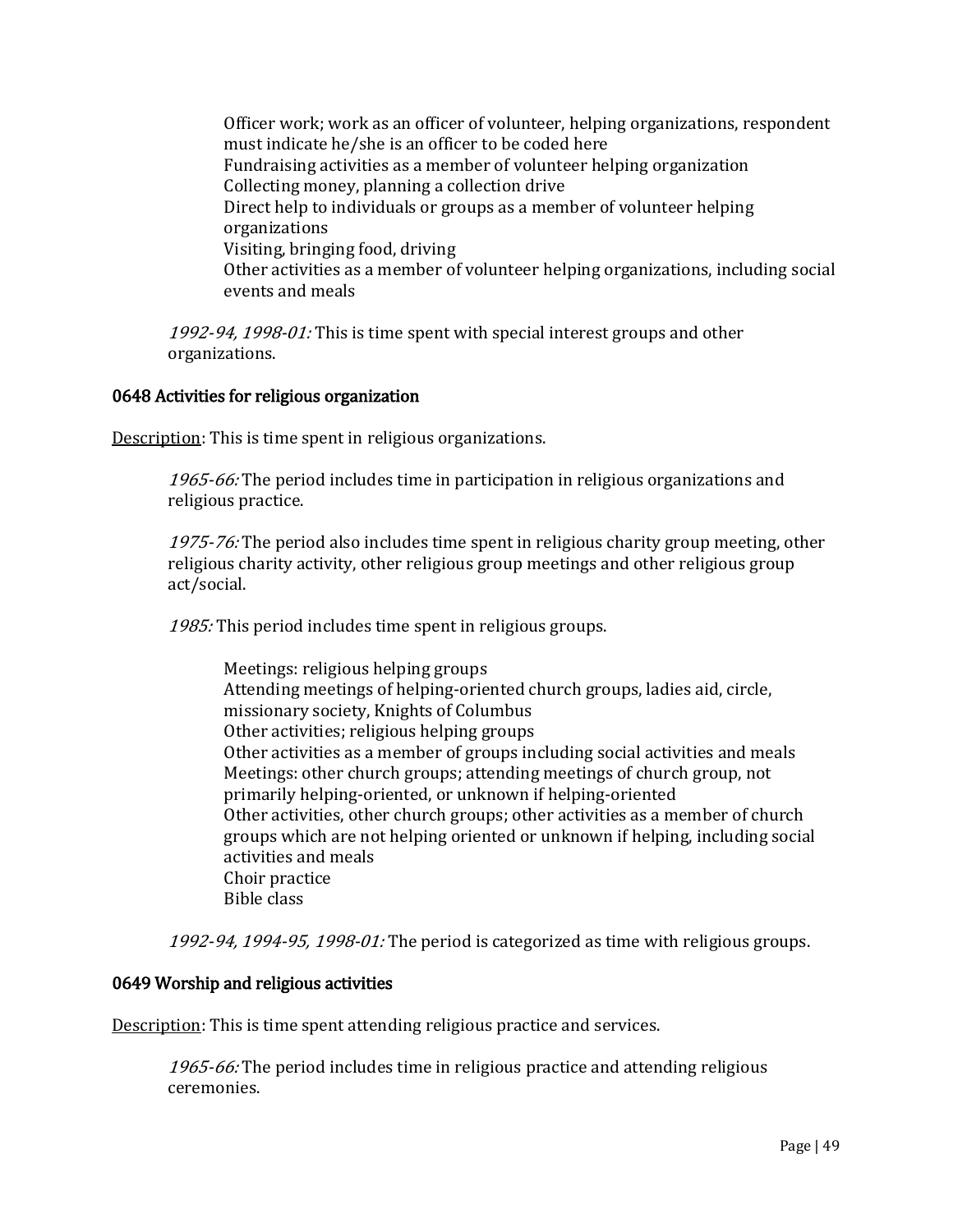Officer work; work as an officer of volunteer, helping organizations, respondent must indicate he/she is an officer to be coded here Fundraising activities as a member of volunteer helping organization Collecting money, planning a collection drive Direct help to individuals or groups as a member of volunteer helping organizations Visiting, bringing food, driving Other activities as a member of volunteer helping organizations, including social events and meals

1992-94, 1998-01: This is time spent with special interest groups and other organizations.

## 0648 Activities for religious organization

Description: This is time spent in religious organizations.

1965-66: The period includes time in participation in religious organizations and religious practice.

1975-76: The period also includes time spent in religious charity group meeting, other religious charity activity, other religious group meetings and other religious group act/social.

1985: This period includes time spent in religious groups.

Meetings: religious helping groups Attending meetings of helping-oriented church groups, ladies aid, circle, missionary society, Knights of Columbus Other activities; religious helping groups Other activities as a member of groups including social activities and meals Meetings: other church groups; attending meetings of church group, not primarily helping-oriented, or unknown if helping-oriented Other activities, other church groups; other activities as a member of church groups which are not helping oriented or unknown if helping, including social activities and meals Choir practice Bible class

1992-94, 1994-95, 1998-01: The period is categorized as time with religious groups.

#### 0649 Worship and religious activities

Description: This is time spent attending religious practice and services.

1965-66: The period includes time in religious practice and attending religious ceremonies.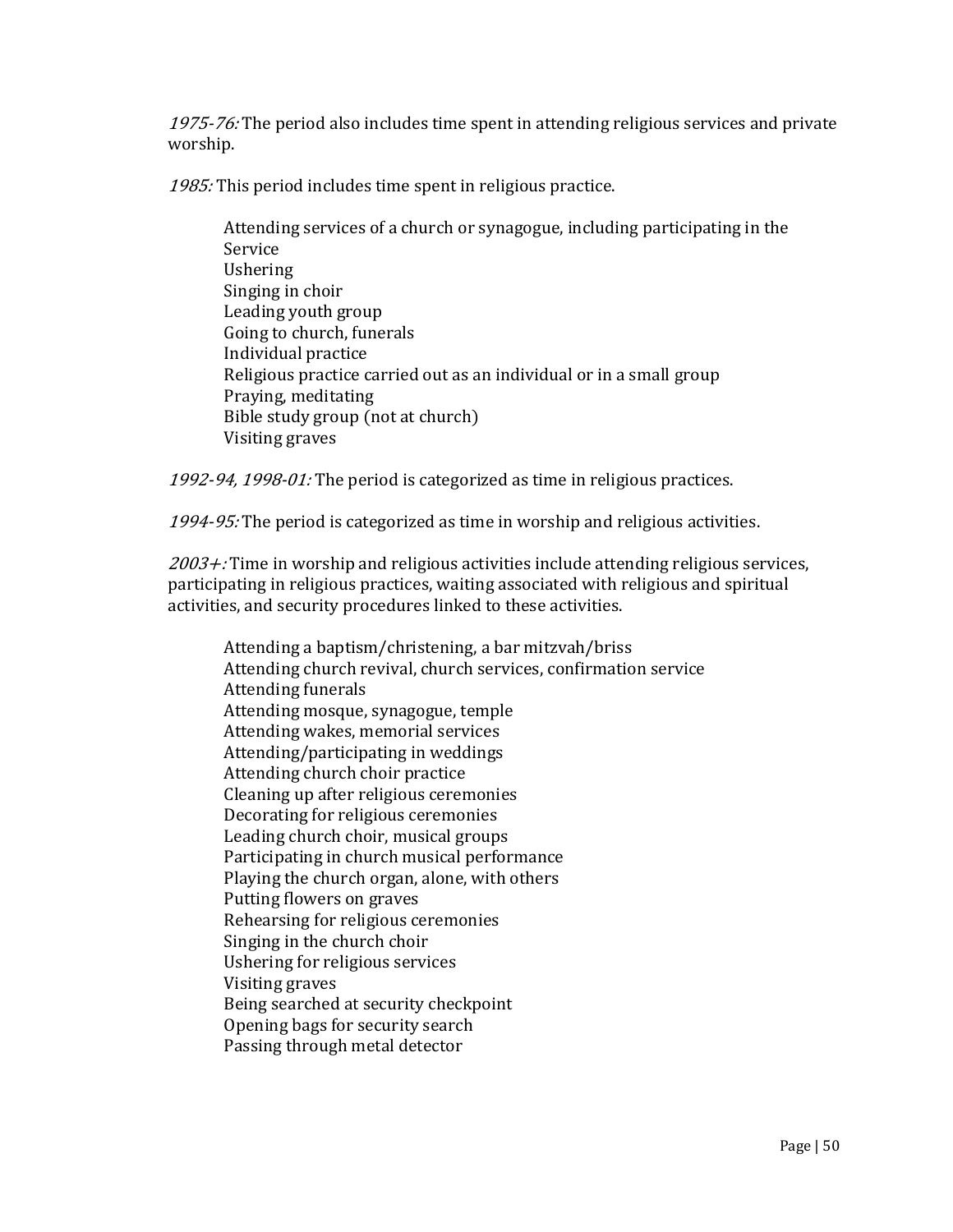1975-76: The period also includes time spent in attending religious services and private worship.

1985: This period includes time spent in religious practice.

Attending services of a church or synagogue, including participating in the Service Ushering Singing in choir Leading youth group Going to church, funerals Individual practice Religious practice carried out as an individual or in a small group Praying, meditating Bible study group (not at church) Visiting graves

1992-94, 1998-01: The period is categorized as time in religious practices.

1994-95: The period is categorized as time in worship and religious activities.

 $2003 +$ : Time in worship and religious activities include attending religious services, participating in religious practices, waiting associated with religious and spiritual activities, and security procedures linked to these activities.

Attending a baptism/christening, a bar mitzvah/briss Attending church revival, church services, confirmation service Attending funerals Attending mosque, synagogue, temple Attending wakes, memorial services Attending/participating in weddings Attending church choir practice Cleaning up after religious ceremonies Decorating for religious ceremonies Leading church choir, musical groups Participating in church musical performance Playing the church organ, alone, with others Putting flowers on graves Rehearsing for religious ceremonies Singing in the church choir Ushering for religious services Visiting graves Being searched at security checkpoint Opening bags for security search Passing through metal detector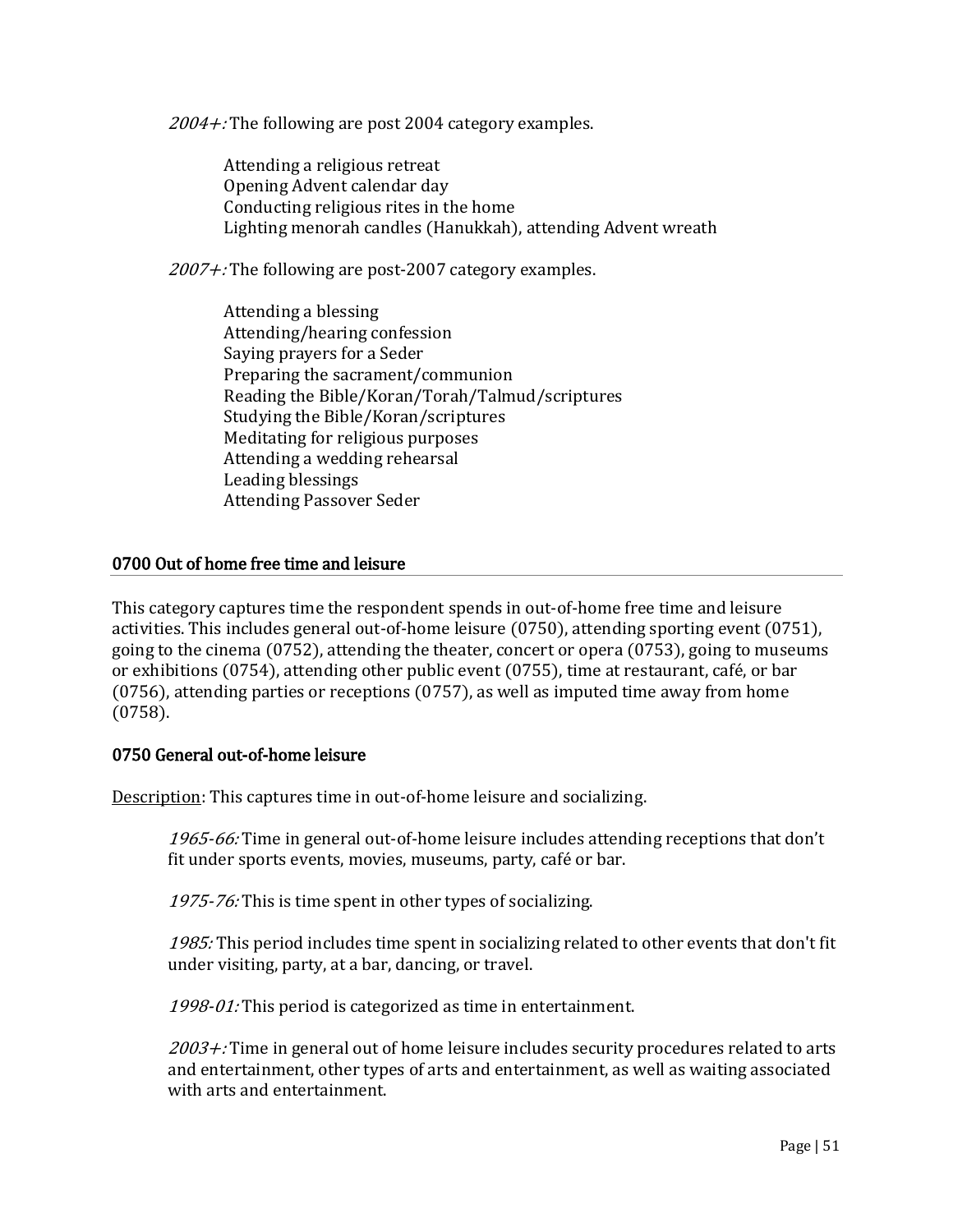$2004 +$ : The following are post 2004 category examples.

Attending a religious retreat Opening Advent calendar day Conducting religious rites in the home Lighting menorah candles (Hanukkah), attending Advent wreath

 $2007 +$ : The following are post-2007 category examples.

Attending a blessing Attending/hearing confession Saying prayers for a Seder Preparing the sacrament/communion Reading the Bible/Koran/Torah/Talmud/scriptures Studying the Bible/Koran/scriptures Meditating for religious purposes Attending a wedding rehearsal Leading blessings Attending Passover Seder

## 0700 Out of home free time and leisure

This category captures time the respondent spends in out-of-home free time and leisure activities. This includes general out-of-home leisure (0750), attending sporting event (0751), going to the cinema (0752), attending the theater, concert or opera (0753), going to museums or exhibitions (0754), attending other public event (0755), time at restaurant, café, or bar (0756), attending parties or receptions (0757), as well as imputed time away from home (0758).

# 0750 General out-of-home leisure

Description: This captures time in out-of-home leisure and socializing.

1965-66: Time in general out-of-home leisure includes attending receptions that don't fit under sports events, movies, museums, party, café or bar.

1975-76: This is time spent in other types of socializing.

1985: This period includes time spent in socializing related to other events that don't fit under visiting, party, at a bar, dancing, or travel.

1998-01: This period is categorized as time in entertainment.

 $2003 +$ : Time in general out of home leisure includes security procedures related to arts and entertainment, other types of arts and entertainment, as well as waiting associated with arts and entertainment.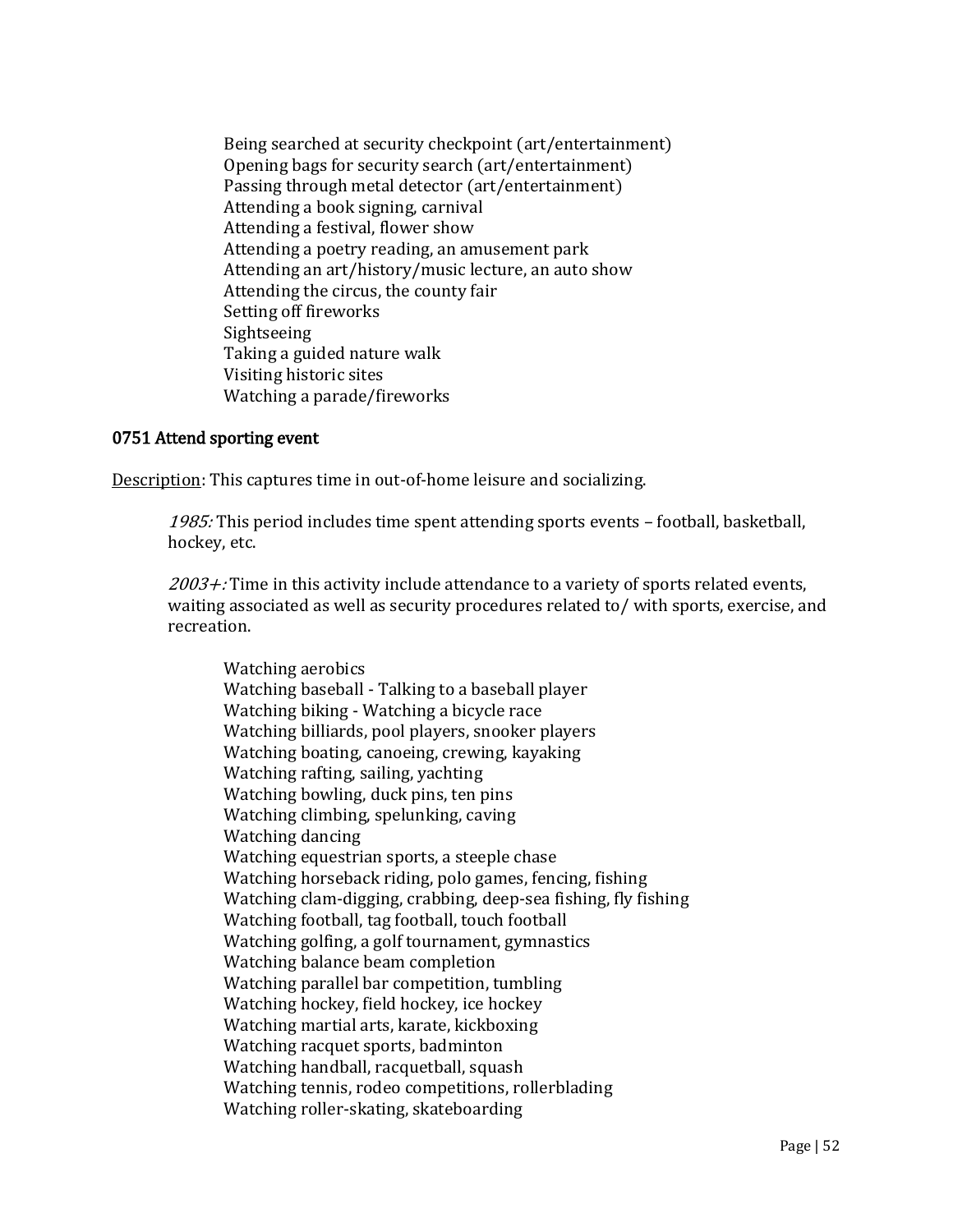Being searched at security checkpoint (art/entertainment) Opening bags for security search (art/entertainment) Passing through metal detector (art/entertainment) Attending a book signing, carnival Attending a festival, flower show Attending a poetry reading, an amusement park Attending an art/history/music lecture, an auto show Attending the circus, the county fair Setting off fireworks Sightseeing Taking a guided nature walk Visiting historic sites Watching a parade/fireworks

## 0751 Attend sporting event

Description: This captures time in out-of-home leisure and socializing.

1985: This period includes time spent attending sports events - football, basketball, hockey, etc.

 $2003 +$ : Time in this activity include attendance to a variety of sports related events, waiting associated as well as security procedures related to/ with sports, exercise, and recreation.

Watching aerobics Watching baseball - Talking to a baseball player Watching biking - Watching a bicycle race Watching billiards, pool players, snooker players Watching boating, canoeing, crewing, kayaking Watching rafting, sailing, yachting Watching bowling, duck pins, ten pins Watching climbing, spelunking, caving Watching dancing Watching equestrian sports, a steeple chase Watching horseback riding, polo games, fencing, fishing Watching clam-digging, crabbing, deep-sea fishing, fly fishing Watching football, tag football, touch football Watching golfing, a golf tournament, gymnastics Watching balance beam completion Watching parallel bar competition, tumbling Watching hockey, field hockey, ice hockey Watching martial arts, karate, kickboxing Watching racquet sports, badminton Watching handball, racquetball, squash Watching tennis, rodeo competitions, rollerblading Watching roller-skating, skateboarding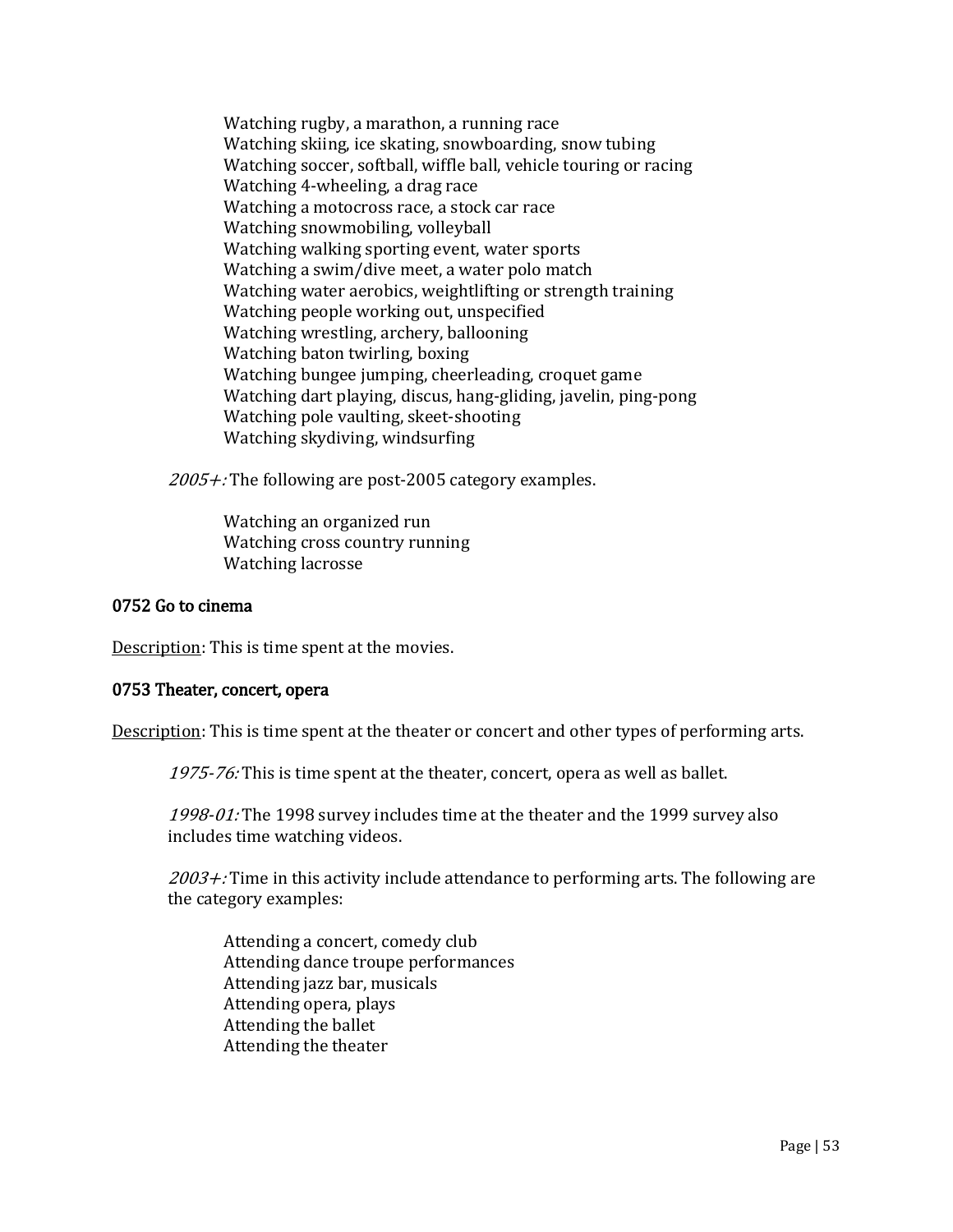Watching rugby, a marathon, a running race Watching skiing, ice skating, snowboarding, snow tubing Watching soccer, softball, wiffle ball, vehicle touring or racing Watching 4-wheeling, a drag race Watching a motocross race, a stock car race Watching snowmobiling, volleyball Watching walking sporting event, water sports Watching a swim/dive meet, a water polo match Watching water aerobics, weightlifting or strength training Watching people working out, unspecified Watching wrestling, archery, ballooning Watching baton twirling, boxing Watching bungee jumping, cheerleading, croquet game Watching dart playing, discus, hang-gliding, javelin, ping-pong Watching pole vaulting, skeet-shooting Watching skydiving, windsurfing

2005+: The following are post-2005 category examples.

Watching an organized run Watching cross country running Watching lacrosse

#### 0752 Go to cinema

Description: This is time spent at the movies.

#### 0753 Theater, concert, opera

Description: This is time spent at the theater or concert and other types of performing arts.

1975-76: This is time spent at the theater, concert, opera as well as ballet.

1998-01: The 1998 survey includes time at the theater and the 1999 survey also includes time watching videos.

 $2003 +$ : Time in this activity include attendance to performing arts. The following are the category examples:

Attending a concert, comedy club Attending dance troupe performances Attending jazz bar, musicals Attending opera, plays Attending the ballet Attending the theater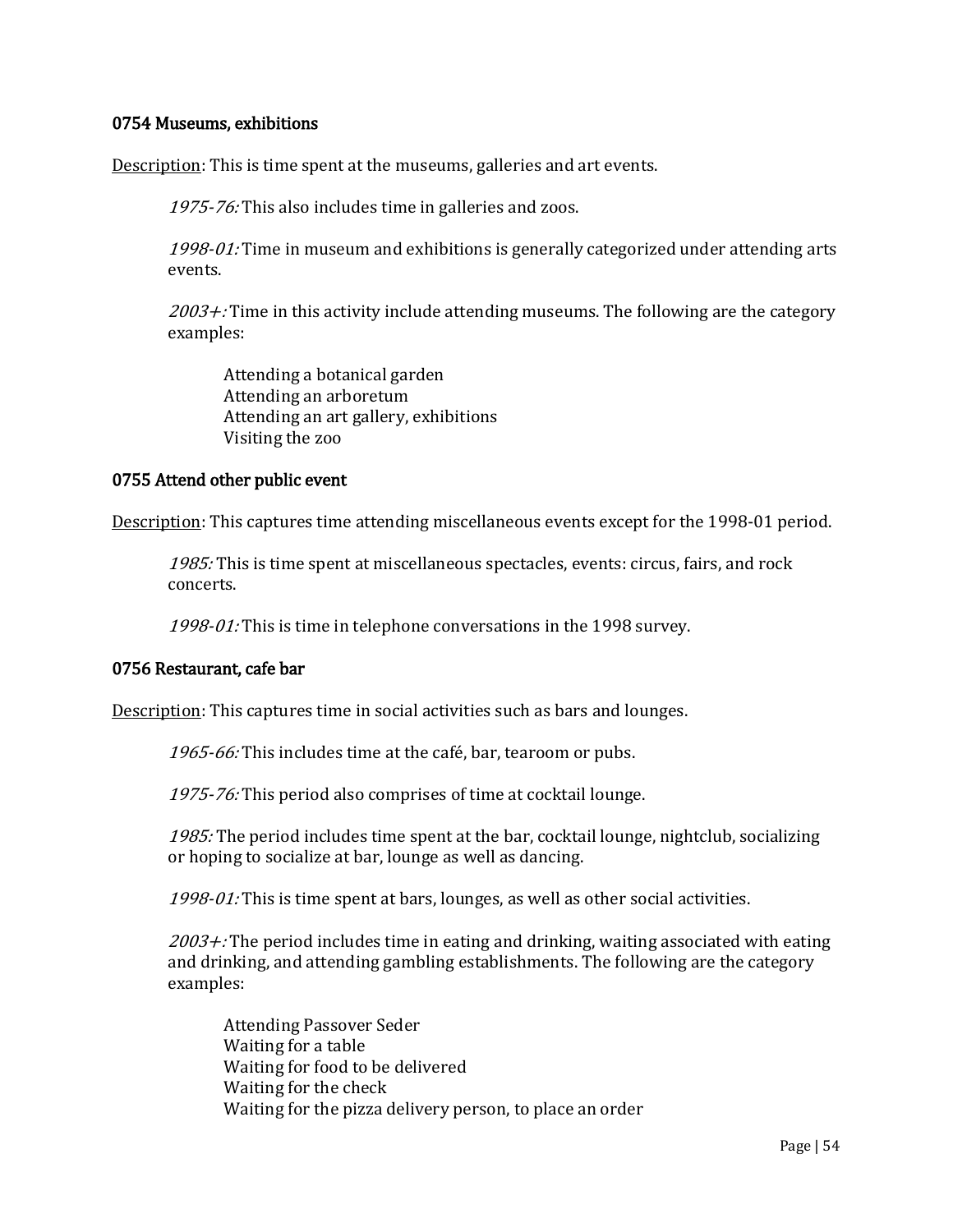## 0754 Museums, exhibitions

Description: This is time spent at the museums, galleries and art events.

1975-76: This also includes time in galleries and zoos.

1998-01: Time in museum and exhibitions is generally categorized under attending arts events.

 $2003 +$ : Time in this activity include attending museums. The following are the category examples:

Attending a botanical garden Attending an arboretum Attending an art gallery, exhibitions Visiting the zoo

## 0755 Attend other public event

Description: This captures time attending miscellaneous events except for the 1998-01 period.

1985: This is time spent at miscellaneous spectacles, events: circus, fairs, and rock concerts.

1998-01: This is time in telephone conversations in the 1998 survey.

#### 0756 Restaurant, cafe bar

Description: This captures time in social activities such as bars and lounges.

1965-66: This includes time at the café, bar, tearoom or pubs.

1975-76: This period also comprises of time at cocktail lounge.

1985: The period includes time spent at the bar, cocktail lounge, nightclub, socializing or hoping to socialize at bar, lounge as well as dancing.

1998-01: This is time spent at bars, lounges, as well as other social activities.

 $2003 +$ : The period includes time in eating and drinking, waiting associated with eating and drinking, and attending gambling establishments. The following are the category examples:

Attending Passover Seder Waiting for a table Waiting for food to be delivered Waiting for the check Waiting for the pizza delivery person, to place an order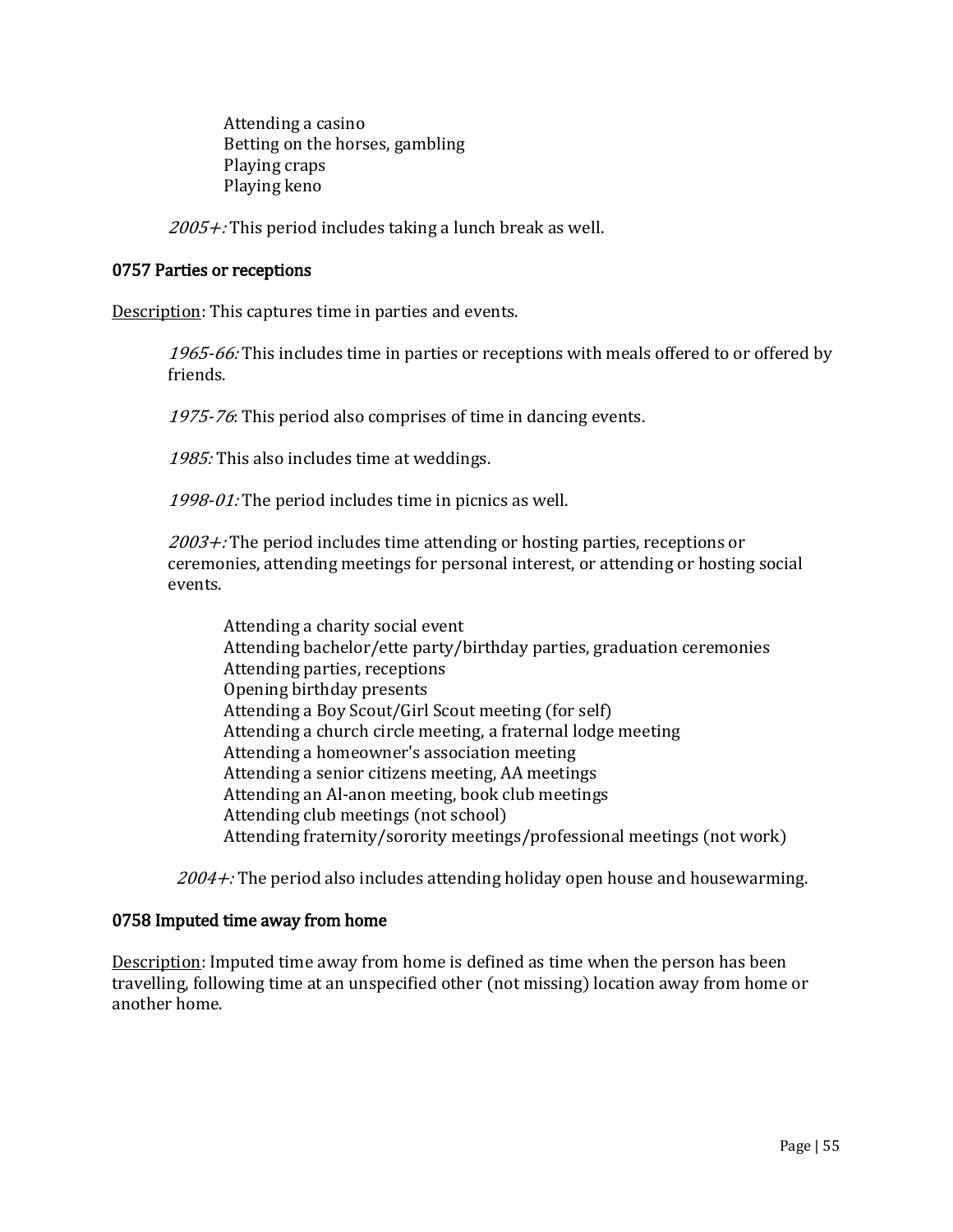Attending a casino Betting on the horses, gambling Playing craps Playing keno

 $2005 +$ : This period includes taking a lunch break as well.

#### 0757 Parties or receptions

Description: This captures time in parties and events.

1965-66: This includes time in parties or receptions with meals offered to or offered by friends.

1975-76: This period also comprises of time in dancing events.

1985: This also includes time at weddings.

1998-01: The period includes time in picnics as well.

 $2003 +$ : The period includes time attending or hosting parties, receptions or ceremonies, attending meetings for personal interest, or attending or hosting social events.

Attending a charity social event Attending bachelor/ette party/birthday parties, graduation ceremonies Attending parties, receptions Opening birthday presents Attending a Boy Scout/Girl Scout meeting (for self) Attending a church circle meeting, a fraternal lodge meeting Attending a homeowner's association meeting Attending a senior citizens meeting, AA meetings Attending an Al-anon meeting, book club meetings Attending club meetings (not school) Attending fraternity/sorority meetings/professional meetings (not work)

 $2004 +$ : The period also includes attending holiday open house and housewarming.

#### 0758 Imputed time away from home

Description: Imputed time away from home is defined as time when the person has been travelling, following time at an unspecified other (not missing) location away from home or another home.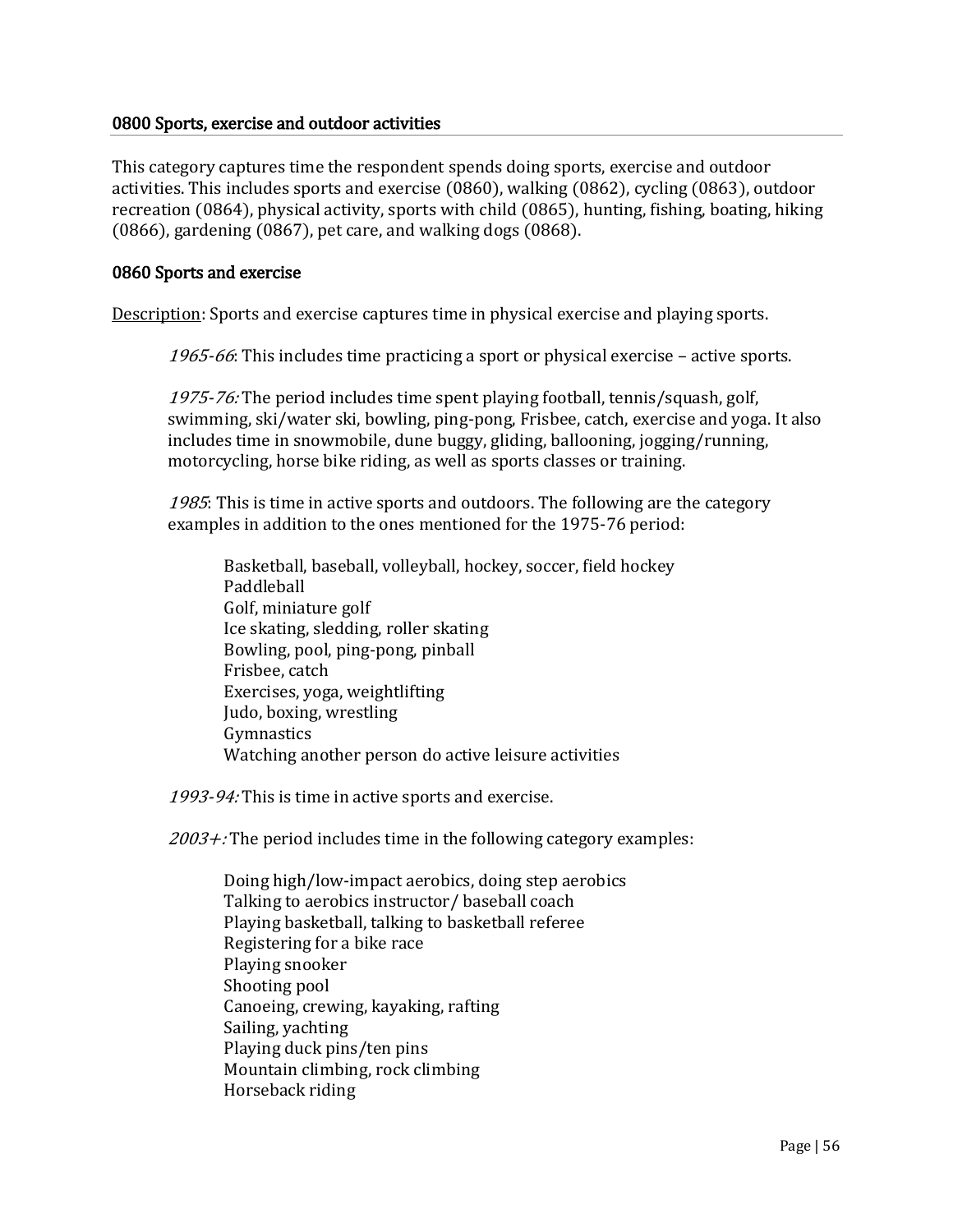#### 0800 Sports, exercise and outdoor activities

This category captures time the respondent spends doing sports, exercise and outdoor activities. This includes sports and exercise (0860), walking (0862), cycling (0863), outdoor recreation (0864), physical activity, sports with child (0865), hunting, fishing, boating, hiking (0866), gardening (0867), pet care, and walking dogs (0868).

## 0860 Sports and exercise

Description: Sports and exercise captures time in physical exercise and playing sports.

1965-66: This includes time practicing a sport or physical exercise – active sports.

1975-76: The period includes time spent playing football, tennis/squash, golf, swimming, ski/water ski, bowling, ping-pong, Frisbee, catch, exercise and yoga. It also includes time in snowmobile, dune buggy, gliding, ballooning, jogging/running, motorcycling, horse bike riding, as well as sports classes or training.

1985: This is time in active sports and outdoors. The following are the category examples in addition to the ones mentioned for the 1975-76 period:

Basketball, baseball, volleyball, hockey, soccer, field hockey Paddleball Golf, miniature golf Ice skating, sledding, roller skating Bowling, pool, ping-pong, pinball Frisbee, catch Exercises, yoga, weightlifting Judo, boxing, wrestling Gymnastics Watching another person do active leisure activities

1993-94: This is time in active sports and exercise.

 $2003 +$ : The period includes time in the following category examples:

Doing high/low-impact aerobics, doing step aerobics Talking to aerobics instructor/ baseball coach Playing basketball, talking to basketball referee Registering for a bike race Playing snooker Shooting pool Canoeing, crewing, kayaking, rafting Sailing, yachting Playing duck pins/ten pins Mountain climbing, rock climbing Horseback riding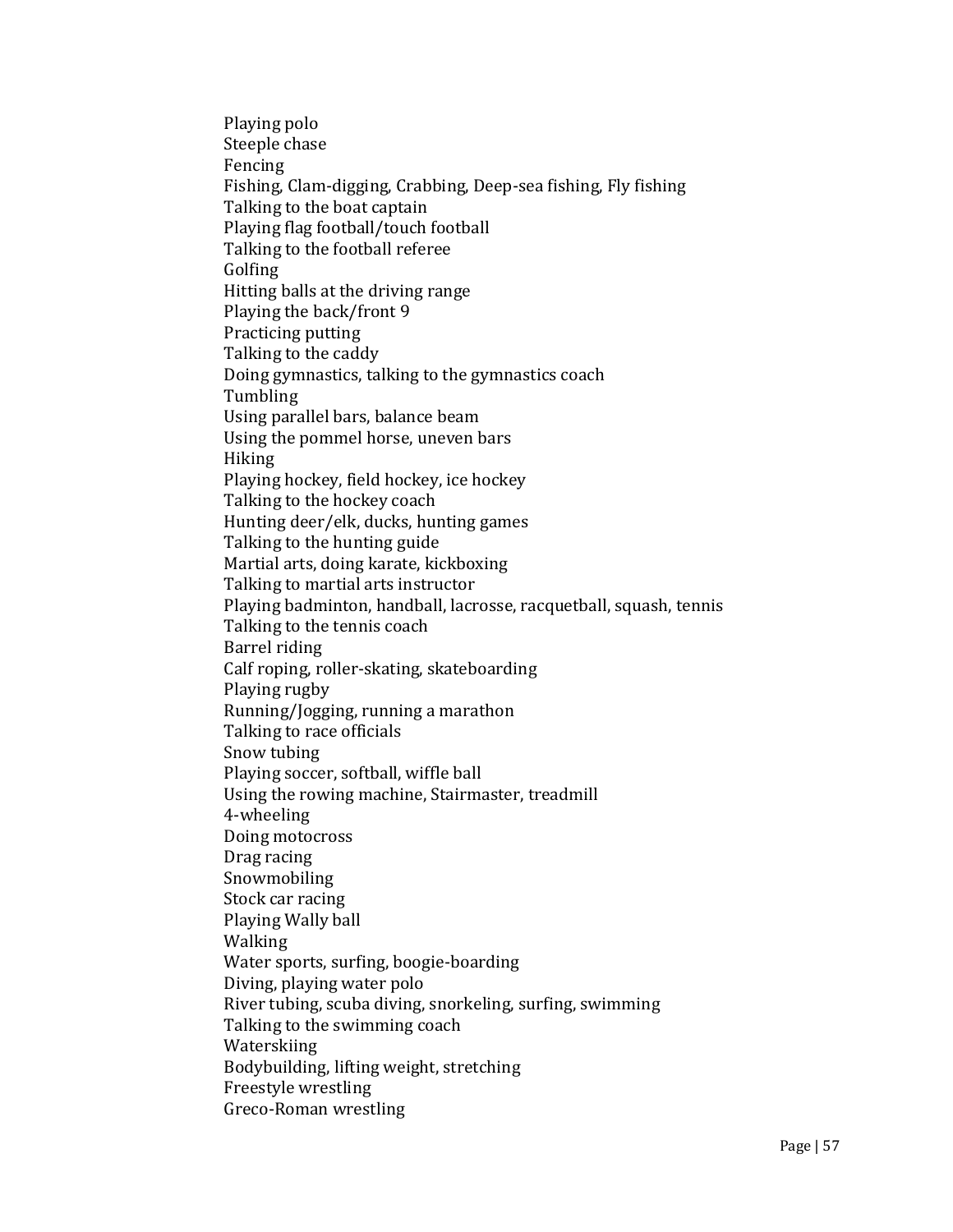Playing polo Steeple chase Fencing Fishing, Clam-digging, Crabbing, Deep-sea fishing, Fly fishing Talking to the boat captain Playing flag football/touch football Talking to the football referee Golfing Hitting balls at the driving range Playing the back/front 9 Practicing putting Talking to the caddy Doing gymnastics, talking to the gymnastics coach Tumbling Using parallel bars, balance beam Using the pommel horse, uneven bars Hiking Playing hockey, field hockey, ice hockey Talking to the hockey coach Hunting deer/elk, ducks, hunting games Talking to the hunting guide Martial arts, doing karate, kickboxing Talking to martial arts instructor Playing badminton, handball, lacrosse, racquetball, squash, tennis Talking to the tennis coach Barrel riding Calf roping, roller-skating, skateboarding Playing rugby Running/Jogging, running a marathon Talking to race officials Snow tubing Playing soccer, softball, wiffle ball Using the rowing machine, Stairmaster, treadmill 4-wheeling Doing motocross Drag racing Snowmobiling Stock car racing Playing Wally ball Walking Water sports, surfing, boogie-boarding Diving, playing water polo River tubing, scuba diving, snorkeling, surfing, swimming Talking to the swimming coach Waterskiing Bodybuilding, lifting weight, stretching Freestyle wrestling Greco-Roman wrestling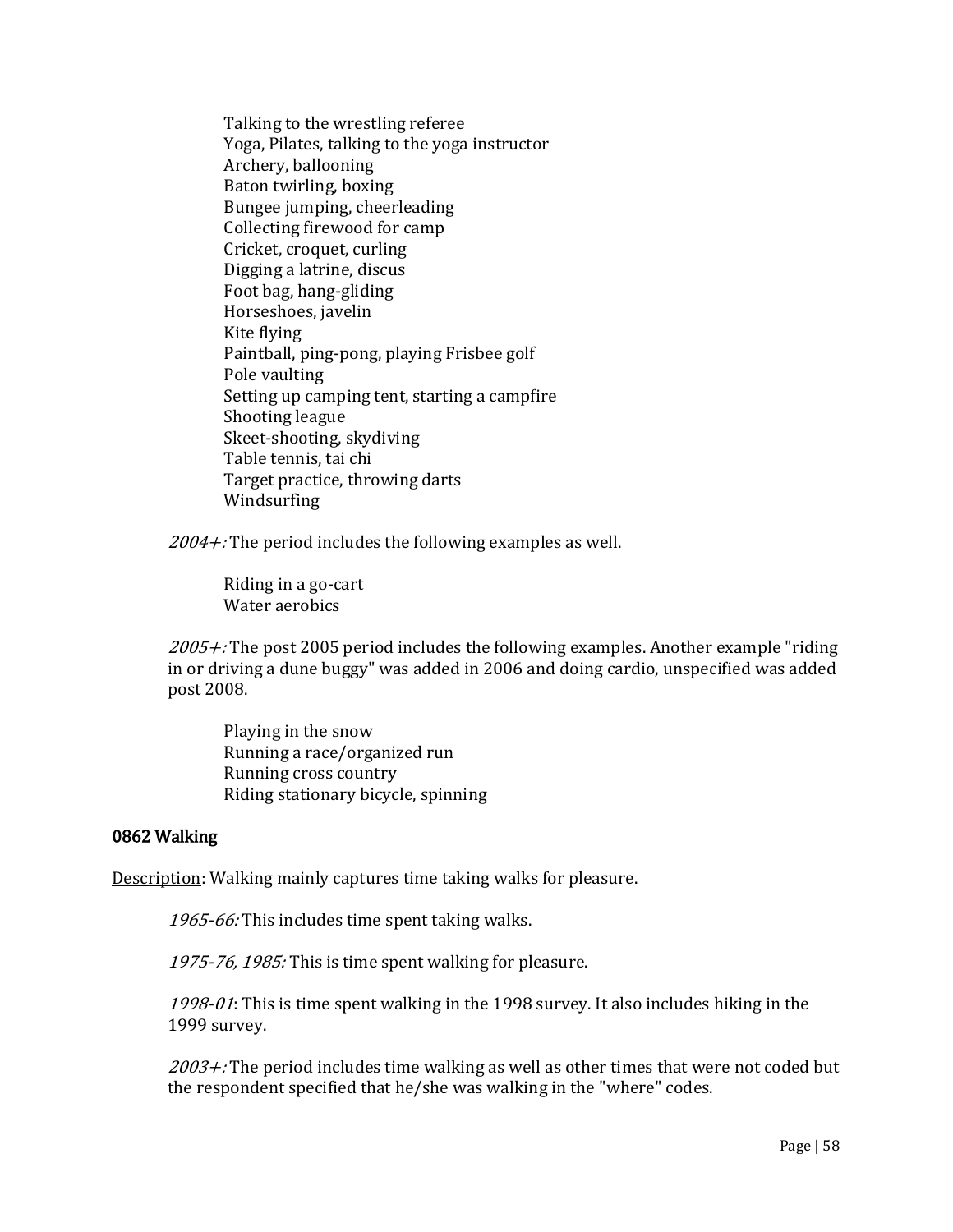Talking to the wrestling referee Yoga, Pilates, talking to the yoga instructor Archery, ballooning Baton twirling, boxing Bungee jumping, cheerleading Collecting firewood for camp Cricket, croquet, curling Digging a latrine, discus Foot bag, hang-gliding Horseshoes, javelin Kite flying Paintball, ping-pong, playing Frisbee golf Pole vaulting Setting up camping tent, starting a campfire Shooting league Skeet-shooting, skydiving Table tennis, tai chi Target practice, throwing darts Windsurfing

 $2004 +$ : The period includes the following examples as well.

Riding in a go-cart Water aerobics

 $2005 +$ : The post 2005 period includes the following examples. Another example "riding" in or driving a dune buggy" was added in 2006 and doing cardio, unspecified was added post 2008.

Playing in the snow Running a race/organized run Running cross country Riding stationary bicycle, spinning

#### 0862 Walking

Description: Walking mainly captures time taking walks for pleasure.

1965-66: This includes time spent taking walks.

1975-76, 1985: This is time spent walking for pleasure.

1998-01: This is time spent walking in the 1998 survey. It also includes hiking in the 1999 survey.

 $2003 +$ : The period includes time walking as well as other times that were not coded but the respondent specified that he/she was walking in the "where" codes.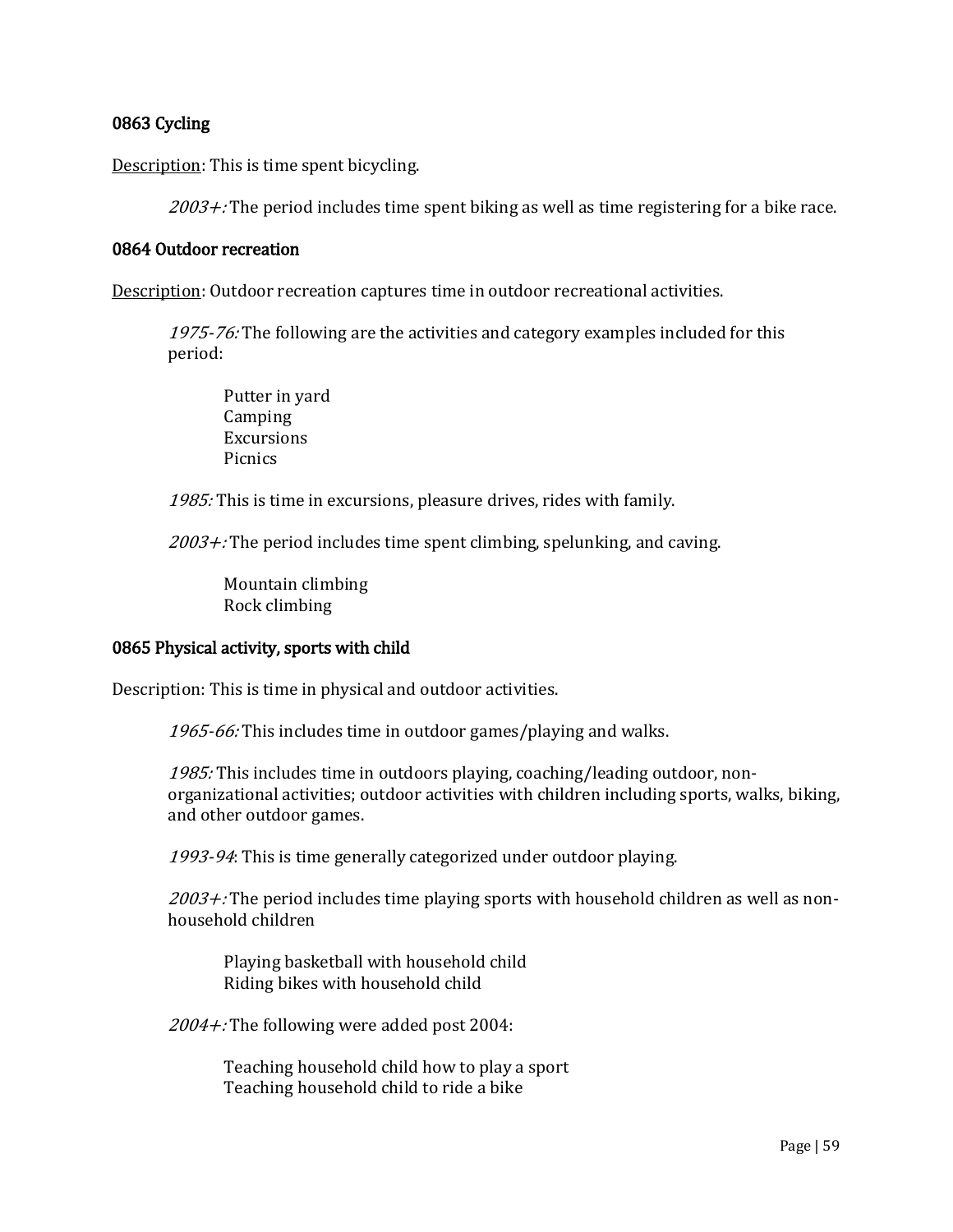# 0863 Cycling

Description: This is time spent bicycling.

 $2003 +$ : The period includes time spent biking as well as time registering for a bike race.

## 0864 Outdoor recreation

Description: Outdoor recreation captures time in outdoor recreational activities.

1975-76: The following are the activities and category examples included for this period:

Putter in yard Camping Excursions Picnics

1985: This is time in excursions, pleasure drives, rides with family.

 $2003 +$ : The period includes time spent climbing, spelunking, and caving.

Mountain climbing Rock climbing

#### 0865 Physical activity, sports with child

Description: This is time in physical and outdoor activities.

1965-66: This includes time in outdoor games/playing and walks.

1985: This includes time in outdoors playing, coaching/leading outdoor, nonorganizational activities; outdoor activities with children including sports, walks, biking, and other outdoor games.

1993-94: This is time generally categorized under outdoor playing.

 $2003 +$ : The period includes time playing sports with household children as well as nonhousehold children

Playing basketball with household child Riding bikes with household child

2004+: The following were added post 2004:

Teaching household child how to play a sport Teaching household child to ride a bike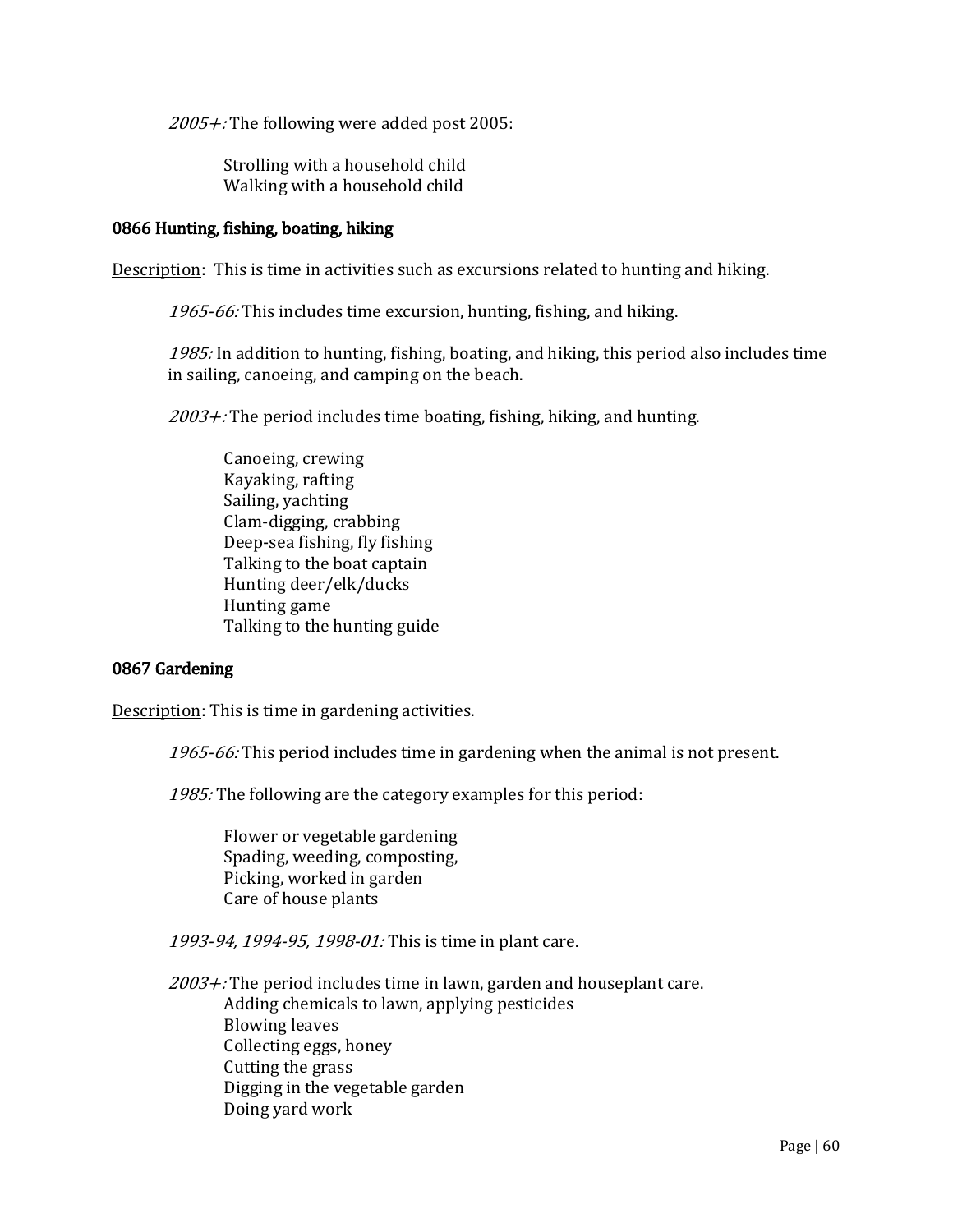2005+: The following were added post 2005:

Strolling with a household child Walking with a household child

## 0866 Hunting, fishing, boating, hiking

Description: This is time in activities such as excursions related to hunting and hiking.

1965-66: This includes time excursion, hunting, fishing, and hiking.

1985: In addition to hunting, fishing, boating, and hiking, this period also includes time in sailing, canoeing, and camping on the beach.

 $2003 +$ : The period includes time boating, fishing, hiking, and hunting.

Canoeing, crewing Kayaking, rafting Sailing, yachting Clam-digging, crabbing Deep-sea fishing, fly fishing Talking to the boat captain Hunting deer/elk/ducks Hunting game Talking to the hunting guide

#### 0867 Gardening

Description: This is time in gardening activities.

1965-66: This period includes time in gardening when the animal is not present.

1985: The following are the category examples for this period:

Flower or vegetable gardening Spading, weeding, composting, Picking, worked in garden Care of house plants

1993-94, 1994-95, 1998-01: This is time in plant care.

 $2003 +$ : The period includes time in lawn, garden and houseplant care. Adding chemicals to lawn, applying pesticides Blowing leaves Collecting eggs, honey Cutting the grass Digging in the vegetable garden Doing yard work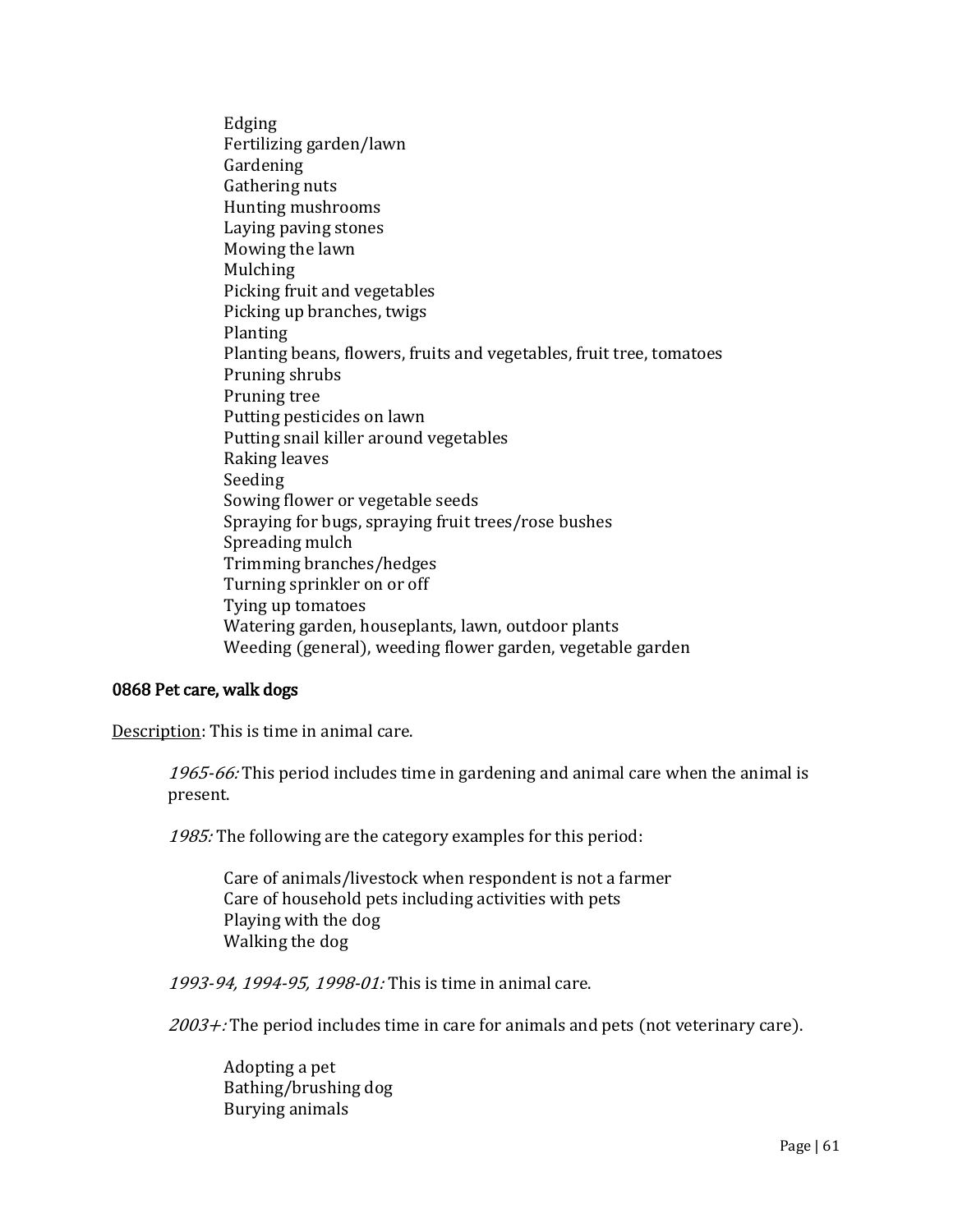Edging Fertilizing garden/lawn **Gardening** Gathering nuts Hunting mushrooms Laying paving stones Mowing the lawn Mulching Picking fruit and vegetables Picking up branches, twigs Planting Planting beans, flowers, fruits and vegetables, fruit tree, tomatoes Pruning shrubs Pruning tree Putting pesticides on lawn Putting snail killer around vegetables Raking leaves Seeding Sowing flower or vegetable seeds Spraying for bugs, spraying fruit trees/rose bushes Spreading mulch Trimming branches/hedges Turning sprinkler on or off Tying up tomatoes Watering garden, houseplants, lawn, outdoor plants Weeding (general), weeding flower garden, vegetable garden

## 0868 Pet care, walk dogs

Description: This is time in animal care.

1965-66: This period includes time in gardening and animal care when the animal is present.

1985: The following are the category examples for this period:

Care of animals/livestock when respondent is not a farmer Care of household pets including activities with pets Playing with the dog Walking the dog

1993-94, 1994-95, 1998-01: This is time in animal care.

 $2003 +$ : The period includes time in care for animals and pets (not veterinary care).

Adopting a pet Bathing/brushing dog Burying animals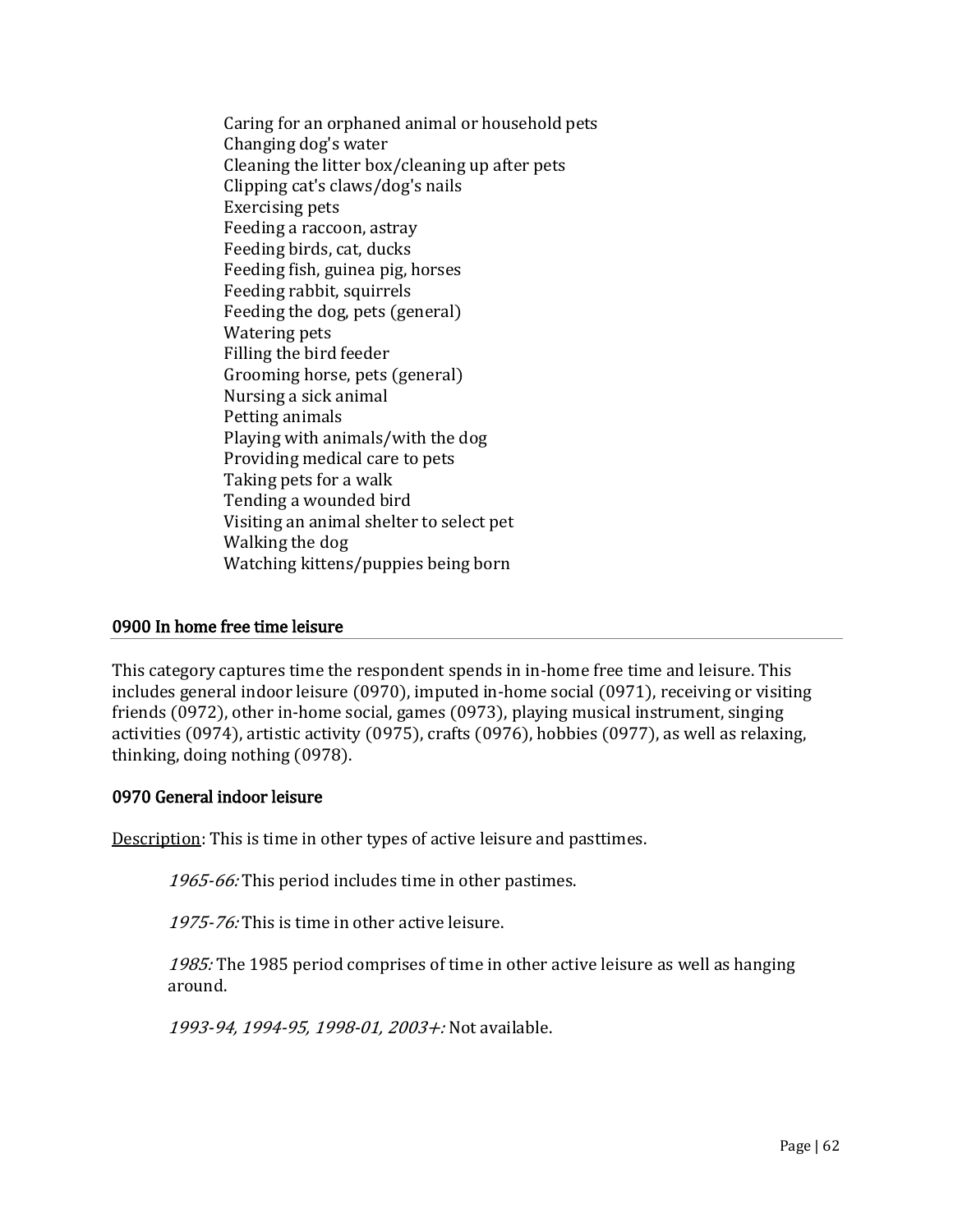Caring for an orphaned animal or household pets Changing dog's water Cleaning the litter box/cleaning up after pets Clipping cat's claws/dog's nails Exercising pets Feeding a raccoon, astray Feeding birds, cat, ducks Feeding fish, guinea pig, horses Feeding rabbit, squirrels Feeding the dog, pets (general) Watering pets Filling the bird feeder Grooming horse, pets (general) Nursing a sick animal Petting animals Playing with animals/with the dog Providing medical care to pets Taking pets for a walk Tending a wounded bird Visiting an animal shelter to select pet Walking the dog Watching kittens/puppies being born

## 0900 In home free time leisure

This category captures time the respondent spends in in-home free time and leisure. This includes general indoor leisure (0970), imputed in-home social (0971), receiving or visiting friends (0972), other in-home social, games (0973), playing musical instrument, singing activities (0974), artistic activity (0975), crafts (0976), hobbies (0977), as well as relaxing, thinking, doing nothing (0978).

## 0970 General indoor leisure

Description: This is time in other types of active leisure and pasttimes.

1965-66: This period includes time in other pastimes.

1975-76: This is time in other active leisure.

1985: The 1985 period comprises of time in other active leisure as well as hanging around.

1993-94, 1994-95, 1998-01, 2003+: Not available.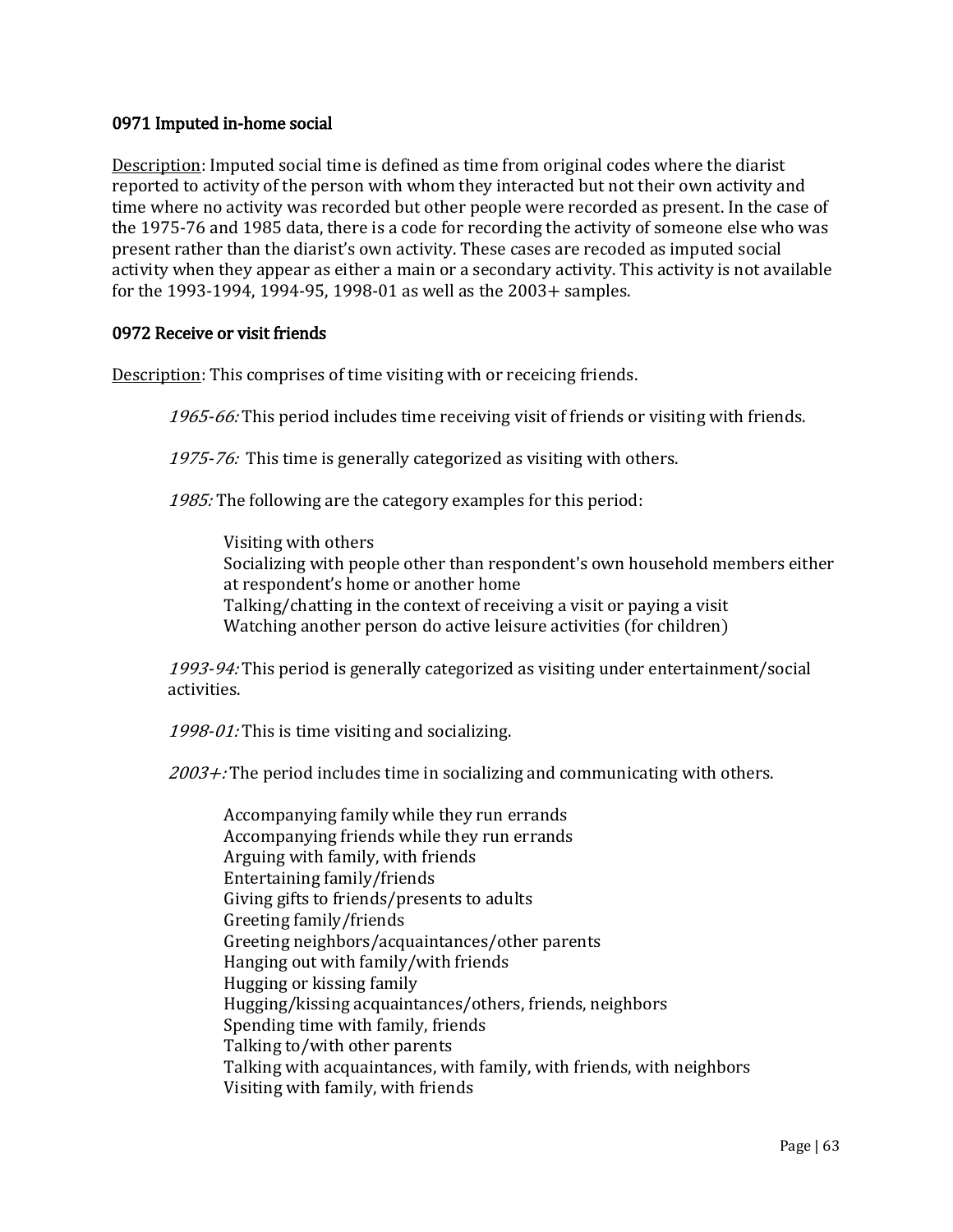## 0971 Imputed in-home social

Description: Imputed social time is defined as time from original codes where the diarist reported to activity of the person with whom they interacted but not their own activity and time where no activity was recorded but other people were recorded as present. In the case of the 1975-76 and 1985 data, there is a code for recording the activity of someone else who was present rather than the diarist's own activity. These cases are recoded as imputed social activity when they appear as either a main or a secondary activity. This activity is not available for the 1993-1994, 1994-95, 1998-01 as well as the 2003+ samples.

## 0972 Receive or visit friends

Description: This comprises of time visiting with or receicing friends.

1965-66: This period includes time receiving visit of friends or visiting with friends.

1975-76: This time is generally categorized as visiting with others.

1985: The following are the category examples for this period:

Visiting with others Socializing with people other than respondent's own household members either at respondent's home or another home Talking/chatting in the context of receiving a visit or paying a visit Watching another person do active leisure activities (for children)

1993-94: This period is generally categorized as visiting under entertainment/social activities.

 $1998-01$ : This is time visiting and socializing.

 $2003 +$ : The period includes time in socializing and communicating with others.

Accompanying family while they run errands Accompanying friends while they run errands Arguing with family, with friends Entertaining family/friends Giving gifts to friends/presents to adults Greeting family/friends Greeting neighbors/acquaintances/other parents Hanging out with family/with friends Hugging or kissing family Hugging/kissing acquaintances/others, friends, neighbors Spending time with family, friends Talking to/with other parents Talking with acquaintances, with family, with friends, with neighbors Visiting with family, with friends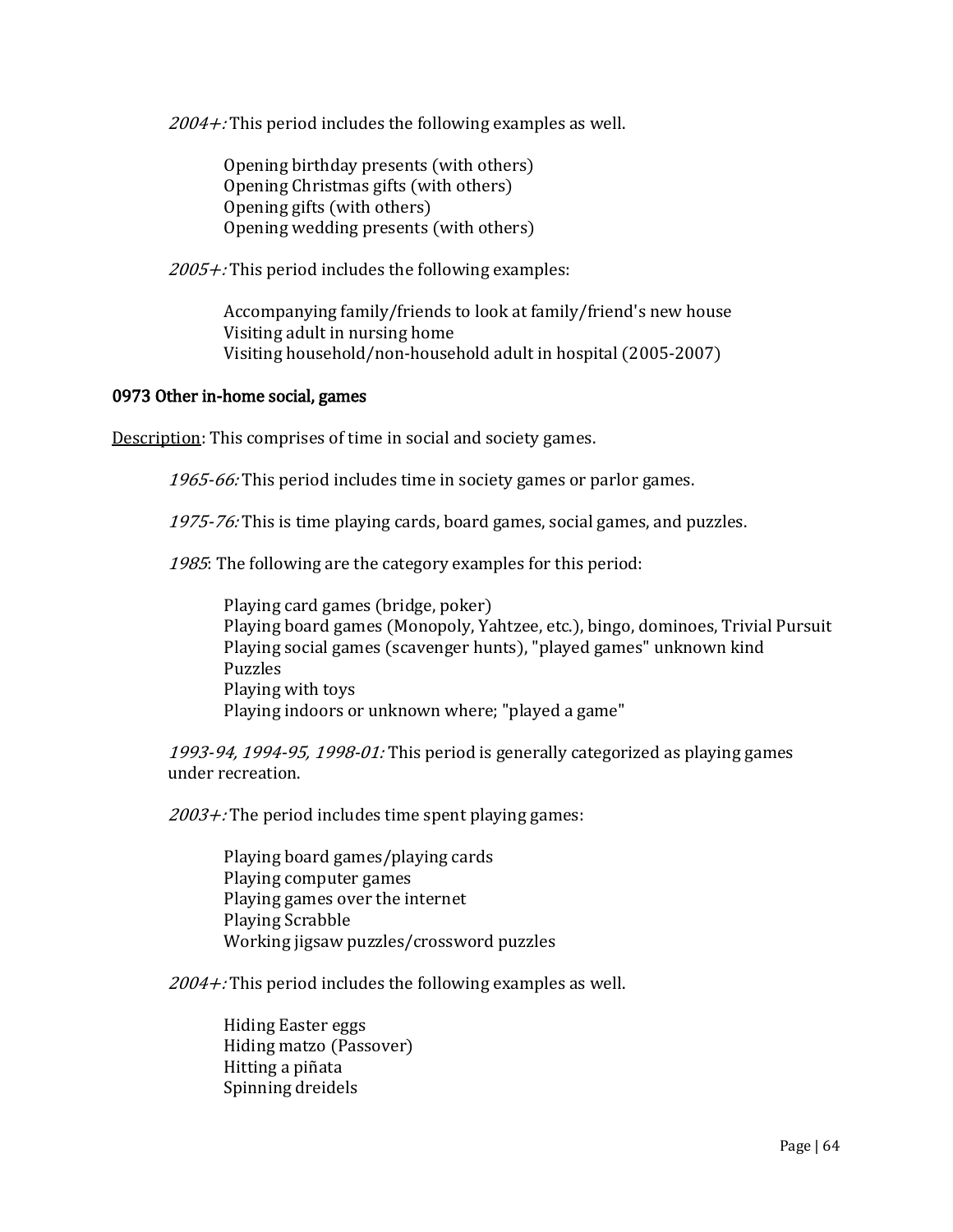$2004 +$ : This period includes the following examples as well.

Opening birthday presents (with others) Opening Christmas gifts (with others) Opening gifts (with others) Opening wedding presents (with others)

 $2005 +$ : This period includes the following examples:

Accompanying family/friends to look at family/friend's new house Visiting adult in nursing home Visiting household/non-household adult in hospital (2005-2007)

#### 0973 Other in-home social, games

Description: This comprises of time in social and society games.

1965-66: This period includes time in society games or parlor games.

1975-76: This is time playing cards, board games, social games, and puzzles.

1985: The following are the category examples for this period:

Playing card games (bridge, poker) Playing board games (Monopoly, Yahtzee, etc.), bingo, dominoes, Trivial Pursuit Playing social games (scavenger hunts), "played games" unknown kind Puzzles Playing with toys Playing indoors or unknown where; "played a game"

1993-94, 1994-95, 1998-01: This period is generally categorized as playing games under recreation.

 $2003 +$ : The period includes time spent playing games:

Playing board games/playing cards Playing computer games Playing games over the internet Playing Scrabble Working jigsaw puzzles/crossword puzzles

 $2004 +$ : This period includes the following examples as well.

Hiding Easter eggs Hiding matzo (Passover) Hitting a piñata Spinning dreidels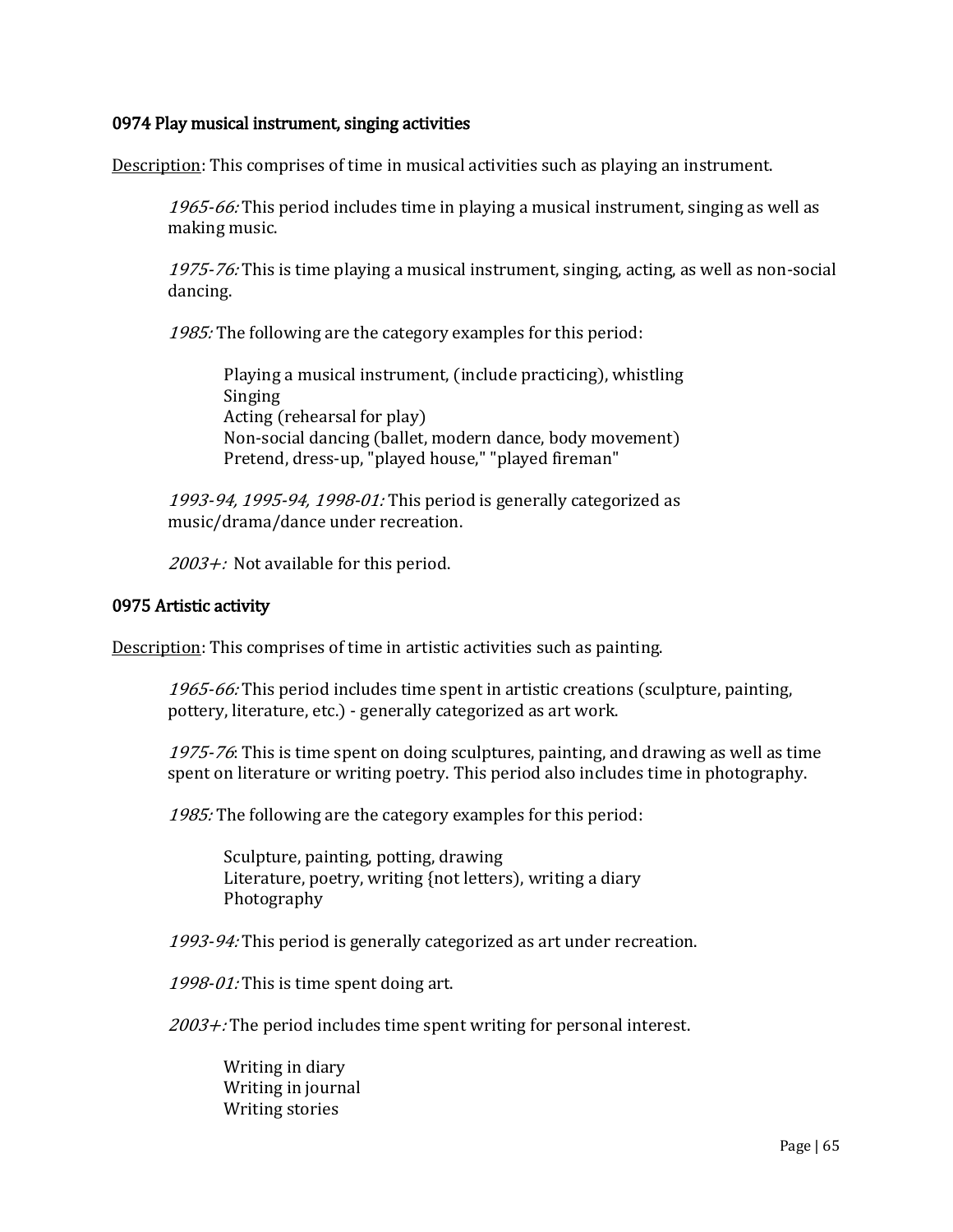## 0974 Play musical instrument, singing activities

Description: This comprises of time in musical activities such as playing an instrument.

1965-66: This period includes time in playing a musical instrument, singing as well as making music.

1975-76: This is time playing a musical instrument, singing, acting, as well as non-social dancing.

1985: The following are the category examples for this period:

Playing a musical instrument, (include practicing), whistling Singing Acting (rehearsal for play) Non-social dancing (ballet, modern dance, body movement) Pretend, dress-up, "played house," "played fireman"

1993-94, 1995-94, 1998-01: This period is generally categorized as music/drama/dance under recreation.

2003+: Not available for this period.

#### 0975 Artistic activity

Description: This comprises of time in artistic activities such as painting.

1965-66: This period includes time spent in artistic creations (sculpture, painting, pottery, literature, etc.) - generally categorized as art work.

1975-76: This is time spent on doing sculptures, painting, and drawing as well as time spent on literature or writing poetry. This period also includes time in photography.

1985: The following are the category examples for this period:

Sculpture, painting, potting, drawing Literature, poetry, writing {not letters), writing a diary Photography

1993-94: This period is generally categorized as art under recreation.

1998-01: This is time spent doing art.

 $2003 +$ : The period includes time spent writing for personal interest.

Writing in diary Writing in journal Writing stories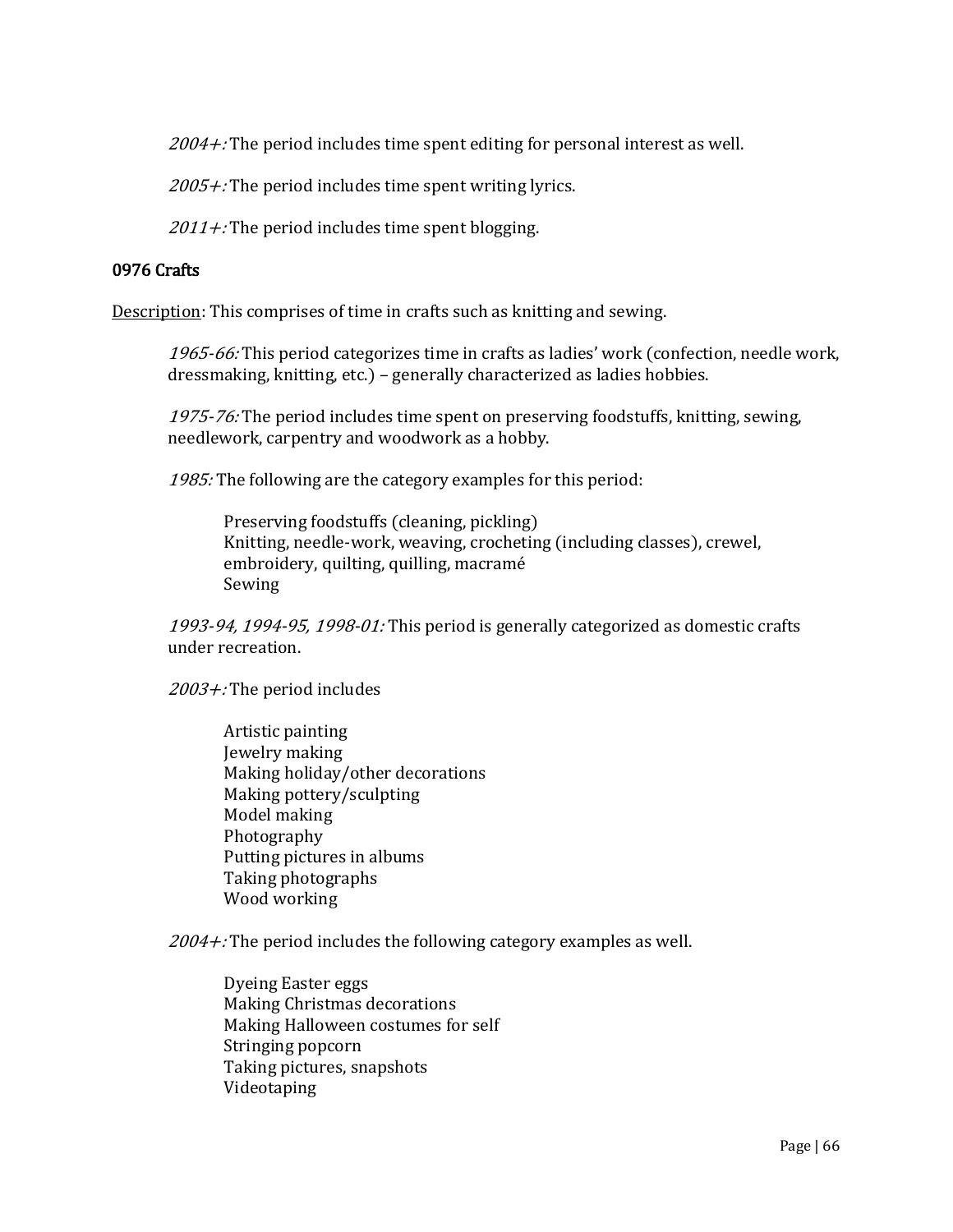$2004 +$ : The period includes time spent editing for personal interest as well.

 $2005 +$ : The period includes time spent writing lyrics.

 $2011 +$ : The period includes time spent blogging.

# 0976 Crafts

Description: This comprises of time in crafts such as knitting and sewing.

1965-66: This period categorizes time in crafts as ladies' work (confection, needle work, dressmaking, knitting, etc.) – generally characterized as ladies hobbies.

1975-76: The period includes time spent on preserving foodstuffs, knitting, sewing, needlework, carpentry and woodwork as a hobby.

1985: The following are the category examples for this period:

Preserving foodstuffs (cleaning, pickling) Knitting, needle-work, weaving, crocheting (including classes), crewel, embroidery, quilting, quilling, macramé Sewing

1993-94, 1994-95, 1998-01: This period is generally categorized as domestic crafts under recreation.

2003+: The period includes

Artistic painting Jewelry making Making holiday/other decorations Making pottery/sculpting Model making Photography Putting pictures in albums Taking photographs Wood working

 $2004 +$ : The period includes the following category examples as well.

Dyeing Easter eggs Making Christmas decorations Making Halloween costumes for self Stringing popcorn Taking pictures, snapshots Videotaping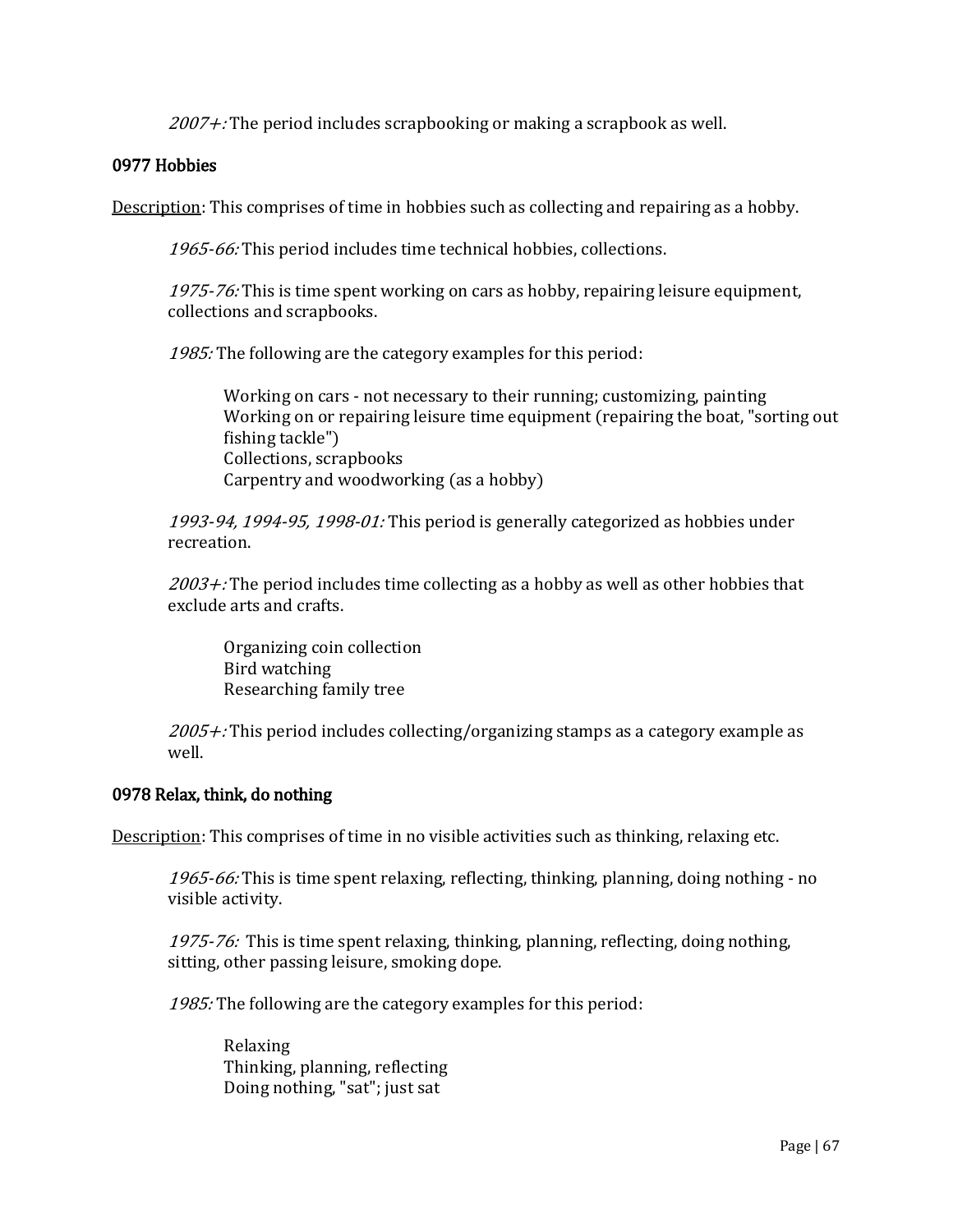$2007 +$ : The period includes scrapbooking or making a scrapbook as well.

## 0977 Hobbies

Description: This comprises of time in hobbies such as collecting and repairing as a hobby.

1965-66: This period includes time technical hobbies, collections.

1975-76: This is time spent working on cars as hobby, repairing leisure equipment, collections and scrapbooks.

1985: The following are the category examples for this period:

Working on cars - not necessary to their running; customizing, painting Working on or repairing leisure time equipment (repairing the boat, "sorting out fishing tackle") Collections, scrapbooks Carpentry and woodworking (as a hobby)

1993-94, 1994-95, 1998-01: This period is generally categorized as hobbies under recreation.

 $2003 +$ : The period includes time collecting as a hobby as well as other hobbies that exclude arts and crafts.

Organizing coin collection Bird watching Researching family tree

 $2005 +$ : This period includes collecting/organizing stamps as a category example as well.

#### 0978 Relax, think, do nothing

Description: This comprises of time in no visible activities such as thinking, relaxing etc.

1965-66: This is time spent relaxing, reflecting, thinking, planning, doing nothing - no visible activity.

1975-76: This is time spent relaxing, thinking, planning, reflecting, doing nothing, sitting, other passing leisure, smoking dope.

1985: The following are the category examples for this period:

Relaxing Thinking, planning, reflecting Doing nothing, "sat"; just sat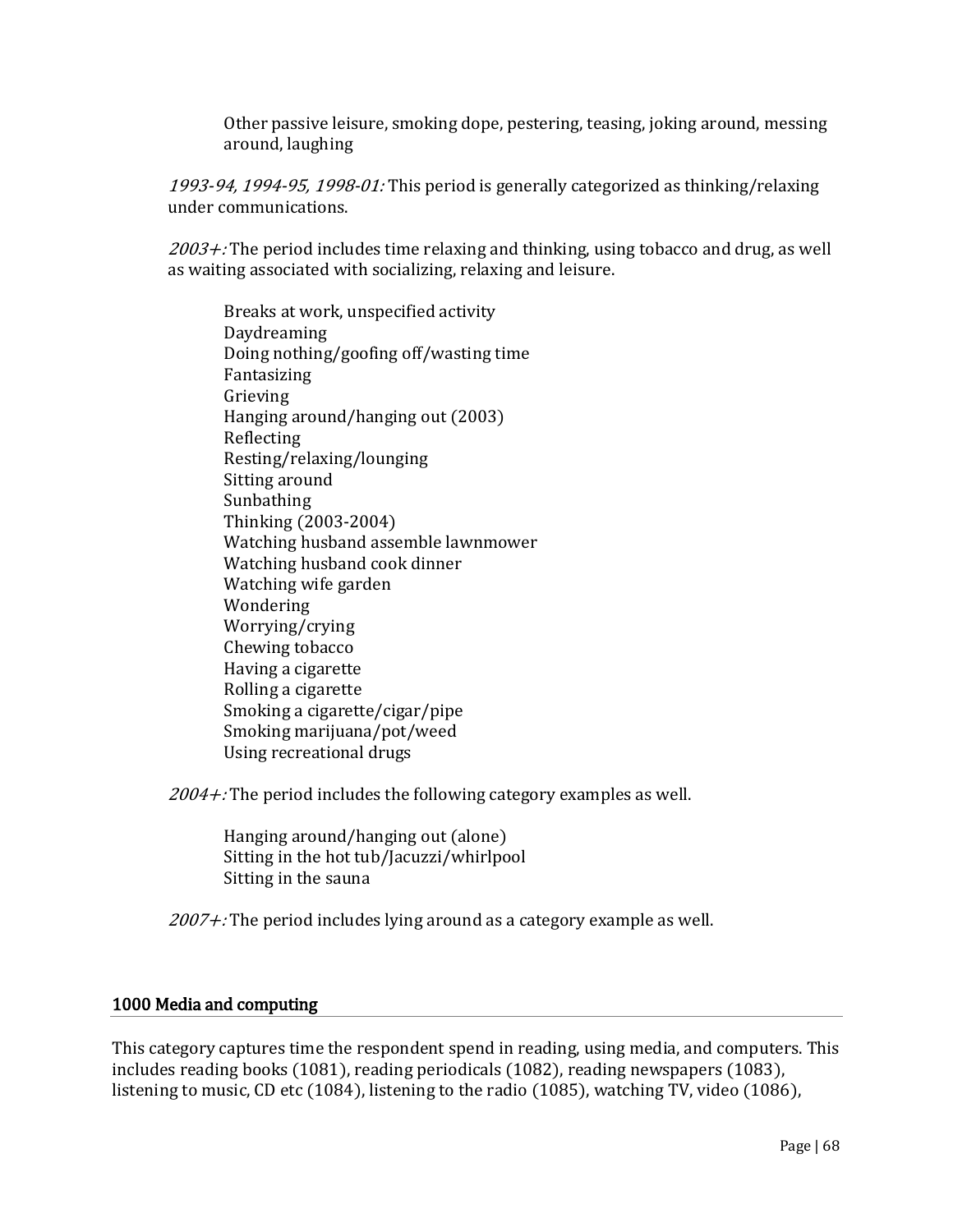Other passive leisure, smoking dope, pestering, teasing, joking around, messing around, laughing

1993-94, 1994-95, 1998-01: This period is generally categorized as thinking/relaxing under communications.

 $2003 +$ : The period includes time relaxing and thinking, using tobacco and drug, as well as waiting associated with socializing, relaxing and leisure.

Breaks at work, unspecified activity Daydreaming Doing nothing/goofing off/wasting time Fantasizing Grieving Hanging around/hanging out (2003) Reflecting Resting/relaxing/lounging Sitting around Sunbathing Thinking (2003-2004) Watching husband assemble lawnmower Watching husband cook dinner Watching wife garden Wondering Worrying/crying Chewing tobacco Having a cigarette Rolling a cigarette Smoking a cigarette/cigar/pipe Smoking marijuana/pot/weed Using recreational drugs

 $2004 +$ : The period includes the following category examples as well.

Hanging around/hanging out (alone) Sitting in the hot tub/Jacuzzi/whirlpool Sitting in the sauna

 $2007 +$ : The period includes lying around as a category example as well.

## 1000 Media and computing

This category captures time the respondent spend in reading, using media, and computers. This includes reading books (1081), reading periodicals (1082), reading newspapers (1083), listening to music, CD etc (1084), listening to the radio (1085), watching TV, video (1086),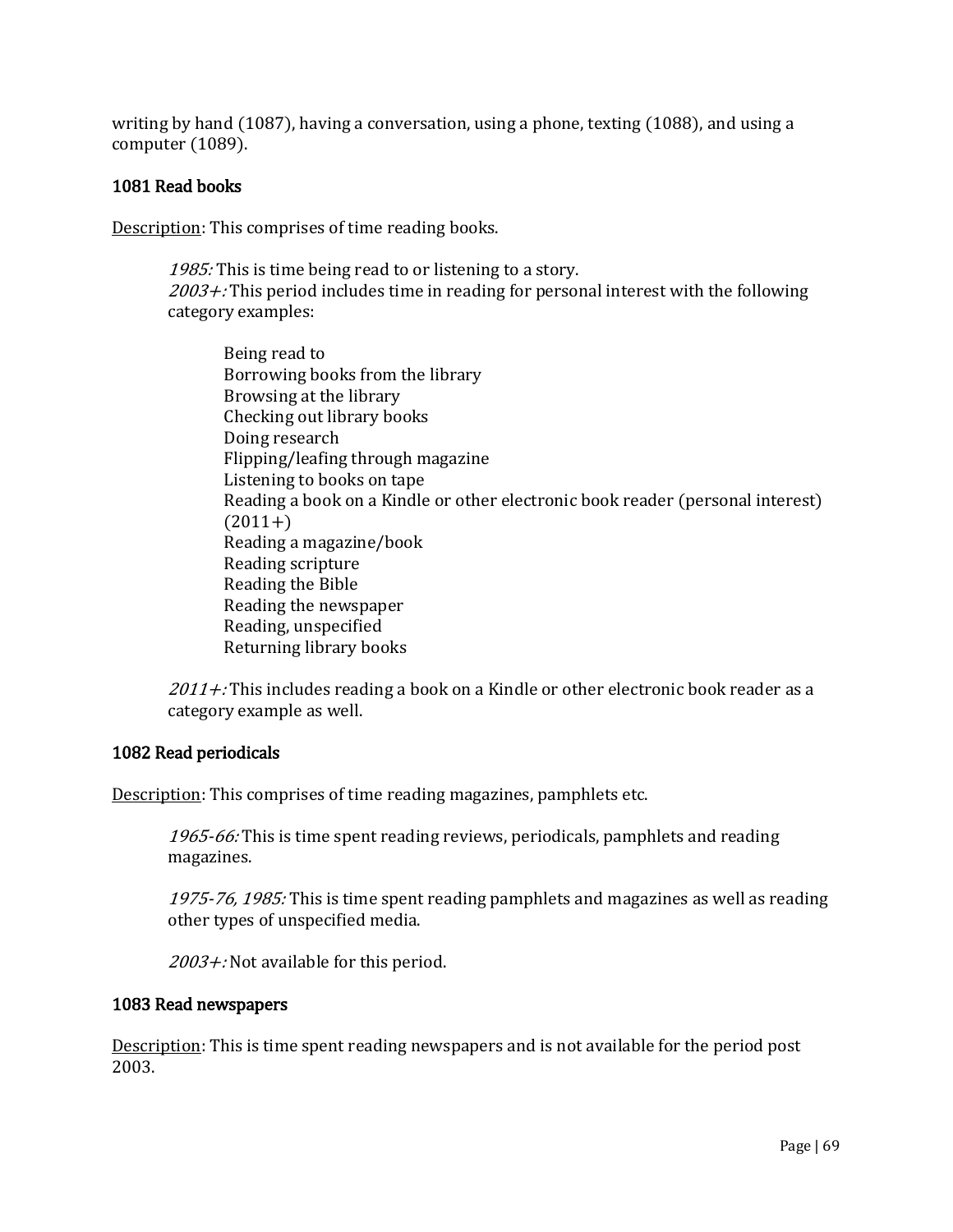writing by hand (1087), having a conversation, using a phone, texting (1088), and using a computer (1089).

## 1081 Read books

Description: This comprises of time reading books.

1985: This is time being read to or listening to a story.  $2003 +$ : This period includes time in reading for personal interest with the following category examples:

Being read to Borrowing books from the library Browsing at the library Checking out library books Doing research Flipping/leafing through magazine Listening to books on tape Reading a book on a Kindle or other electronic book reader (personal interest)  $(2011+)$ Reading a magazine/book Reading scripture Reading the Bible Reading the newspaper Reading, unspecified Returning library books

 $2011 +$ : This includes reading a book on a Kindle or other electronic book reader as a category example as well.

#### 1082 Read periodicals

Description: This comprises of time reading magazines, pamphlets etc.

1965-66: This is time spent reading reviews, periodicals, pamphlets and reading magazines.

1975-76, 1985: This is time spent reading pamphlets and magazines as well as reading other types of unspecified media.

 $2003 +$ : Not available for this period.

#### 1083 Read newspapers

Description: This is time spent reading newspapers and is not available for the period post 2003.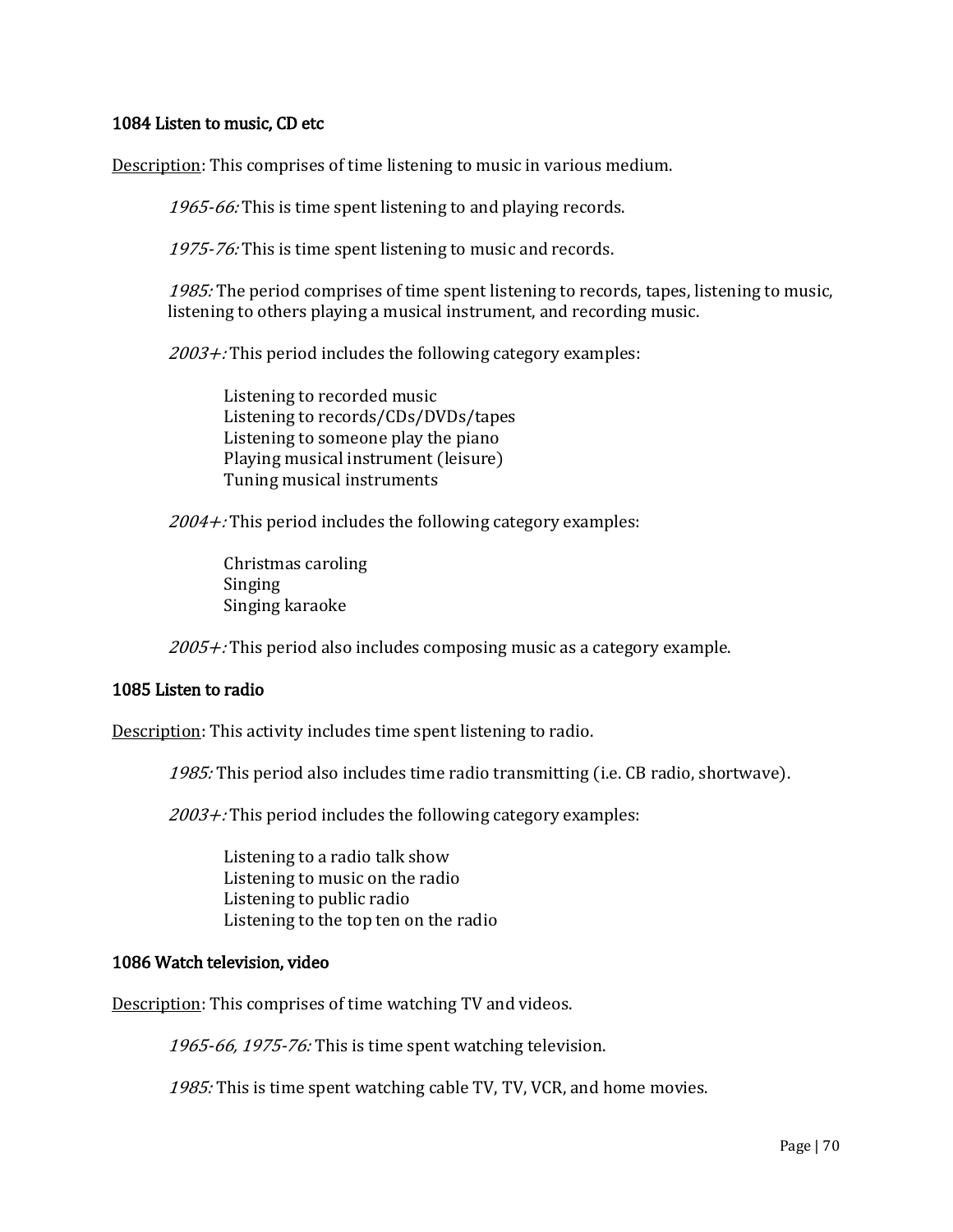## 1084 Listen to music, CD etc

Description: This comprises of time listening to music in various medium.

1965-66: This is time spent listening to and playing records.

1975-76: This is time spent listening to music and records.

1985: The period comprises of time spent listening to records, tapes, listening to music, listening to others playing a musical instrument, and recording music.

 $2003 +$ : This period includes the following category examples:

Listening to recorded music Listening to records/CDs/DVDs/tapes Listening to someone play the piano Playing musical instrument (leisure) Tuning musical instruments

 $2004 +$ : This period includes the following category examples:

Christmas caroling Singing Singing karaoke

 $2005 +$ : This period also includes composing music as a category example.

#### 1085 Listen to radio

Description: This activity includes time spent listening to radio.

1985: This period also includes time radio transmitting (i.e. CB radio, shortwave).

 $2003 +$ : This period includes the following category examples:

Listening to a radio talk show Listening to music on the radio Listening to public radio Listening to the top ten on the radio

#### 1086 Watch television, video

Description: This comprises of time watching TV and videos.

1965-66, 1975-76: This is time spent watching television.

1985: This is time spent watching cable TV, TV, VCR, and home movies.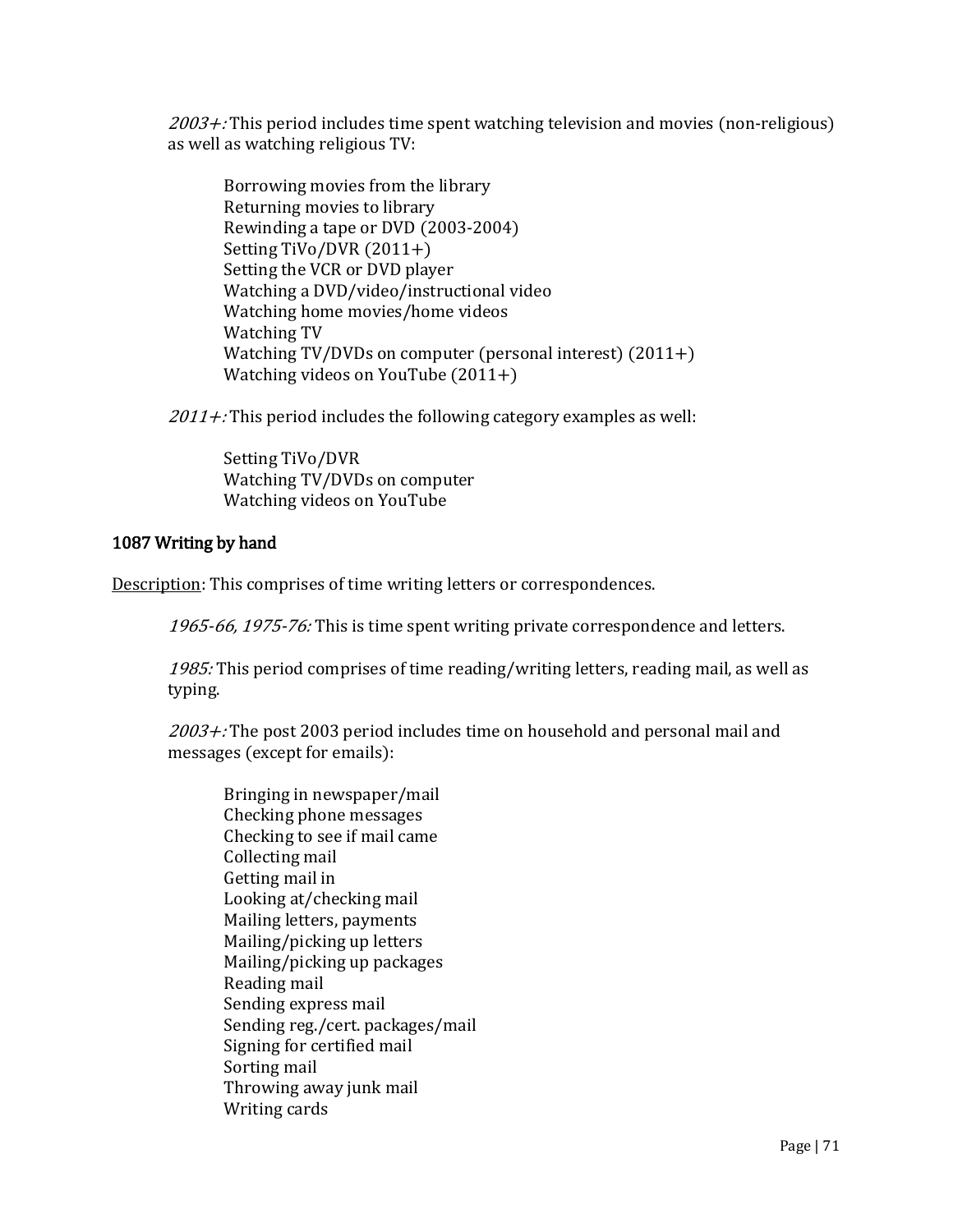$2003 +$ : This period includes time spent watching television and movies (non-religious) as well as watching religious TV:

Borrowing movies from the library Returning movies to library Rewinding a tape or DVD (2003-2004) Setting TiVo/DVR (2011+) Setting the VCR or DVD player Watching a DVD/video/instructional video Watching home movies/home videos Watching TV Watching TV/DVDs on computer (personal interest) (2011+) Watching videos on YouTube (2011+)

 $2011 +$ : This period includes the following category examples as well:

Setting TiVo/DVR Watching TV/DVDs on computer Watching videos on YouTube

# 1087 Writing by hand

Description: This comprises of time writing letters or correspondences.

1965-66, 1975-76: This is time spent writing private correspondence and letters.

1985: This period comprises of time reading/writing letters, reading mail, as well as typing.

2003+: The post 2003 period includes time on household and personal mail and messages (except for emails):

Bringing in newspaper/mail Checking phone messages Checking to see if mail came Collecting mail Getting mail in Looking at/checking mail Mailing letters, payments Mailing/picking up letters Mailing/picking up packages Reading mail Sending express mail Sending reg./cert. packages/mail Signing for certified mail Sorting mail Throwing away junk mail Writing cards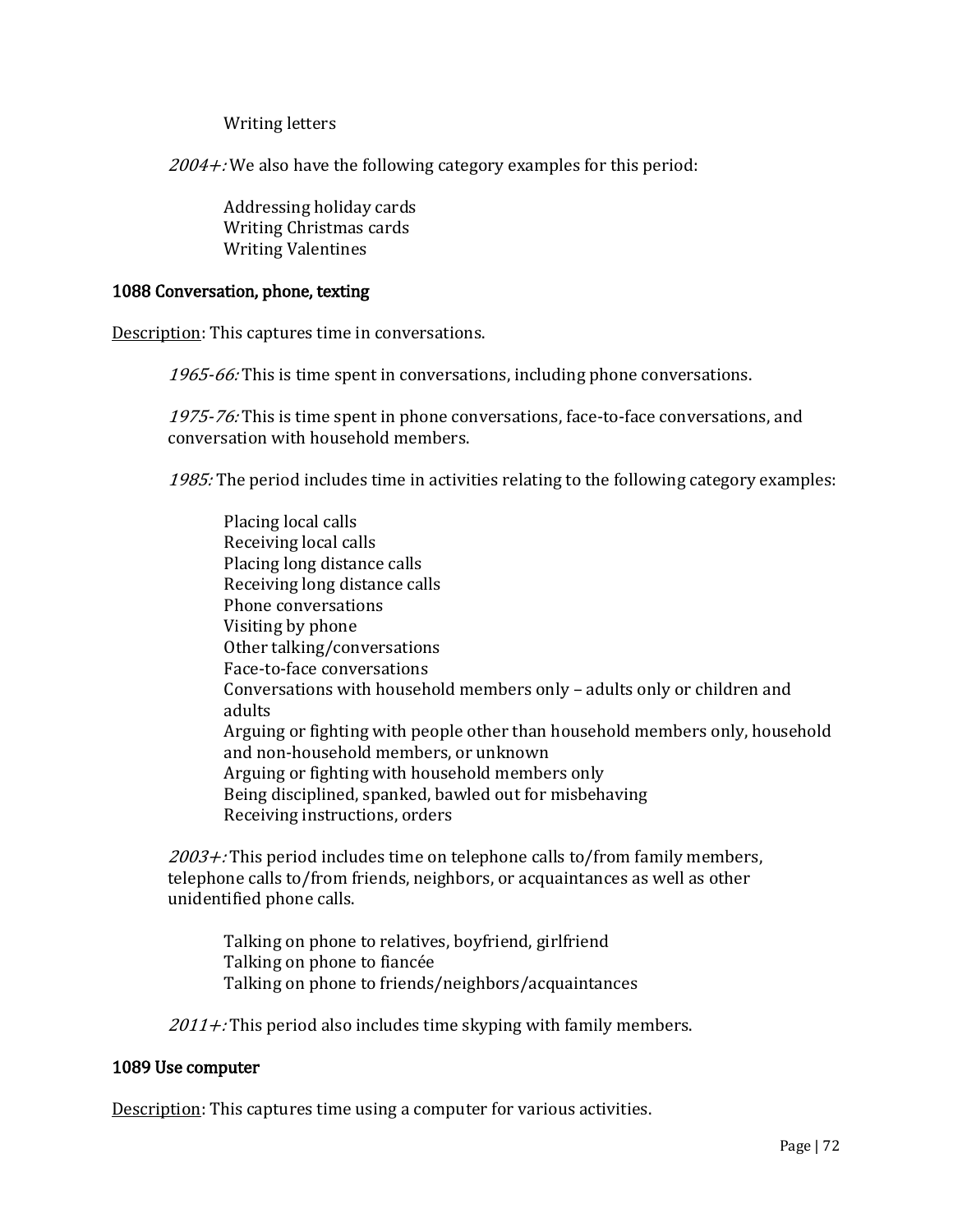Writing letters

 $2004 +$ : We also have the following category examples for this period:

Addressing holiday cards Writing Christmas cards Writing Valentines

#### 1088 Conversation, phone, texting

Description: This captures time in conversations.

1965-66: This is time spent in conversations, including phone conversations.

1975-76: This is time spent in phone conversations, face-to-face conversations, and conversation with household members.

1985: The period includes time in activities relating to the following category examples:

Placing local calls Receiving local calls Placing long distance calls Receiving long distance calls Phone conversations Visiting by phone Other talking/conversations Face-to-face conversations Conversations with household members only – adults only or children and adults Arguing or fighting with people other than household members only, household and non-household members, or unknown Arguing or fighting with household members only Being disciplined, spanked, bawled out for misbehaving Receiving instructions, orders

 $2003 +$ : This period includes time on telephone calls to/from family members, telephone calls to/from friends, neighbors, or acquaintances as well as other unidentified phone calls.

Talking on phone to relatives, boyfriend, girlfriend Talking on phone to fiancée Talking on phone to friends/neighbors/acquaintances

 $2011 +$ : This period also includes time skyping with family members.

#### 1089 Use computer

Description: This captures time using a computer for various activities.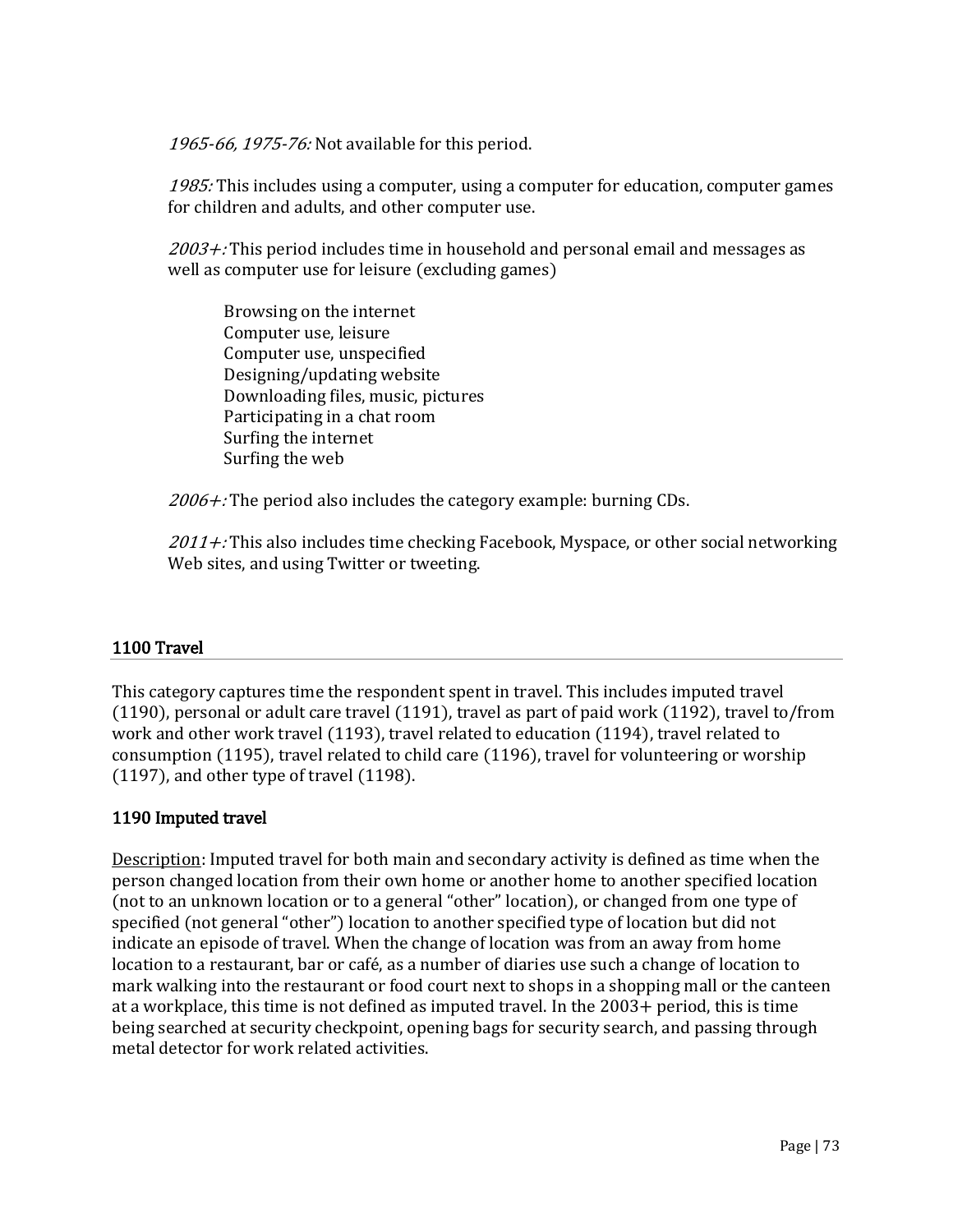1965-66, 1975-76: Not available for this period.

1985: This includes using a computer, using a computer for education, computer games for children and adults, and other computer use.

 $2003 +$ : This period includes time in household and personal email and messages as well as computer use for leisure (excluding games)

Browsing on the internet Computer use, leisure Computer use, unspecified Designing/updating website Downloading files, music, pictures Participating in a chat room Surfing the internet Surfing the web

 $2006 +$ : The period also includes the category example: burning CDs.

 $2011 +$ : This also includes time checking Facebook, Myspace, or other social networking Web sites, and using Twitter or tweeting.

### 1100 Travel

This category captures time the respondent spent in travel. This includes imputed travel (1190), personal or adult care travel (1191), travel as part of paid work (1192), travel to/from work and other work travel (1193), travel related to education (1194), travel related to consumption (1195), travel related to child care (1196), travel for volunteering or worship (1197), and other type of travel (1198).

### 1190 Imputed travel

Description: Imputed travel for both main and secondary activity is defined as time when the person changed location from their own home or another home to another specified location (not to an unknown location or to a general "other" location), or changed from one type of specified (not general "other") location to another specified type of location but did not indicate an episode of travel. When the change of location was from an away from home location to a restaurant, bar or café, as a number of diaries use such a change of location to mark walking into the restaurant or food court next to shops in a shopping mall or the canteen at a workplace, this time is not defined as imputed travel. In the 2003+ period, this is time being searched at security checkpoint, opening bags for security search, and passing through metal detector for work related activities.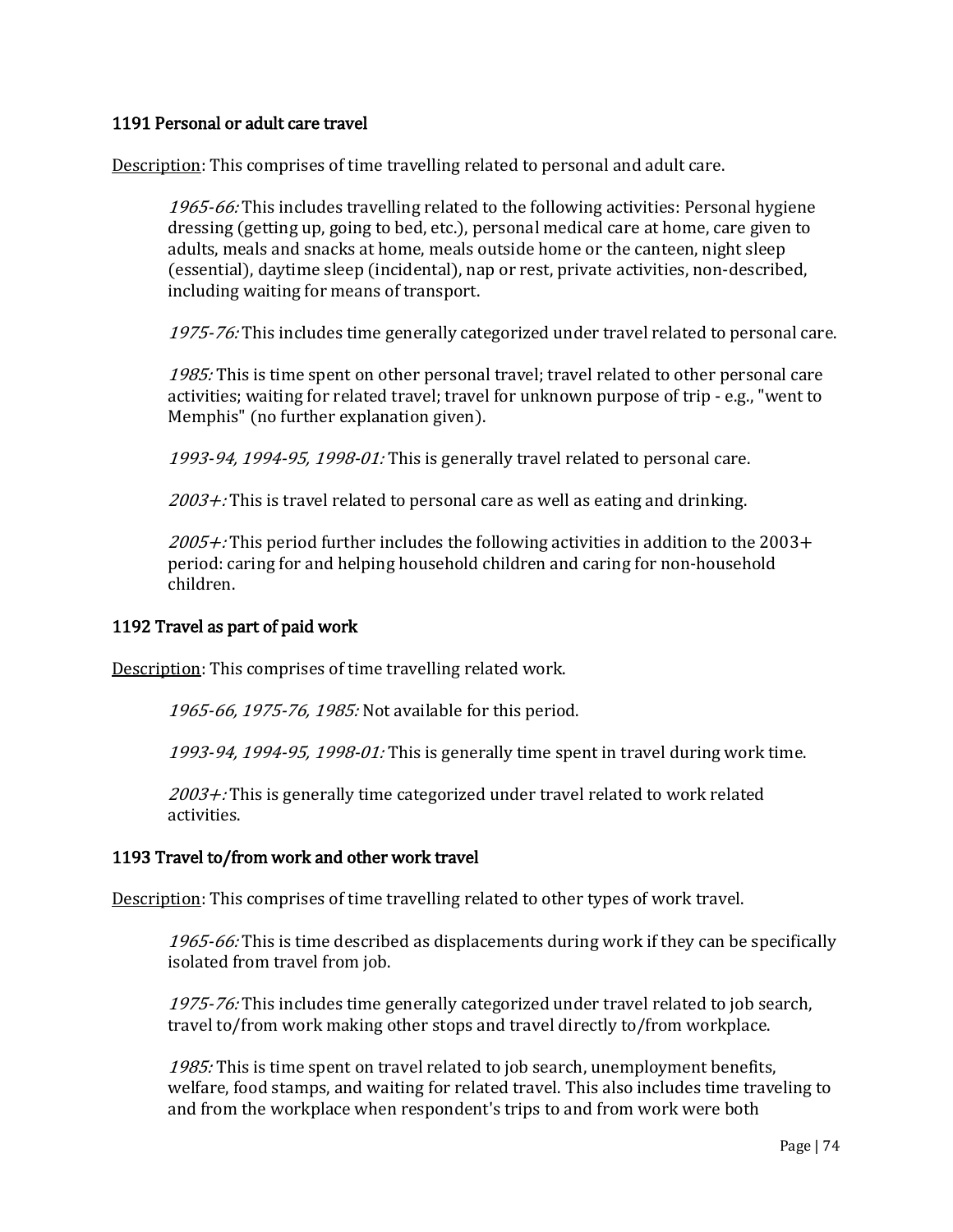#### 1191 Personal or adult care travel

Description: This comprises of time travelling related to personal and adult care.

1965-66: This includes travelling related to the following activities: Personal hygiene dressing (getting up, going to bed, etc.), personal medical care at home, care given to adults, meals and snacks at home, meals outside home or the canteen, night sleep (essential), daytime sleep (incidental), nap or rest, private activities, non-described, including waiting for means of transport.

1975-76: This includes time generally categorized under travel related to personal care.

1985: This is time spent on other personal travel; travel related to other personal care activities; waiting for related travel; travel for unknown purpose of trip - e.g., "went to Memphis" (no further explanation given).

1993-94, 1994-95, 1998-01: This is generally travel related to personal care.

 $2003 +$ : This is travel related to personal care as well as eating and drinking.

 $2005 +$ : This period further includes the following activities in addition to the 2003+ period: caring for and helping household children and caring for non-household children.

### 1192 Travel as part of paid work

Description: This comprises of time travelling related work.

1965-66, 1975-76, 1985: Not available for this period.

1993-94, 1994-95, 1998-01: This is generally time spent in travel during work time.

 $2003 +$ : This is generally time categorized under travel related to work related activities.

## 1193 Travel to/from work and other work travel

Description: This comprises of time travelling related to other types of work travel.

1965-66: This is time described as displacements during work if they can be specifically isolated from travel from job.

1975-76: This includes time generally categorized under travel related to job search, travel to/from work making other stops and travel directly to/from workplace.

1985: This is time spent on travel related to job search, unemployment benefits, welfare, food stamps, and waiting for related travel. This also includes time traveling to and from the workplace when respondent's trips to and from work were both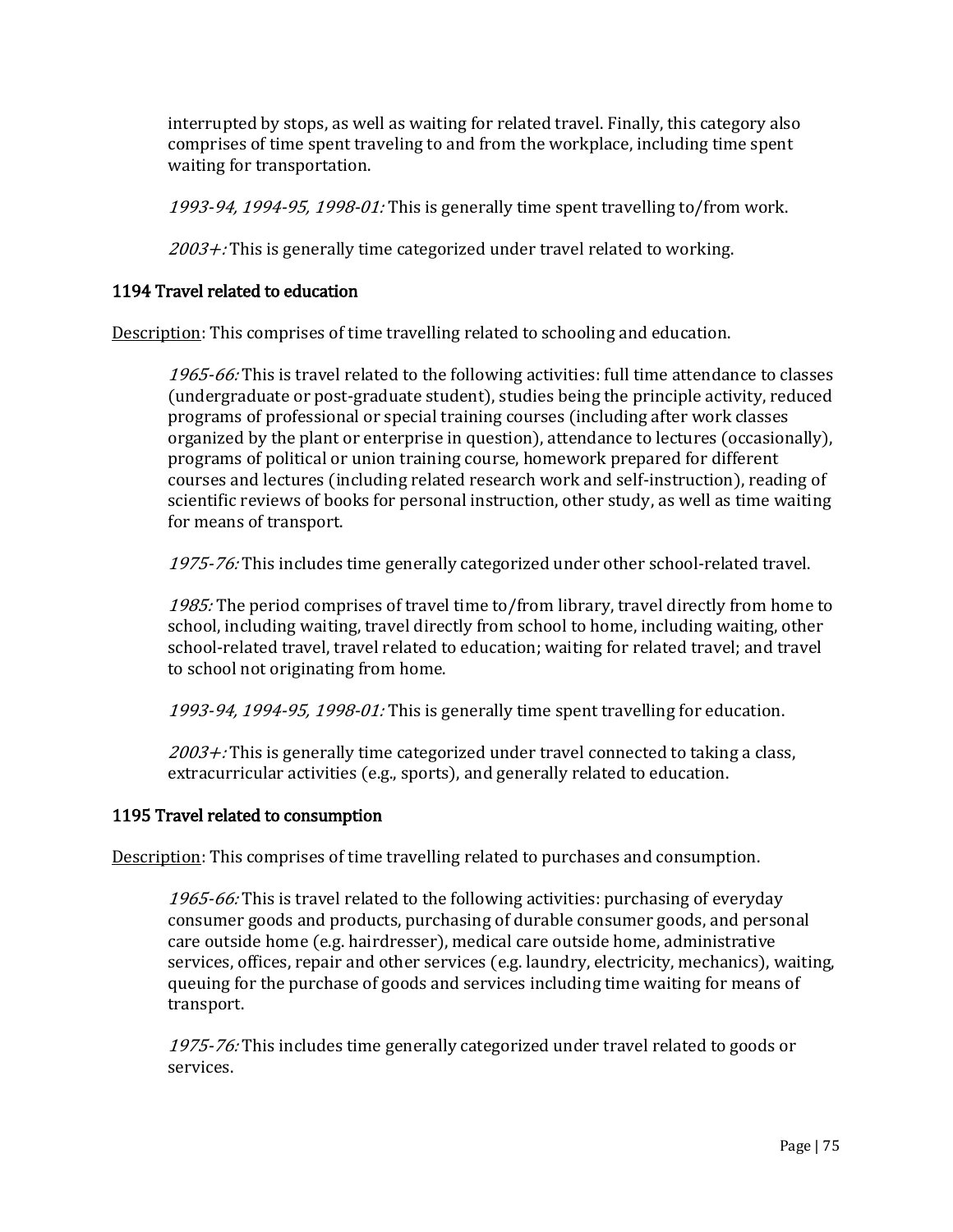interrupted by stops, as well as waiting for related travel. Finally, this category also comprises of time spent traveling to and from the workplace, including time spent waiting for transportation.

1993-94, 1994-95, 1998-01: This is generally time spent travelling to/from work.

 $2003 +$ : This is generally time categorized under travel related to working.

### 1194 Travel related to education

Description: This comprises of time travelling related to schooling and education.

1965-66: This is travel related to the following activities: full time attendance to classes (undergraduate or post-graduate student), studies being the principle activity, reduced programs of professional or special training courses (including after work classes organized by the plant or enterprise in question), attendance to lectures (occasionally), programs of political or union training course, homework prepared for different courses and lectures (including related research work and self-instruction), reading of scientific reviews of books for personal instruction, other study, as well as time waiting for means of transport.

1975-76: This includes time generally categorized under other school-related travel.

1985: The period comprises of travel time to/from library, travel directly from home to school, including waiting, travel directly from school to home, including waiting, other school-related travel, travel related to education; waiting for related travel; and travel to school not originating from home.

1993-94, 1994-95, 1998-01: This is generally time spent travelling for education.

 $2003 +$ : This is generally time categorized under travel connected to taking a class, extracurricular activities (e.g., sports), and generally related to education.

### 1195 Travel related to consumption

Description: This comprises of time travelling related to purchases and consumption.

1965-66: This is travel related to the following activities: purchasing of everyday consumer goods and products, purchasing of durable consumer goods, and personal care outside home (e.g. hairdresser), medical care outside home, administrative services, offices, repair and other services (e.g. laundry, electricity, mechanics), waiting, queuing for the purchase of goods and services including time waiting for means of transport.

1975-76: This includes time generally categorized under travel related to goods or services.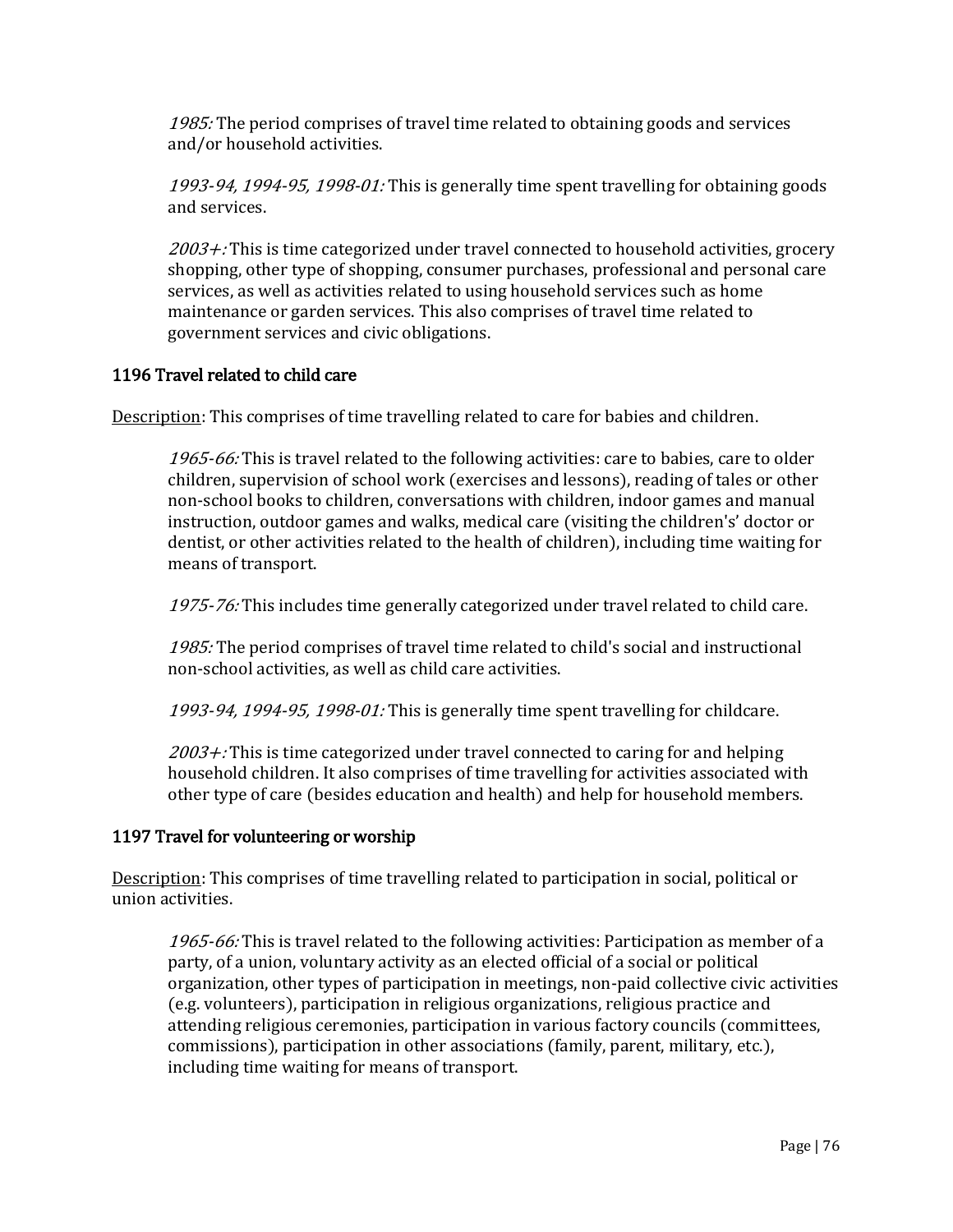1985: The period comprises of travel time related to obtaining goods and services and/or household activities.

1993-94, 1994-95, 1998-01: This is generally time spent travelling for obtaining goods and services.

 $2003 +$ : This is time categorized under travel connected to household activities, grocery shopping, other type of shopping, consumer purchases, professional and personal care services, as well as activities related to using household services such as home maintenance or garden services. This also comprises of travel time related to government services and civic obligations.

# 1196 Travel related to child care

Description: This comprises of time travelling related to care for babies and children.

1965-66: This is travel related to the following activities: care to babies, care to older children, supervision of school work (exercises and lessons), reading of tales or other non-school books to children, conversations with children, indoor games and manual instruction, outdoor games and walks, medical care (visiting the children's' doctor or dentist, or other activities related to the health of children), including time waiting for means of transport.

1975-76: This includes time generally categorized under travel related to child care.

1985: The period comprises of travel time related to child's social and instructional non-school activities, as well as child care activities.

1993-94, 1994-95, 1998-01: This is generally time spent travelling for childcare.

 $2003 +$ : This is time categorized under travel connected to caring for and helping household children. It also comprises of time travelling for activities associated with other type of care (besides education and health) and help for household members.

### 1197 Travel for volunteering or worship

Description: This comprises of time travelling related to participation in social, political or union activities.

1965-66: This is travel related to the following activities: Participation as member of a party, of a union, voluntary activity as an elected official of a social or political organization, other types of participation in meetings, non-paid collective civic activities (e.g. volunteers), participation in religious organizations, religious practice and attending religious ceremonies, participation in various factory councils (committees, commissions), participation in other associations (family, parent, military, etc.), including time waiting for means of transport.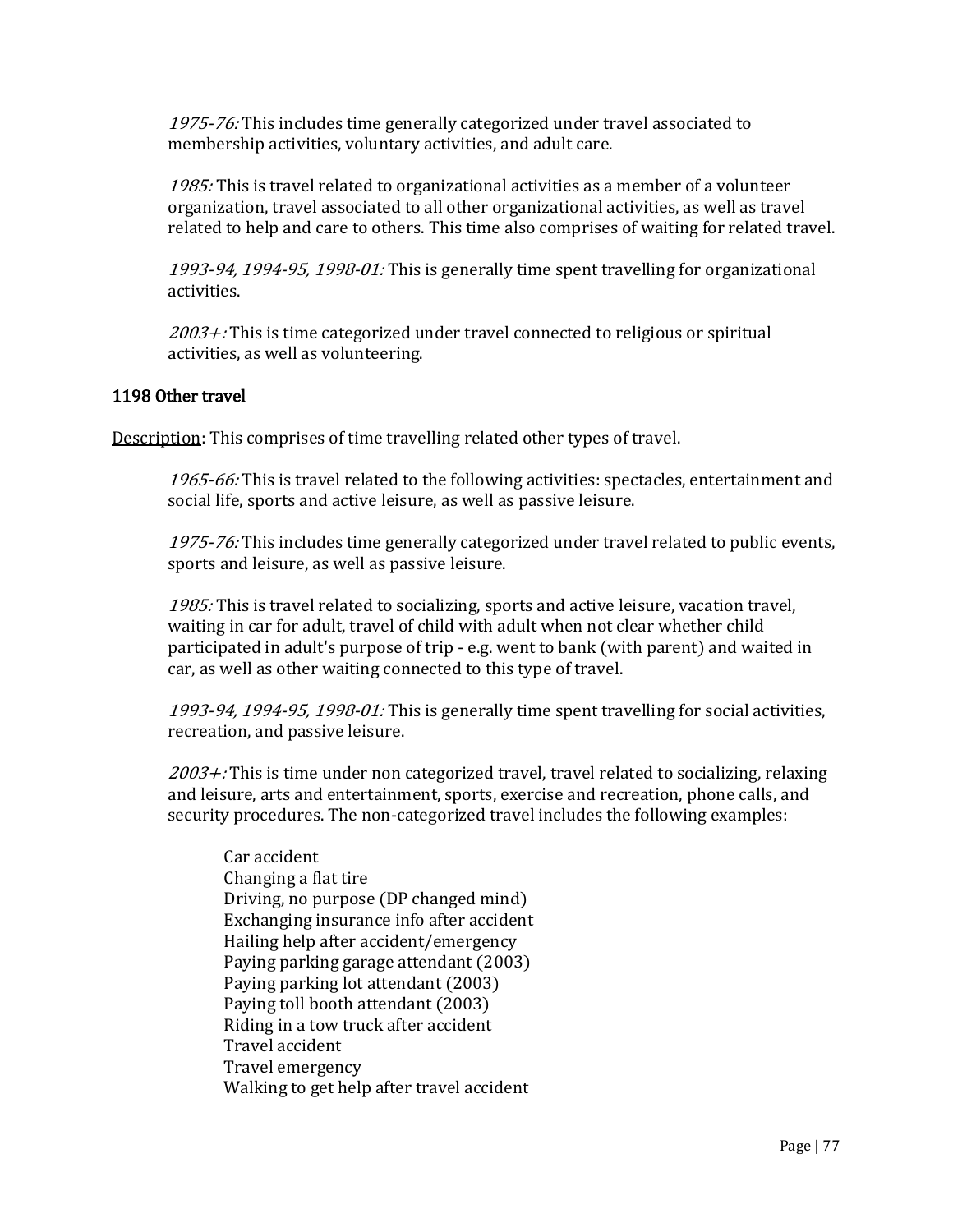1975-76: This includes time generally categorized under travel associated to membership activities, voluntary activities, and adult care.

1985: This is travel related to organizational activities as a member of a volunteer organization, travel associated to all other organizational activities, as well as travel related to help and care to others. This time also comprises of waiting for related travel.

1993-94, 1994-95, 1998-01: This is generally time spent travelling for organizational activities.

 $2003 +$ : This is time categorized under travel connected to religious or spiritual activities, as well as volunteering.

## 1198 Other travel

Description: This comprises of time travelling related other types of travel.

1965-66: This is travel related to the following activities: spectacles, entertainment and social life, sports and active leisure, as well as passive leisure.

1975-76: This includes time generally categorized under travel related to public events, sports and leisure, as well as passive leisure.

1985: This is travel related to socializing, sports and active leisure, vacation travel, waiting in car for adult, travel of child with adult when not clear whether child participated in adult's purpose of trip - e.g. went to bank (with parent) and waited in car, as well as other waiting connected to this type of travel.

1993-94, 1994-95, 1998-01: This is generally time spent travelling for social activities, recreation, and passive leisure.

 $2003 +$ : This is time under non categorized travel, travel related to socializing, relaxing and leisure, arts and entertainment, sports, exercise and recreation, phone calls, and security procedures. The non-categorized travel includes the following examples:

Car accident Changing a flat tire Driving, no purpose (DP changed mind) Exchanging insurance info after accident Hailing help after accident/emergency Paying parking garage attendant (2003) Paying parking lot attendant (2003) Paying toll booth attendant (2003) Riding in a tow truck after accident Travel accident Travel emergency Walking to get help after travel accident